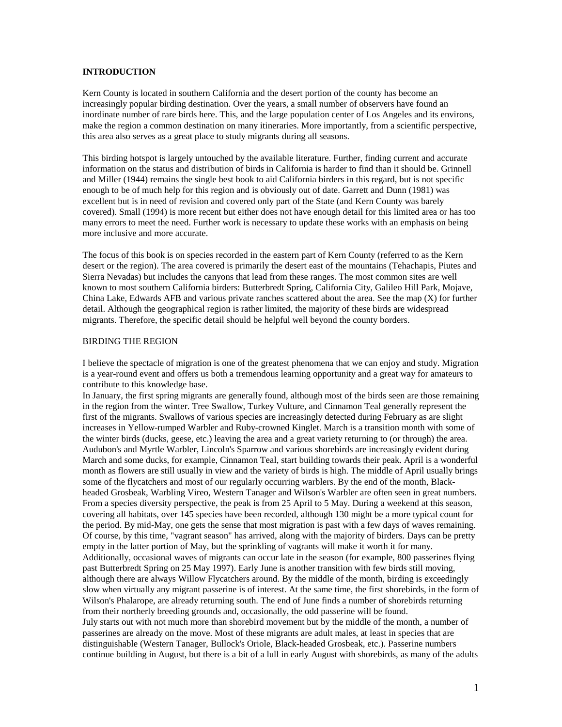# **INTRODUCTION**

Kern County is located in southern California and the desert portion of the county has become an increasingly popular birding destination. Over the years, a small number of observers have found an inordinate number of rare birds here. This, and the large population center of Los Angeles and its environs, make the region a common destination on many itineraries. More importantly, from a scientific perspective, this area also serves as a great place to study migrants during all seasons.

This birding hotspot is largely untouched by the available literature. Further, finding current and accurate information on the status and distribution of birds in California is harder to find than it should be. Grinnell and Miller (1944) remains the single best book to aid California birders in this regard, but is not specific enough to be of much help for this region and is obviously out of date. Garrett and Dunn (1981) was excellent but is in need of revision and covered only part of the State (and Kern County was barely covered). Small (1994) is more recent but either does not have enough detail for this limited area or has too many errors to meet the need. Further work is necessary to update these works with an emphasis on being more inclusive and more accurate.

The focus of this book is on species recorded in the eastern part of Kern County (referred to as the Kern desert or the region). The area covered is primarily the desert east of the mountains (Tehachapis, Piutes and Sierra Nevadas) but includes the canyons that lead from these ranges. The most common sites are well known to most southern California birders: Butterbredt Spring, California City, Galileo Hill Park, Mojave, China Lake, Edwards AFB and various private ranches scattered about the area. See the map (X) for further detail. Although the geographical region is rather limited, the majority of these birds are widespread migrants. Therefore, the specific detail should be helpful well beyond the county borders.

#### BIRDING THE REGION

I believe the spectacle of migration is one of the greatest phenomena that we can enjoy and study. Migration is a year-round event and offers us both a tremendous learning opportunity and a great way for amateurs to contribute to this knowledge base.

In January, the first spring migrants are generally found, although most of the birds seen are those remaining in the region from the winter. Tree Swallow, Turkey Vulture, and Cinnamon Teal generally represent the first of the migrants. Swallows of various species are increasingly detected during February as are slight increases in Yellow-rumped Warbler and Ruby-crowned Kinglet. March is a transition month with some of the winter birds (ducks, geese, etc.) leaving the area and a great variety returning to (or through) the area. Audubon's and Myrtle Warbler, Lincoln's Sparrow and various shorebirds are increasingly evident during March and some ducks, for example, Cinnamon Teal, start building towards their peak. April is a wonderful month as flowers are still usually in view and the variety of birds is high. The middle of April usually brings some of the flycatchers and most of our regularly occurring warblers. By the end of the month, Blackheaded Grosbeak, Warbling Vireo, Western Tanager and Wilson's Warbler are often seen in great numbers. From a species diversity perspective, the peak is from 25 April to 5 May. During a weekend at this season, covering all habitats, over 145 species have been recorded, although 130 might be a more typical count for the period. By mid-May, one gets the sense that most migration is past with a few days of waves remaining. Of course, by this time, "vagrant season" has arrived, along with the majority of birders. Days can be pretty empty in the latter portion of May, but the sprinkling of vagrants will make it worth it for many. Additionally, occasional waves of migrants can occur late in the season (for example, 800 passerines flying past Butterbredt Spring on 25 May 1997). Early June is another transition with few birds still moving, although there are always Willow Flycatchers around. By the middle of the month, birding is exceedingly slow when virtually any migrant passerine is of interest. At the same time, the first shorebirds, in the form of Wilson's Phalarope, are already returning south. The end of June finds a number of shorebirds returning from their northerly breeding grounds and, occasionally, the odd passerine will be found. July starts out with not much more than shorebird movement but by the middle of the month, a number of passerines are already on the move. Most of these migrants are adult males, at least in species that are distinguishable (Western Tanager, Bullock's Oriole, Black-headed Grosbeak, etc.). Passerine numbers continue building in August, but there is a bit of a lull in early August with shorebirds, as many of the adults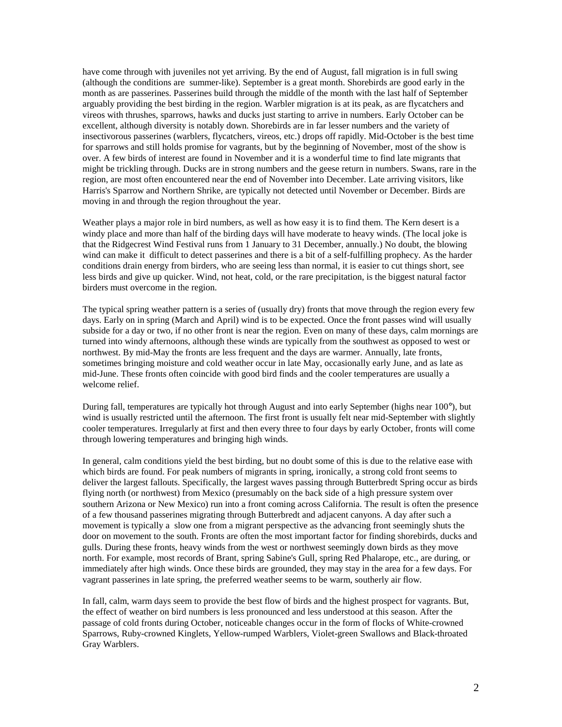have come through with juveniles not yet arriving. By the end of August, fall migration is in full swing (although the conditions are summer-like). September is a great month. Shorebirds are good early in the month as are passerines. Passerines build through the middle of the month with the last half of September arguably providing the best birding in the region. Warbler migration is at its peak, as are flycatchers and vireos with thrushes, sparrows, hawks and ducks just starting to arrive in numbers. Early October can be excellent, although diversity is notably down. Shorebirds are in far lesser numbers and the variety of insectivorous passerines (warblers, flycatchers, vireos, etc.) drops off rapidly. Mid-October is the best time for sparrows and still holds promise for vagrants, but by the beginning of November, most of the show is over. A few birds of interest are found in November and it is a wonderful time to find late migrants that might be trickling through. Ducks are in strong numbers and the geese return in numbers. Swans, rare in the region, are most often encountered near the end of November into December. Late arriving visitors, like Harris's Sparrow and Northern Shrike, are typically not detected until November or December. Birds are moving in and through the region throughout the year.

Weather plays a major role in bird numbers, as well as how easy it is to find them. The Kern desert is a windy place and more than half of the birding days will have moderate to heavy winds. (The local joke is that the Ridgecrest Wind Festival runs from 1 January to 31 December, annually.) No doubt, the blowing wind can make it difficult to detect passerines and there is a bit of a self-fulfilling prophecy. As the harder conditions drain energy from birders, who are seeing less than normal, it is easier to cut things short, see less birds and give up quicker. Wind, not heat, cold, or the rare precipitation, is the biggest natural factor birders must overcome in the region.

The typical spring weather pattern is a series of (usually dry) fronts that move through the region every few days. Early on in spring (March and April) wind is to be expected. Once the front passes wind will usually subside for a day or two, if no other front is near the region. Even on many of these days, calm mornings are turned into windy afternoons, although these winds are typically from the southwest as opposed to west or northwest. By mid-May the fronts are less frequent and the days are warmer. Annually, late fronts, sometimes bringing moisture and cold weather occur in late May, occasionally early June, and as late as mid-June. These fronts often coincide with good bird finds and the cooler temperatures are usually a welcome relief.

During fall, temperatures are typically hot through August and into early September (highs near 100°), but wind is usually restricted until the afternoon. The first front is usually felt near mid-September with slightly cooler temperatures. Irregularly at first and then every three to four days by early October, fronts will come through lowering temperatures and bringing high winds.

In general, calm conditions yield the best birding, but no doubt some of this is due to the relative ease with which birds are found. For peak numbers of migrants in spring, ironically, a strong cold front seems to deliver the largest fallouts. Specifically, the largest waves passing through Butterbredt Spring occur as birds flying north (or northwest) from Mexico (presumably on the back side of a high pressure system over southern Arizona or New Mexico) run into a front coming across California. The result is often the presence of a few thousand passerines migrating through Butterbredt and adjacent canyons. A day after such a movement is typically a slow one from a migrant perspective as the advancing front seemingly shuts the door on movement to the south. Fronts are often the most important factor for finding shorebirds, ducks and gulls. During these fronts, heavy winds from the west or northwest seemingly down birds as they move north. For example, most records of Brant, spring Sabine's Gull, spring Red Phalarope, etc., are during, or immediately after high winds. Once these birds are grounded, they may stay in the area for a few days. For vagrant passerines in late spring, the preferred weather seems to be warm, southerly air flow.

In fall, calm, warm days seem to provide the best flow of birds and the highest prospect for vagrants. But, the effect of weather on bird numbers is less pronounced and less understood at this season. After the passage of cold fronts during October, noticeable changes occur in the form of flocks of White-crowned Sparrows, Ruby-crowned Kinglets, Yellow-rumped Warblers, Violet-green Swallows and Black-throated Gray Warblers.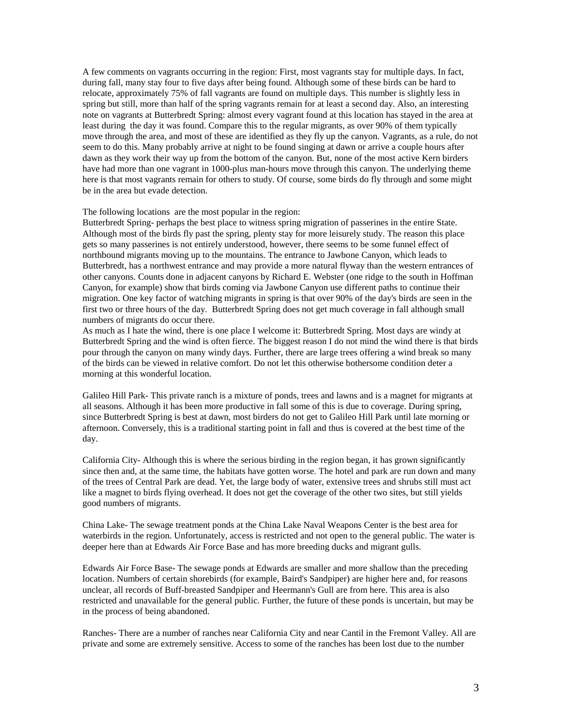A few comments on vagrants occurring in the region: First, most vagrants stay for multiple days. In fact, during fall, many stay four to five days after being found. Although some of these birds can be hard to relocate, approximately 75% of fall vagrants are found on multiple days. This number is slightly less in spring but still, more than half of the spring vagrants remain for at least a second day. Also, an interesting note on vagrants at Butterbredt Spring: almost every vagrant found at this location has stayed in the area at least during the day it was found. Compare this to the regular migrants, as over 90% of them typically move through the area, and most of these are identified as they fly up the canyon. Vagrants, as a rule, do not seem to do this. Many probably arrive at night to be found singing at dawn or arrive a couple hours after dawn as they work their way up from the bottom of the canyon. But, none of the most active Kern birders have had more than one vagrant in 1000-plus man-hours move through this canyon. The underlying theme here is that most vagrants remain for others to study. Of course, some birds do fly through and some might be in the area but evade detection.

The following locations are the most popular in the region:

Butterbredt Spring- perhaps the best place to witness spring migration of passerines in the entire State. Although most of the birds fly past the spring, plenty stay for more leisurely study. The reason this place gets so many passerines is not entirely understood, however, there seems to be some funnel effect of northbound migrants moving up to the mountains. The entrance to Jawbone Canyon, which leads to Butterbredt, has a northwest entrance and may provide a more natural flyway than the western entrances of other canyons. Counts done in adjacent canyons by Richard E. Webster (one ridge to the south in Hoffman Canyon, for example) show that birds coming via Jawbone Canyon use different paths to continue their migration. One key factor of watching migrants in spring is that over 90% of the day's birds are seen in the first two or three hours of the day. Butterbredt Spring does not get much coverage in fall although small numbers of migrants do occur there.

As much as I hate the wind, there is one place I welcome it: Butterbredt Spring. Most days are windy at Butterbredt Spring and the wind is often fierce. The biggest reason I do not mind the wind there is that birds pour through the canyon on many windy days. Further, there are large trees offering a wind break so many of the birds can be viewed in relative comfort. Do not let this otherwise bothersome condition deter a morning at this wonderful location.

Galileo Hill Park- This private ranch is a mixture of ponds, trees and lawns and is a magnet for migrants at all seasons. Although it has been more productive in fall some of this is due to coverage. During spring, since Butterbredt Spring is best at dawn, most birders do not get to Galileo Hill Park until late morning or afternoon. Conversely, this is a traditional starting point in fall and thus is covered at the best time of the day.

California City- Although this is where the serious birding in the region began, it has grown significantly since then and, at the same time, the habitats have gotten worse. The hotel and park are run down and many of the trees of Central Park are dead. Yet, the large body of water, extensive trees and shrubs still must act like a magnet to birds flying overhead. It does not get the coverage of the other two sites, but still yields good numbers of migrants.

China Lake- The sewage treatment ponds at the China Lake Naval Weapons Center is the best area for waterbirds in the region. Unfortunately, access is restricted and not open to the general public. The water is deeper here than at Edwards Air Force Base and has more breeding ducks and migrant gulls.

Edwards Air Force Base- The sewage ponds at Edwards are smaller and more shallow than the preceding location. Numbers of certain shorebirds (for example, Baird's Sandpiper) are higher here and, for reasons unclear, all records of Buff-breasted Sandpiper and Heermann's Gull are from here. This area is also restricted and unavailable for the general public. Further, the future of these ponds is uncertain, but may be in the process of being abandoned.

Ranches- There are a number of ranches near California City and near Cantil in the Fremont Valley. All are private and some are extremely sensitive. Access to some of the ranches has been lost due to the number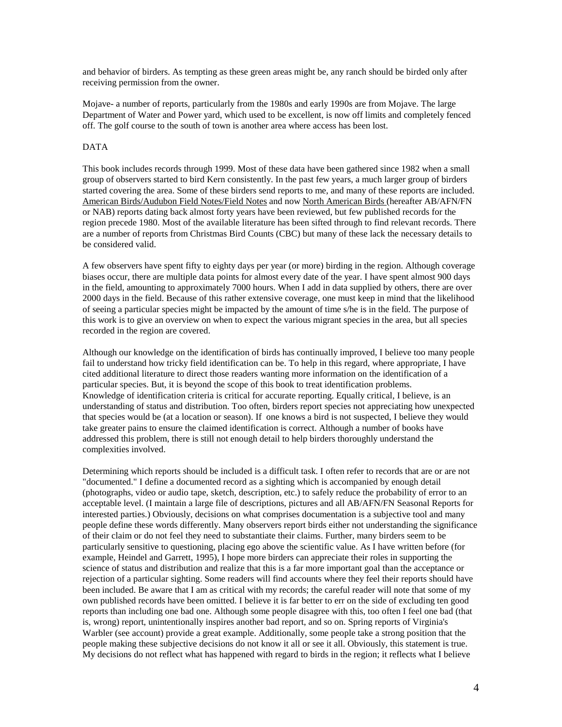and behavior of birders. As tempting as these green areas might be, any ranch should be birded only after receiving permission from the owner.

Mojave- a number of reports, particularly from the 1980s and early 1990s are from Mojave. The large Department of Water and Power yard, which used to be excellent, is now off limits and completely fenced off. The golf course to the south of town is another area where access has been lost.

# DATA

This book includes records through 1999. Most of these data have been gathered since 1982 when a small group of observers started to bird Kern consistently. In the past few years, a much larger group of birders started covering the area. Some of these birders send reports to me, and many of these reports are included. American Birds/Audubon Field Notes/Field Notes and now North American Birds (hereafter AB/AFN/FN or NAB) reports dating back almost forty years have been reviewed, but few published records for the region precede 1980. Most of the available literature has been sifted through to find relevant records. There are a number of reports from Christmas Bird Counts (CBC) but many of these lack the necessary details to be considered valid.

A few observers have spent fifty to eighty days per year (or more) birding in the region. Although coverage biases occur, there are multiple data points for almost every date of the year. I have spent almost 900 days in the field, amounting to approximately 7000 hours. When I add in data supplied by others, there are over 2000 days in the field. Because of this rather extensive coverage, one must keep in mind that the likelihood of seeing a particular species might be impacted by the amount of time s/he is in the field. The purpose of this work is to give an overview on when to expect the various migrant species in the area, but all species recorded in the region are covered.

Although our knowledge on the identification of birds has continually improved, I believe too many people fail to understand how tricky field identification can be. To help in this regard, where appropriate, I have cited additional literature to direct those readers wanting more information on the identification of a particular species. But, it is beyond the scope of this book to treat identification problems. Knowledge of identification criteria is critical for accurate reporting. Equally critical, I believe, is an understanding of status and distribution. Too often, birders report species not appreciating how unexpected that species would be (at a location or season). If one knows a bird is not suspected, I believe they would take greater pains to ensure the claimed identification is correct. Although a number of books have addressed this problem, there is still not enough detail to help birders thoroughly understand the complexities involved.

Determining which reports should be included is a difficult task. I often refer to records that are or are not "documented." I define a documented record as a sighting which is accompanied by enough detail (photographs, video or audio tape, sketch, description, etc.) to safely reduce the probability of error to an acceptable level. (I maintain a large file of descriptions, pictures and all AB/AFN/FN Seasonal Reports for interested parties.) Obviously, decisions on what comprises documentation is a subjective tool and many people define these words differently. Many observers report birds either not understanding the significance of their claim or do not feel they need to substantiate their claims. Further, many birders seem to be particularly sensitive to questioning, placing ego above the scientific value. As I have written before (for example, Heindel and Garrett, 1995), I hope more birders can appreciate their roles in supporting the science of status and distribution and realize that this is a far more important goal than the acceptance or rejection of a particular sighting. Some readers will find accounts where they feel their reports should have been included. Be aware that I am as critical with my records; the careful reader will note that some of my own published records have been omitted. I believe it is far better to err on the side of excluding ten good reports than including one bad one. Although some people disagree with this, too often I feel one bad (that is, wrong) report, unintentionally inspires another bad report, and so on. Spring reports of Virginia's Warbler (see account) provide a great example. Additionally, some people take a strong position that the people making these subjective decisions do not know it all or see it all. Obviously, this statement is true. My decisions do not reflect what has happened with regard to birds in the region; it reflects what I believe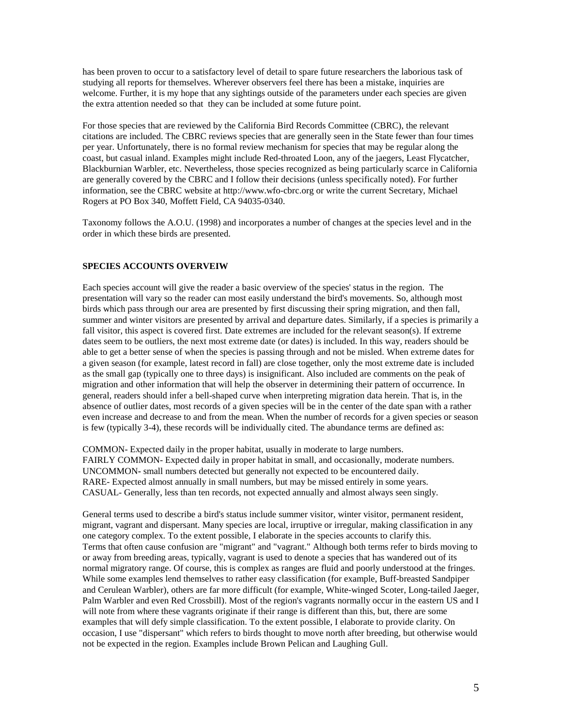has been proven to occur to a satisfactory level of detail to spare future researchers the laborious task of studying all reports for themselves. Wherever observers feel there has been a mistake, inquiries are welcome. Further, it is my hope that any sightings outside of the parameters under each species are given the extra attention needed so that they can be included at some future point.

For those species that are reviewed by the California Bird Records Committee (CBRC), the relevant citations are included. The CBRC reviews species that are generally seen in the State fewer than four times per year. Unfortunately, there is no formal review mechanism for species that may be regular along the coast, but casual inland. Examples might include Red-throated Loon, any of the jaegers, Least Flycatcher, Blackburnian Warbler, etc. Nevertheless, those species recognized as being particularly scarce in California are generally covered by the CBRC and I follow their decisions (unless specifically noted). For further information, see the CBRC website at http://www.wfo-cbrc.org or write the current Secretary, Michael Rogers at PO Box 340, Moffett Field, CA 94035-0340.

Taxonomy follows the A.O.U. (1998) and incorporates a number of changes at the species level and in the order in which these birds are presented.

# **SPECIES ACCOUNTS OVERVEIW**

Each species account will give the reader a basic overview of the species' status in the region. The presentation will vary so the reader can most easily understand the bird's movements. So, although most birds which pass through our area are presented by first discussing their spring migration, and then fall, summer and winter visitors are presented by arrival and departure dates. Similarly, if a species is primarily a fall visitor, this aspect is covered first. Date extremes are included for the relevant season(s). If extreme dates seem to be outliers, the next most extreme date (or dates) is included. In this way, readers should be able to get a better sense of when the species is passing through and not be misled. When extreme dates for a given season (for example, latest record in fall) are close together, only the most extreme date is included as the small gap (typically one to three days) is insignificant. Also included are comments on the peak of migration and other information that will help the observer in determining their pattern of occurrence. In general, readers should infer a bell-shaped curve when interpreting migration data herein. That is, in the absence of outlier dates, most records of a given species will be in the center of the date span with a rather even increase and decrease to and from the mean. When the number of records for a given species or season is few (typically 3-4), these records will be individually cited. The abundance terms are defined as:

COMMON- Expected daily in the proper habitat, usually in moderate to large numbers. FAIRLY COMMON- Expected daily in proper habitat in small, and occasionally, moderate numbers. UNCOMMON**-** small numbers detected but generally not expected to be encountered daily. RARE- Expected almost annually in small numbers, but may be missed entirely in some years. CASUAL- Generally, less than ten records, not expected annually and almost always seen singly.

General terms used to describe a bird's status include summer visitor, winter visitor, permanent resident, migrant, vagrant and dispersant. Many species are local, irruptive or irregular, making classification in any one category complex. To the extent possible, I elaborate in the species accounts to clarify this. Terms that often cause confusion are "migrant" and "vagrant." Although both terms refer to birds moving to or away from breeding areas, typically, vagrant is used to denote a species that has wandered out of its normal migratory range. Of course, this is complex as ranges are fluid and poorly understood at the fringes. While some examples lend themselves to rather easy classification (for example, Buff-breasted Sandpiper and Cerulean Warbler), others are far more difficult (for example, White-winged Scoter, Long-tailed Jaeger, Palm Warbler and even Red Crossbill). Most of the region's vagrants normally occur in the eastern US and I will note from where these vagrants originate if their range is different than this, but, there are some examples that will defy simple classification. To the extent possible, I elaborate to provide clarity. On occasion, I use "dispersant" which refers to birds thought to move north after breeding, but otherwise would not be expected in the region. Examples include Brown Pelican and Laughing Gull.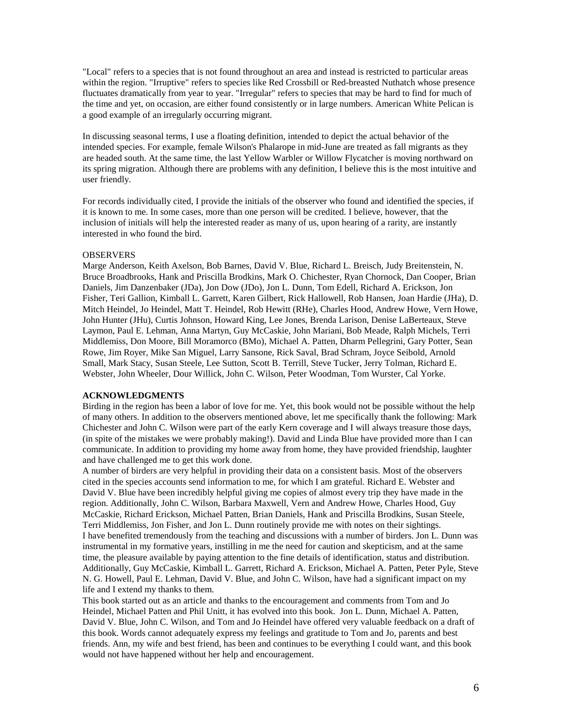"Local" refers to a species that is not found throughout an area and instead is restricted to particular areas within the region. "Irruptive" refers to species like Red Crossbill or Red-breasted Nuthatch whose presence fluctuates dramatically from year to year. "Irregular" refers to species that may be hard to find for much of the time and yet, on occasion, are either found consistently or in large numbers. American White Pelican is a good example of an irregularly occurring migrant.

In discussing seasonal terms, I use a floating definition, intended to depict the actual behavior of the intended species. For example, female Wilson's Phalarope in mid-June are treated as fall migrants as they are headed south. At the same time, the last Yellow Warbler or Willow Flycatcher is moving northward on its spring migration. Although there are problems with any definition, I believe this is the most intuitive and user friendly.

For records individually cited, I provide the initials of the observer who found and identified the species, if it is known to me. In some cases, more than one person will be credited. I believe, however, that the inclusion of initials will help the interested reader as many of us, upon hearing of a rarity, are instantly interested in who found the bird.

#### **OBSERVERS**

Marge Anderson, Keith Axelson, Bob Barnes, David V. Blue, Richard L. Breisch, Judy Breitenstein, N. Bruce Broadbrooks, Hank and Priscilla Brodkins, Mark O. Chichester, Ryan Chornock, Dan Cooper, Brian Daniels, Jim Danzenbaker (JDa), Jon Dow (JDo), Jon L. Dunn, Tom Edell, Richard A. Erickson, Jon Fisher, Teri Gallion, Kimball L. Garrett, Karen Gilbert, Rick Hallowell, Rob Hansen, Joan Hardie (JHa), D. Mitch Heindel, Jo Heindel, Matt T. Heindel, Rob Hewitt (RHe), Charles Hood, Andrew Howe, Vern Howe, John Hunter (JHu), Curtis Johnson, Howard King, Lee Jones, Brenda Larison, Denise LaBerteaux, Steve Laymon, Paul E. Lehman, Anna Martyn, Guy McCaskie, John Mariani, Bob Meade, Ralph Michels, Terri Middlemiss, Don Moore, Bill Moramorco (BMo), Michael A. Patten, Dharm Pellegrini, Gary Potter, Sean Rowe, Jim Royer, Mike San Miguel, Larry Sansone, Rick Saval, Brad Schram, Joyce Seibold, Arnold Small, Mark Stacy, Susan Steele, Lee Sutton, Scott B. Terrill, Steve Tucker, Jerry Tolman, Richard E. Webster, John Wheeler, Dour Willick, John C. Wilson, Peter Woodman, Tom Wurster, Cal Yorke.

#### **ACKNOWLEDGMENTS**

Birding in the region has been a labor of love for me. Yet, this book would not be possible without the help of many others. In addition to the observers mentioned above, let me specifically thank the following: Mark Chichester and John C. Wilson were part of the early Kern coverage and I will always treasure those days, (in spite of the mistakes we were probably making!). David and Linda Blue have provided more than I can communicate. In addition to providing my home away from home, they have provided friendship, laughter and have challenged me to get this work done.

A number of birders are very helpful in providing their data on a consistent basis. Most of the observers cited in the species accounts send information to me, for which I am grateful. Richard E. Webster and David V. Blue have been incredibly helpful giving me copies of almost every trip they have made in the region. Additionally, John C. Wilson, Barbara Maxwell, Vern and Andrew Howe, Charles Hood, Guy McCaskie, Richard Erickson, Michael Patten, Brian Daniels, Hank and Priscilla Brodkins, Susan Steele, Terri Middlemiss, Jon Fisher, and Jon L. Dunn routinely provide me with notes on their sightings. I have benefited tremendously from the teaching and discussions with a number of birders. Jon L. Dunn was instrumental in my formative years, instilling in me the need for caution and skepticism, and at the same time, the pleasure available by paying attention to the fine details of identification, status and distribution. Additionally, Guy McCaskie, Kimball L. Garrett, Richard A. Erickson, Michael A. Patten, Peter Pyle, Steve N. G. Howell, Paul E. Lehman, David V. Blue, and John C. Wilson, have had a significant impact on my life and I extend my thanks to them.

This book started out as an article and thanks to the encouragement and comments from Tom and Jo Heindel, Michael Patten and Phil Unitt, it has evolved into this book. Jon L. Dunn, Michael A. Patten, David V. Blue, John C. Wilson, and Tom and Jo Heindel have offered very valuable feedback on a draft of this book. Words cannot adequately express my feelings and gratitude to Tom and Jo, parents and best friends. Ann, my wife and best friend, has been and continues to be everything I could want, and this book would not have happened without her help and encouragement.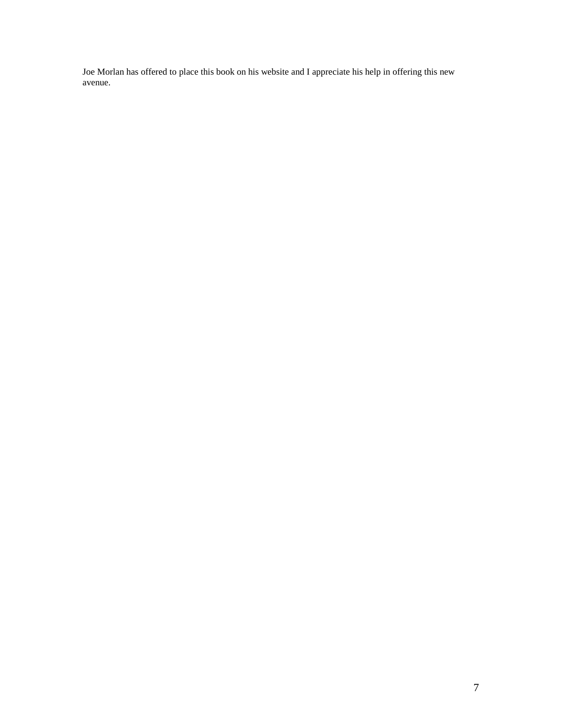Joe Morlan has offered to place this book on his website and I appreciate his help in offering this new avenue.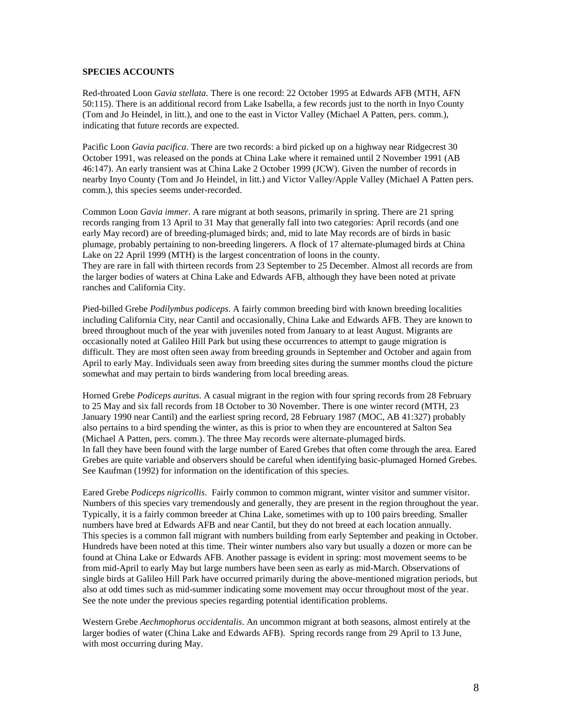### **SPECIES ACCOUNTS**

Red-throated Loon *Gavia stellata*. There is one record: 22 October 1995 at Edwards AFB (MTH, AFN 50:115). There is an additional record from Lake Isabella, a few records just to the north in Inyo County (Tom and Jo Heindel, in litt.), and one to the east in Victor Valley (Michael A Patten, pers. comm.), indicating that future records are expected.

Pacific Loon *Gavia pacifica*. There are two records: a bird picked up on a highway near Ridgecrest 30 October 1991, was released on the ponds at China Lake where it remained until 2 November 1991 (AB 46:147). An early transient was at China Lake 2 October 1999 (JCW). Given the number of records in nearby Inyo County (Tom and Jo Heindel, in litt.) and Victor Valley/Apple Valley (Michael A Patten pers. comm.), this species seems under-recorded.

Common Loon *Gavia immer*. A rare migrant at both seasons, primarily in spring. There are 21 spring records ranging from 13 April to 31 May that generally fall into two categories: April records (and one early May record) are of breeding-plumaged birds; and, mid to late May records are of birds in basic plumage, probably pertaining to non-breeding lingerers. A flock of 17 alternate-plumaged birds at China Lake on 22 April 1999 (MTH) is the largest concentration of loons in the county. They are rare in fall with thirteen records from 23 September to 25 December. Almost all records are from the larger bodies of waters at China Lake and Edwards AFB, although they have been noted at private ranches and California City.

Pied-billed Grebe *Podilymbus podiceps*. A fairly common breeding bird with known breeding localities including California City, near Cantil and occasionally, China Lake and Edwards AFB. They are known to breed throughout much of the year with juveniles noted from January to at least August. Migrants are occasionally noted at Galileo Hill Park but using these occurrences to attempt to gauge migration is difficult. They are most often seen away from breeding grounds in September and October and again from April to early May. Individuals seen away from breeding sites during the summer months cloud the picture somewhat and may pertain to birds wandering from local breeding areas.

Horned Grebe *Podiceps auritus*. A casual migrant in the region with four spring records from 28 February to 25 May and six fall records from 18 October to 30 November. There is one winter record (MTH, 23 January 1990 near Cantil) and the earliest spring record, 28 February 1987 (MOC, AB 41:327) probably also pertains to a bird spending the winter, as this is prior to when they are encountered at Salton Sea (Michael A Patten, pers. comm.). The three May records were alternate-plumaged birds. In fall they have been found with the large number of Eared Grebes that often come through the area. Eared Grebes are quite variable and observers should be careful when identifying basic-plumaged Horned Grebes. See Kaufman (1992) for information on the identification of this species.

Eared Grebe *Podiceps nigricollis*. Fairly common to common migrant, winter visitor and summer visitor. Numbers of this species vary tremendously and generally, they are present in the region throughout the year. Typically, it is a fairly common breeder at China Lake, sometimes with up to 100 pairs breeding. Smaller numbers have bred at Edwards AFB and near Cantil, but they do not breed at each location annually. This species is a common fall migrant with numbers building from early September and peaking in October. Hundreds have been noted at this time. Their winter numbers also vary but usually a dozen or more can be found at China Lake or Edwards AFB. Another passage is evident in spring: most movement seems to be from mid-April to early May but large numbers have been seen as early as mid-March. Observations of single birds at Galileo Hill Park have occurred primarily during the above-mentioned migration periods, but also at odd times such as mid-summer indicating some movement may occur throughout most of the year. See the note under the previous species regarding potential identification problems.

Western Grebe *Aechmophorus occidentalis*. An uncommon migrant at both seasons, almost entirely at the larger bodies of water (China Lake and Edwards AFB). Spring records range from 29 April to 13 June, with most occurring during May.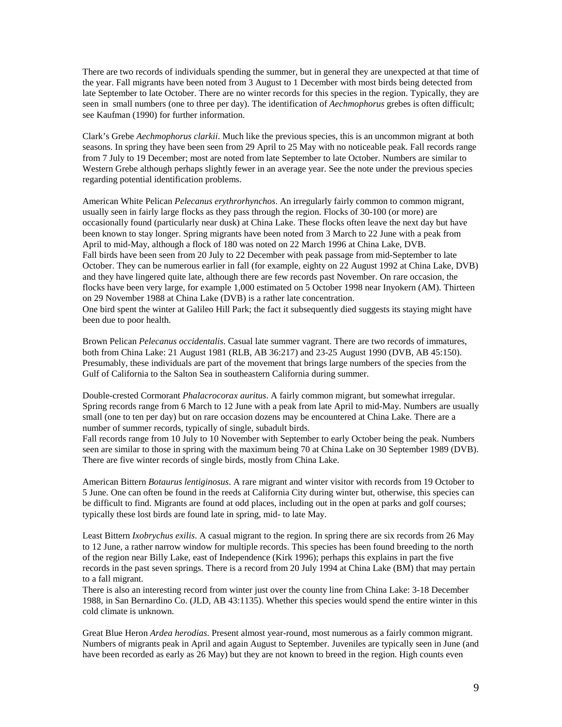There are two records of individuals spending the summer, but in general they are unexpected at that time of the year. Fall migrants have been noted from 3 August to 1 December with most birds being detected from late September to late October. There are no winter records for this species in the region. Typically, they are seen in small numbers (one to three per day). The identification of *Aechmophorus* grebes is often difficult; see Kaufman (1990) for further information.

Clark's Grebe *Aechmophorus clarkii*. Much like the previous species, this is an uncommon migrant at both seasons. In spring they have been seen from 29 April to 25 May with no noticeable peak. Fall records range from 7 July to 19 December; most are noted from late September to late October. Numbers are similar to Western Grebe although perhaps slightly fewer in an average year. See the note under the previous species regarding potential identification problems.

American White Pelican *Pelecanus erythrorhynchos*. An irregularly fairly common to common migrant, usually seen in fairly large flocks as they pass through the region. Flocks of 30-100 (or more) are occasionally found (particularly near dusk) at China Lake. These flocks often leave the next day but have been known to stay longer. Spring migrants have been noted from 3 March to 22 June with a peak from April to mid-May, although a flock of 180 was noted on 22 March 1996 at China Lake, DVB. Fall birds have been seen from 20 July to 22 December with peak passage from mid-September to late October. They can be numerous earlier in fall (for example, eighty on 22 August 1992 at China Lake, DVB) and they have lingered quite late, although there are few records past November. On rare occasion, the flocks have been very large, for example 1,000 estimated on 5 October 1998 near Inyokern (AM). Thirteen on 29 November 1988 at China Lake (DVB) is a rather late concentration. One bird spent the winter at Galileo Hill Park; the fact it subsequently died suggests its staying might have been due to poor health.

Brown Pelican *Pelecanus occidentalis*. Casual late summer vagrant. There are two records of immatures, both from China Lake: 21 August 1981 (RLB, AB 36:217) and 23-25 August 1990 (DVB, AB 45:150). Presumably, these individuals are part of the movement that brings large numbers of the species from the Gulf of California to the Salton Sea in southeastern California during summer.

Double-crested Cormorant *Phalacrocorax auritus*. A fairly common migrant, but somewhat irregular. Spring records range from 6 March to 12 June with a peak from late April to mid-May. Numbers are usually small (one to ten per day) but on rare occasion dozens may be encountered at China Lake. There are a number of summer records, typically of single, subadult birds.

Fall records range from 10 July to 10 November with September to early October being the peak. Numbers seen are similar to those in spring with the maximum being 70 at China Lake on 30 September 1989 (DVB). There are five winter records of single birds, mostly from China Lake.

American Bittern *Botaurus lentiginosus*. A rare migrant and winter visitor with records from 19 October to 5 June. One can often be found in the reeds at California City during winter but, otherwise, this species can be difficult to find. Migrants are found at odd places, including out in the open at parks and golf courses; typically these lost birds are found late in spring, mid- to late May.

Least Bittern *Ixobrychus exilis*. A casual migrant to the region. In spring there are six records from 26 May to 12 June, a rather narrow window for multiple records. This species has been found breeding to the north of the region near Billy Lake, east of Independence (Kirk 1996); perhaps this explains in part the five records in the past seven springs. There is a record from 20 July 1994 at China Lake (BM) that may pertain to a fall migrant.

There is also an interesting record from winter just over the county line from China Lake: 3-18 December 1988, in San Bernardino Co. (JLD, AB 43:1135). Whether this species would spend the entire winter in this cold climate is unknown.

Great Blue Heron *Ardea herodias*. Present almost year-round, most numerous as a fairly common migrant. Numbers of migrants peak in April and again August to September. Juveniles are typically seen in June (and have been recorded as early as 26 May) but they are not known to breed in the region. High counts even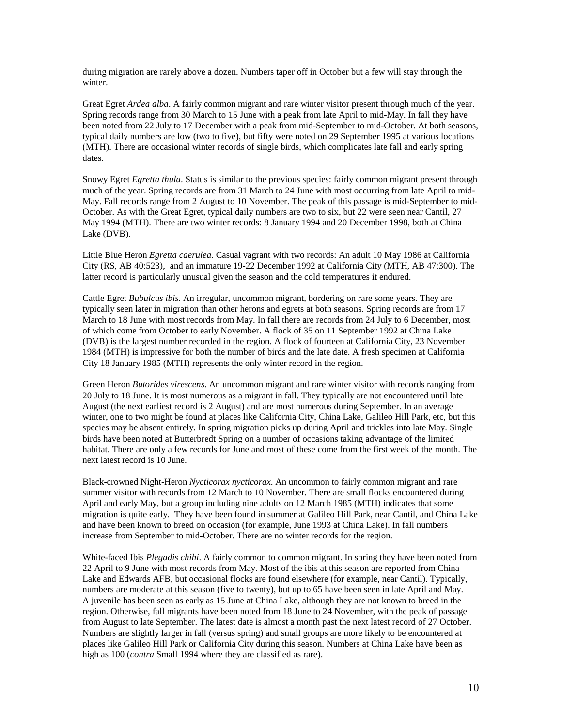during migration are rarely above a dozen. Numbers taper off in October but a few will stay through the winter.

Great Egret *Ardea alba*. A fairly common migrant and rare winter visitor present through much of the year. Spring records range from 30 March to 15 June with a peak from late April to mid-May. In fall they have been noted from 22 July to 17 December with a peak from mid-September to mid-October. At both seasons, typical daily numbers are low (two to five), but fifty were noted on 29 September 1995 at various locations (MTH). There are occasional winter records of single birds, which complicates late fall and early spring dates.

Snowy Egret *Egretta thula*. Status is similar to the previous species: fairly common migrant present through much of the year. Spring records are from 31 March to 24 June with most occurring from late April to mid-May. Fall records range from 2 August to 10 November. The peak of this passage is mid-September to mid-October. As with the Great Egret, typical daily numbers are two to six, but 22 were seen near Cantil, 27 May 1994 (MTH). There are two winter records: 8 January 1994 and 20 December 1998, both at China Lake (DVB).

Little Blue Heron *Egretta caerulea*. Casual vagrant with two records: An adult 10 May 1986 at California City (RS, AB 40:523), and an immature 19-22 December 1992 at California City (MTH, AB 47:300). The latter record is particularly unusual given the season and the cold temperatures it endured.

Cattle Egret *Bubulcus ibis*. An irregular, uncommon migrant, bordering on rare some years. They are typically seen later in migration than other herons and egrets at both seasons. Spring records are from 17 March to 18 June with most records from May. In fall there are records from 24 July to 6 December, most of which come from October to early November. A flock of 35 on 11 September 1992 at China Lake (DVB) is the largest number recorded in the region. A flock of fourteen at California City, 23 November 1984 (MTH) is impressive for both the number of birds and the late date. A fresh specimen at California City 18 January 1985 (MTH) represents the only winter record in the region.

Green Heron *Butorides virescens*. An uncommon migrant and rare winter visitor with records ranging from 20 July to 18 June. It is most numerous as a migrant in fall. They typically are not encountered until late August (the next earliest record is 2 August) and are most numerous during September. In an average winter, one to two might be found at places like California City, China Lake, Galileo Hill Park, etc, but this species may be absent entirely. In spring migration picks up during April and trickles into late May. Single birds have been noted at Butterbredt Spring on a number of occasions taking advantage of the limited habitat. There are only a few records for June and most of these come from the first week of the month. The next latest record is 10 June.

Black-crowned Night-Heron *Nycticorax nycticorax*. An uncommon to fairly common migrant and rare summer visitor with records from 12 March to 10 November. There are small flocks encountered during April and early May, but a group including nine adults on 12 March 1985 (MTH) indicates that some migration is quite early. They have been found in summer at Galileo Hill Park, near Cantil, and China Lake and have been known to breed on occasion (for example, June 1993 at China Lake). In fall numbers increase from September to mid-October. There are no winter records for the region.

White-faced Ibis *Plegadis chihi*. A fairly common to common migrant. In spring they have been noted from 22 April to 9 June with most records from May. Most of the ibis at this season are reported from China Lake and Edwards AFB, but occasional flocks are found elsewhere (for example, near Cantil). Typically, numbers are moderate at this season (five to twenty), but up to 65 have been seen in late April and May. A juvenile has been seen as early as 15 June at China Lake, although they are not known to breed in the region. Otherwise, fall migrants have been noted from 18 June to 24 November, with the peak of passage from August to late September. The latest date is almost a month past the next latest record of 27 October. Numbers are slightly larger in fall (versus spring) and small groups are more likely to be encountered at places like Galileo Hill Park or California City during this season. Numbers at China Lake have been as high as 100 (*contra* Small 1994 where they are classified as rare).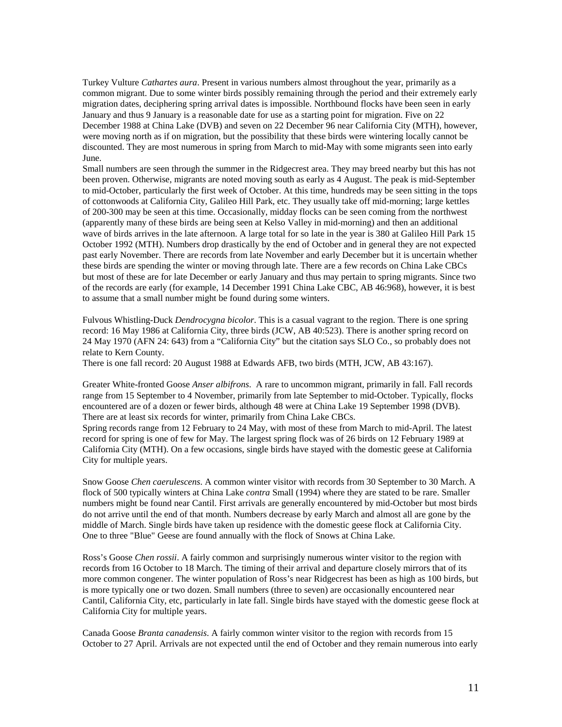Turkey Vulture *Cathartes aura*. Present in various numbers almost throughout the year, primarily as a common migrant. Due to some winter birds possibly remaining through the period and their extremely early migration dates, deciphering spring arrival dates is impossible. Northbound flocks have been seen in early January and thus 9 January is a reasonable date for use as a starting point for migration. Five on 22 December 1988 at China Lake (DVB) and seven on 22 December 96 near California City (MTH), however, were moving north as if on migration, but the possibility that these birds were wintering locally cannot be discounted. They are most numerous in spring from March to mid-May with some migrants seen into early June.

Small numbers are seen through the summer in the Ridgecrest area. They may breed nearby but this has not been proven. Otherwise, migrants are noted moving south as early as 4 August. The peak is mid-September to mid-October, particularly the first week of October. At this time, hundreds may be seen sitting in the tops of cottonwoods at California City, Galileo Hill Park, etc. They usually take off mid-morning; large kettles of 200-300 may be seen at this time. Occasionally, midday flocks can be seen coming from the northwest (apparently many of these birds are being seen at Kelso Valley in mid-morning) and then an additional wave of birds arrives in the late afternoon. A large total for so late in the year is 380 at Galileo Hill Park 15 October 1992 (MTH). Numbers drop drastically by the end of October and in general they are not expected past early November. There are records from late November and early December but it is uncertain whether these birds are spending the winter or moving through late. There are a few records on China Lake CBCs but most of these are for late December or early January and thus may pertain to spring migrants. Since two of the records are early (for example, 14 December 1991 China Lake CBC, AB 46:968), however, it is best to assume that a small number might be found during some winters.

Fulvous Whistling-Duck *Dendrocygna bicolor*. This is a casual vagrant to the region. There is one spring record: 16 May 1986 at California City, three birds (JCW, AB 40:523). There is another spring record on 24 May 1970 (AFN 24: 643) from a "California City" but the citation says SLO Co., so probably does not relate to Kern County.

There is one fall record: 20 August 1988 at Edwards AFB, two birds (MTH, JCW, AB 43:167).

Greater White-fronted Goose *Anser albifrons*. A rare to uncommon migrant, primarily in fall. Fall records range from 15 September to 4 November, primarily from late September to mid-October. Typically, flocks encountered are of a dozen or fewer birds, although 48 were at China Lake 19 September 1998 (DVB). There are at least six records for winter, primarily from China Lake CBCs.

Spring records range from 12 February to 24 May, with most of these from March to mid-April. The latest record for spring is one of few for May. The largest spring flock was of 26 birds on 12 February 1989 at California City (MTH). On a few occasions, single birds have stayed with the domestic geese at California City for multiple years.

Snow Goose *Chen caerulescens*. A common winter visitor with records from 30 September to 30 March. A flock of 500 typically winters at China Lake *contra* Small (1994) where they are stated to be rare. Smaller numbers might be found near Cantil. First arrivals are generally encountered by mid-October but most birds do not arrive until the end of that month. Numbers decrease by early March and almost all are gone by the middle of March. Single birds have taken up residence with the domestic geese flock at California City. One to three "Blue" Geese are found annually with the flock of Snows at China Lake.

Ross's Goose *Chen rossii*. A fairly common and surprisingly numerous winter visitor to the region with records from 16 October to 18 March. The timing of their arrival and departure closely mirrors that of its more common congener. The winter population of Ross's near Ridgecrest has been as high as 100 birds, but is more typically one or two dozen. Small numbers (three to seven) are occasionally encountered near Cantil, California City, etc, particularly in late fall. Single birds have stayed with the domestic geese flock at California City for multiple years.

Canada Goose *Branta canadensis*. A fairly common winter visitor to the region with records from 15 October to 27 April. Arrivals are not expected until the end of October and they remain numerous into early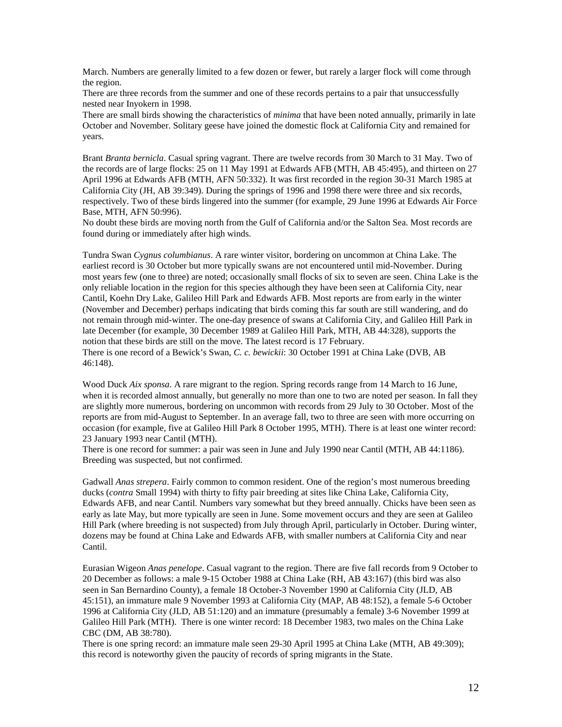March. Numbers are generally limited to a few dozen or fewer, but rarely a larger flock will come through the region.

There are three records from the summer and one of these records pertains to a pair that unsuccessfully nested near Inyokern in 1998.

There are small birds showing the characteristics of *minima* that have been noted annually, primarily in late October and November. Solitary geese have joined the domestic flock at California City and remained for years.

Brant *Branta bernicla*. Casual spring vagrant. There are twelve records from 30 March to 31 May. Two of the records are of large flocks: 25 on 11 May 1991 at Edwards AFB (MTH, AB 45:495), and thirteen on 27 April 1996 at Edwards AFB (MTH, AFN 50:332). It was first recorded in the region 30-31 March 1985 at California City (JH, AB 39:349). During the springs of 1996 and 1998 there were three and six records, respectively. Two of these birds lingered into the summer (for example, 29 June 1996 at Edwards Air Force Base, MTH, AFN 50:996).

No doubt these birds are moving north from the Gulf of California and/or the Salton Sea. Most records are found during or immediately after high winds.

Tundra Swan *Cygnus columbianus*. A rare winter visitor, bordering on uncommon at China Lake. The earliest record is 30 October but more typically swans are not encountered until mid-November. During most years few (one to three) are noted; occasionally small flocks of six to seven are seen. China Lake is the only reliable location in the region for this species although they have been seen at California City, near Cantil, Koehn Dry Lake, Galileo Hill Park and Edwards AFB. Most reports are from early in the winter (November and December) perhaps indicating that birds coming this far south are still wandering, and do not remain through mid-winter. The one-day presence of swans at California City, and Galileo Hill Park in late December (for example, 30 December 1989 at Galileo Hill Park, MTH, AB 44:328), supports the notion that these birds are still on the move. The latest record is 17 February. There is one record of a Bewick's Swan, *C. c. bewickii*: 30 October 1991 at China Lake (DVB, AB 46:148).

Wood Duck *Aix sponsa*. A rare migrant to the region. Spring records range from 14 March to 16 June, when it is recorded almost annually, but generally no more than one to two are noted per season. In fall they are slightly more numerous, bordering on uncommon with records from 29 July to 30 October. Most of the reports are from mid-August to September. In an average fall, two to three are seen with more occurring on occasion (for example, five at Galileo Hill Park 8 October 1995, MTH). There is at least one winter record: 23 January 1993 near Cantil (MTH).

There is one record for summer: a pair was seen in June and July 1990 near Cantil (MTH, AB 44:1186). Breeding was suspected, but not confirmed.

Gadwall *Anas strepera*. Fairly common to common resident. One of the region's most numerous breeding ducks (*contra* Small 1994) with thirty to fifty pair breeding at sites like China Lake, California City, Edwards AFB, and near Cantil. Numbers vary somewhat but they breed annually. Chicks have been seen as early as late May, but more typically are seen in June. Some movement occurs and they are seen at Galileo Hill Park (where breeding is not suspected) from July through April, particularly in October. During winter, dozens may be found at China Lake and Edwards AFB, with smaller numbers at California City and near Cantil.

Eurasian Wigeon *Anas penelope*. Casual vagrant to the region. There are five fall records from 9 October to 20 December as follows: a male 9-15 October 1988 at China Lake (RH, AB 43:167) (this bird was also seen in San Bernardino County), a female 18 October-3 November 1990 at California City (JLD, AB 45:151), an immature male 9 November 1993 at California City (MAP, AB 48:152), a female 5-6 October 1996 at California City (JLD, AB 51:120) and an immature (presumably a female) 3-6 November 1999 at Galileo Hill Park (MTH). There is one winter record: 18 December 1983, two males on the China Lake CBC (DM, AB 38:780).

There is one spring record: an immature male seen 29-30 April 1995 at China Lake (MTH, AB 49:309); this record is noteworthy given the paucity of records of spring migrants in the State.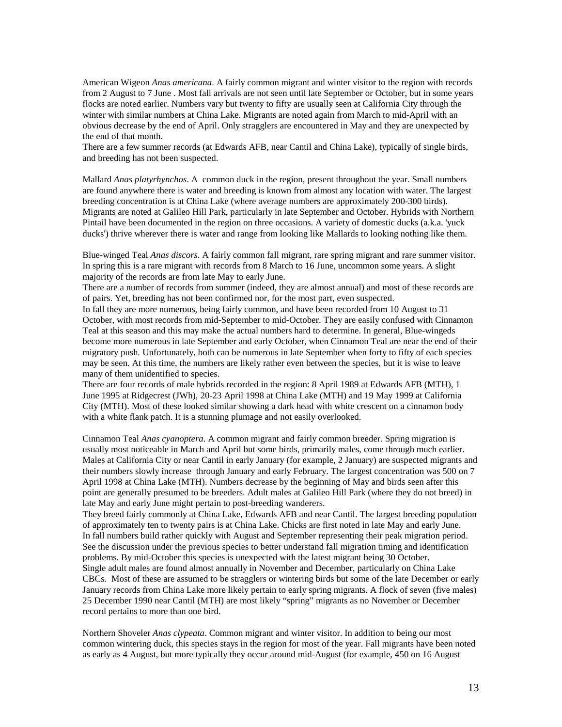American Wigeon *Anas americana*. A fairly common migrant and winter visitor to the region with records from 2 August to 7 June . Most fall arrivals are not seen until late September or October, but in some years flocks are noted earlier. Numbers vary but twenty to fifty are usually seen at California City through the winter with similar numbers at China Lake. Migrants are noted again from March to mid-April with an obvious decrease by the end of April. Only stragglers are encountered in May and they are unexpected by the end of that month.

There are a few summer records (at Edwards AFB, near Cantil and China Lake), typically of single birds, and breeding has not been suspected.

Mallard *Anas platyrhynchos*. A common duck in the region, present throughout the year. Small numbers are found anywhere there is water and breeding is known from almost any location with water. The largest breeding concentration is at China Lake (where average numbers are approximately 200-300 birds). Migrants are noted at Galileo Hill Park, particularly in late September and October. Hybrids with Northern Pintail have been documented in the region on three occasions. A variety of domestic ducks (a.k.a. 'yuck ducks') thrive wherever there is water and range from looking like Mallards to looking nothing like them.

Blue-winged Teal *Anas discors*. A fairly common fall migrant, rare spring migrant and rare summer visitor. In spring this is a rare migrant with records from 8 March to 16 June, uncommon some years. A slight majority of the records are from late May to early June.

There are a number of records from summer (indeed, they are almost annual) and most of these records are of pairs. Yet, breeding has not been confirmed nor, for the most part, even suspected.

In fall they are more numerous, being fairly common, and have been recorded from 10 August to 31 October, with most records from mid-September to mid-October. They are easily confused with Cinnamon Teal at this season and this may make the actual numbers hard to determine. In general, Blue-wingeds become more numerous in late September and early October, when Cinnamon Teal are near the end of their migratory push. Unfortunately, both can be numerous in late September when forty to fifty of each species may be seen. At this time, the numbers are likely rather even between the species, but it is wise to leave many of them unidentified to species.

There are four records of male hybrids recorded in the region: 8 April 1989 at Edwards AFB (MTH), 1 June 1995 at Ridgecrest (JWh), 20-23 April 1998 at China Lake (MTH) and 19 May 1999 at California City (MTH). Most of these looked similar showing a dark head with white crescent on a cinnamon body with a white flank patch. It is a stunning plumage and not easily overlooked.

Cinnamon Teal *Anas cyanoptera*. A common migrant and fairly common breeder. Spring migration is usually most noticeable in March and April but some birds, primarily males, come through much earlier. Males at California City or near Cantil in early January (for example, 2 January) are suspected migrants and their numbers slowly increase through January and early February. The largest concentration was 500 on 7 April 1998 at China Lake (MTH). Numbers decrease by the beginning of May and birds seen after this point are generally presumed to be breeders. Adult males at Galileo Hill Park (where they do not breed) in late May and early June might pertain to post-breeding wanderers.

They breed fairly commonly at China Lake, Edwards AFB and near Cantil. The largest breeding population of approximately ten to twenty pairs is at China Lake. Chicks are first noted in late May and early June. In fall numbers build rather quickly with August and September representing their peak migration period. See the discussion under the previous species to better understand fall migration timing and identification problems. By mid-October this species is unexpected with the latest migrant being 30 October. Single adult males are found almost annually in November and December, particularly on China Lake CBCs. Most of these are assumed to be stragglers or wintering birds but some of the late December or early January records from China Lake more likely pertain to early spring migrants. A flock of seven (five males) 25 December 1990 near Cantil (MTH) are most likely "spring" migrants as no November or December record pertains to more than one bird.

Northern Shoveler *Anas clypeata*. Common migrant and winter visitor. In addition to being our most common wintering duck, this species stays in the region for most of the year. Fall migrants have been noted as early as 4 August, but more typically they occur around mid-August (for example, 450 on 16 August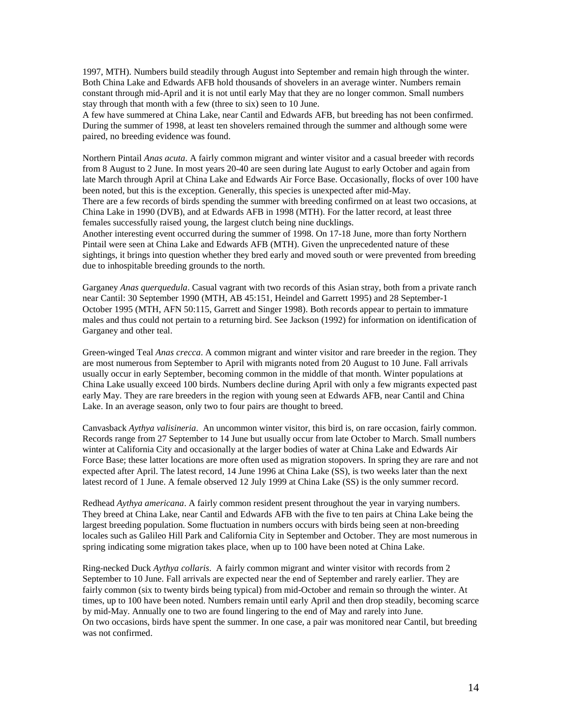1997, MTH). Numbers build steadily through August into September and remain high through the winter. Both China Lake and Edwards AFB hold thousands of shovelers in an average winter. Numbers remain constant through mid-April and it is not until early May that they are no longer common. Small numbers stay through that month with a few (three to six) seen to 10 June.

A few have summered at China Lake, near Cantil and Edwards AFB, but breeding has not been confirmed. During the summer of 1998, at least ten shovelers remained through the summer and although some were paired, no breeding evidence was found.

Northern Pintail *Anas acuta*. A fairly common migrant and winter visitor and a casual breeder with records from 8 August to 2 June. In most years 20-40 are seen during late August to early October and again from late March through April at China Lake and Edwards Air Force Base. Occasionally, flocks of over 100 have been noted, but this is the exception. Generally, this species is unexpected after mid-May. There are a few records of birds spending the summer with breeding confirmed on at least two occasions, at China Lake in 1990 (DVB), and at Edwards AFB in 1998 (MTH). For the latter record, at least three females successfully raised young, the largest clutch being nine ducklings.

Another interesting event occurred during the summer of 1998. On 17-18 June, more than forty Northern Pintail were seen at China Lake and Edwards AFB (MTH). Given the unprecedented nature of these sightings, it brings into question whether they bred early and moved south or were prevented from breeding due to inhospitable breeding grounds to the north.

Garganey *Anas querquedula*. Casual vagrant with two records of this Asian stray, both from a private ranch near Cantil: 30 September 1990 (MTH, AB 45:151, Heindel and Garrett 1995) and 28 September-1 October 1995 (MTH, AFN 50:115, Garrett and Singer 1998). Both records appear to pertain to immature males and thus could not pertain to a returning bird. See Jackson (1992) for information on identification of Garganey and other teal.

Green-winged Teal *Anas crecca*. A common migrant and winter visitor and rare breeder in the region. They are most numerous from September to April with migrants noted from 20 August to 10 June. Fall arrivals usually occur in early September, becoming common in the middle of that month. Winter populations at China Lake usually exceed 100 birds. Numbers decline during April with only a few migrants expected past early May. They are rare breeders in the region with young seen at Edwards AFB, near Cantil and China Lake. In an average season, only two to four pairs are thought to breed.

Canvasback *Aythya valisineria*. An uncommon winter visitor, this bird is, on rare occasion, fairly common. Records range from 27 September to 14 June but usually occur from late October to March. Small numbers winter at California City and occasionally at the larger bodies of water at China Lake and Edwards Air Force Base; these latter locations are more often used as migration stopovers. In spring they are rare and not expected after April. The latest record, 14 June 1996 at China Lake (SS), is two weeks later than the next latest record of 1 June. A female observed 12 July 1999 at China Lake (SS) is the only summer record.

Redhead *Aythya americana*. A fairly common resident present throughout the year in varying numbers. They breed at China Lake, near Cantil and Edwards AFB with the five to ten pairs at China Lake being the largest breeding population. Some fluctuation in numbers occurs with birds being seen at non-breeding locales such as Galileo Hill Park and California City in September and October. They are most numerous in spring indicating some migration takes place, when up to 100 have been noted at China Lake.

Ring-necked Duck *Aythya collaris*. A fairly common migrant and winter visitor with records from 2 September to 10 June. Fall arrivals are expected near the end of September and rarely earlier. They are fairly common (six to twenty birds being typical) from mid-October and remain so through the winter. At times, up to 100 have been noted. Numbers remain until early April and then drop steadily, becoming scarce by mid-May. Annually one to two are found lingering to the end of May and rarely into June. On two occasions, birds have spent the summer. In one case, a pair was monitored near Cantil, but breeding was not confirmed.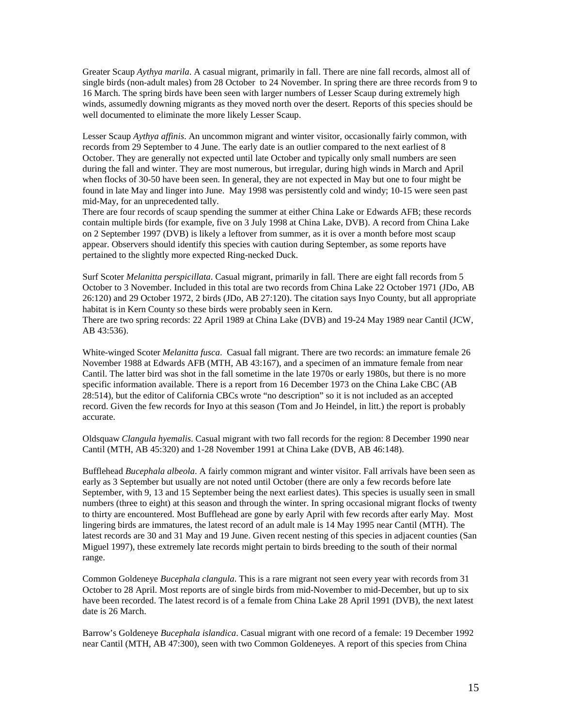Greater Scaup *Aythya marila*. A casual migrant, primarily in fall. There are nine fall records, almost all of single birds (non-adult males) from 28 October to 24 November. In spring there are three records from 9 to 16 March. The spring birds have been seen with larger numbers of Lesser Scaup during extremely high winds, assumedly downing migrants as they moved north over the desert. Reports of this species should be well documented to eliminate the more likely Lesser Scaup.

Lesser Scaup *Aythya affinis*. An uncommon migrant and winter visitor, occasionally fairly common, with records from 29 September to 4 June. The early date is an outlier compared to the next earliest of 8 October. They are generally not expected until late October and typically only small numbers are seen during the fall and winter. They are most numerous, but irregular, during high winds in March and April when flocks of 30-50 have been seen. In general, they are not expected in May but one to four might be found in late May and linger into June. May 1998 was persistently cold and windy; 10-15 were seen past mid-May, for an unprecedented tally.

There are four records of scaup spending the summer at either China Lake or Edwards AFB; these records contain multiple birds (for example, five on 3 July 1998 at China Lake, DVB). A record from China Lake on 2 September 1997 (DVB) is likely a leftover from summer, as it is over a month before most scaup appear. Observers should identify this species with caution during September, as some reports have pertained to the slightly more expected Ring-necked Duck.

Surf Scoter *Melanitta perspicillata*. Casual migrant, primarily in fall. There are eight fall records from 5 October to 3 November. Included in this total are two records from China Lake 22 October 1971 (JDo, AB 26:120) and 29 October 1972, 2 birds (JDo, AB 27:120). The citation says Inyo County, but all appropriate habitat is in Kern County so these birds were probably seen in Kern.

There are two spring records: 22 April 1989 at China Lake (DVB) and 19-24 May 1989 near Cantil (JCW, AB 43:536).

White-winged Scoter *Melanitta fusca*. Casual fall migrant. There are two records: an immature female 26 November 1988 at Edwards AFB (MTH, AB 43:167), and a specimen of an immature female from near Cantil. The latter bird was shot in the fall sometime in the late 1970s or early 1980s, but there is no more specific information available. There is a report from 16 December 1973 on the China Lake CBC (AB 28:514), but the editor of California CBCs wrote "no description" so it is not included as an accepted record. Given the few records for Inyo at this season (Tom and Jo Heindel, in litt.) the report is probably accurate.

Oldsquaw *Clangula hyemalis*. Casual migrant with two fall records for the region: 8 December 1990 near Cantil (MTH, AB 45:320) and 1-28 November 1991 at China Lake (DVB, AB 46:148).

Bufflehead *Bucephala albeola*. A fairly common migrant and winter visitor. Fall arrivals have been seen as early as 3 September but usually are not noted until October (there are only a few records before late September, with 9, 13 and 15 September being the next earliest dates). This species is usually seen in small numbers (three to eight) at this season and through the winter. In spring occasional migrant flocks of twenty to thirty are encountered. Most Bufflehead are gone by early April with few records after early May. Most lingering birds are immatures, the latest record of an adult male is 14 May 1995 near Cantil (MTH). The latest records are 30 and 31 May and 19 June. Given recent nesting of this species in adjacent counties (San Miguel 1997), these extremely late records might pertain to birds breeding to the south of their normal range.

Common Goldeneye *Bucephala clangula*. This is a rare migrant not seen every year with records from 31 October to 28 April. Most reports are of single birds from mid-November to mid-December, but up to six have been recorded. The latest record is of a female from China Lake 28 April 1991 (DVB), the next latest date is 26 March.

Barrow's Goldeneye *Bucephala islandica*. Casual migrant with one record of a female: 19 December 1992 near Cantil (MTH, AB 47:300), seen with two Common Goldeneyes. A report of this species from China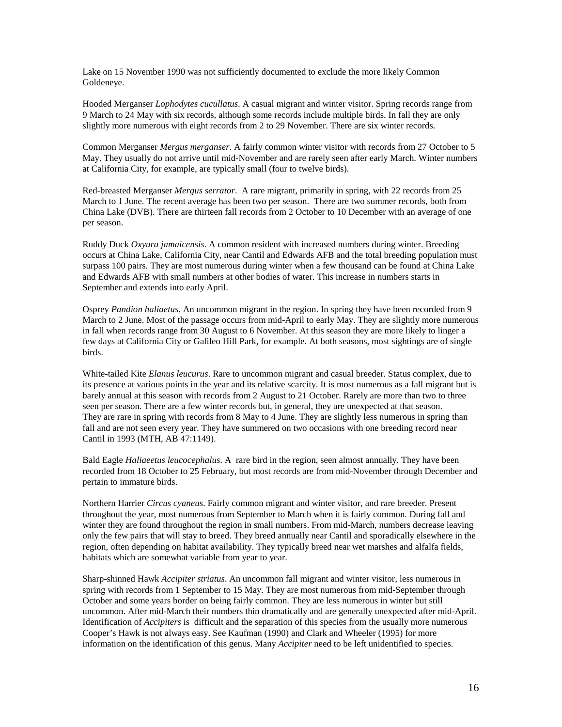Lake on 15 November 1990 was not sufficiently documented to exclude the more likely Common Goldeneye.

Hooded Merganser *Lophodytes cucullatus*. A casual migrant and winter visitor. Spring records range from 9 March to 24 May with six records, although some records include multiple birds. In fall they are only slightly more numerous with eight records from 2 to 29 November. There are six winter records.

Common Merganser *Mergus merganser*. A fairly common winter visitor with records from 27 October to 5 May. They usually do not arrive until mid-November and are rarely seen after early March. Winter numbers at California City, for example, are typically small (four to twelve birds).

Red-breasted Merganser *Mergus serrator*. A rare migrant, primarily in spring, with 22 records from 25 March to 1 June. The recent average has been two per season. There are two summer records, both from China Lake (DVB). There are thirteen fall records from 2 October to 10 December with an average of one per season.

Ruddy Duck *Oxyura jamaicensis*. A common resident with increased numbers during winter. Breeding occurs at China Lake, California City, near Cantil and Edwards AFB and the total breeding population must surpass 100 pairs. They are most numerous during winter when a few thousand can be found at China Lake and Edwards AFB with small numbers at other bodies of water. This increase in numbers starts in September and extends into early April.

Osprey *Pandion haliaetus*. An uncommon migrant in the region. In spring they have been recorded from 9 March to 2 June. Most of the passage occurs from mid-April to early May. They are slightly more numerous in fall when records range from 30 August to 6 November. At this season they are more likely to linger a few days at California City or Galileo Hill Park, for example. At both seasons, most sightings are of single birds.

White-tailed Kite *Elanus leucurus*. Rare to uncommon migrant and casual breeder. Status complex, due to its presence at various points in the year and its relative scarcity. It is most numerous as a fall migrant but is barely annual at this season with records from 2 August to 21 October. Rarely are more than two to three seen per season. There are a few winter records but, in general, they are unexpected at that season. They are rare in spring with records from 8 May to 4 June. They are slightly less numerous in spring than fall and are not seen every year. They have summered on two occasions with one breeding record near Cantil in 1993 (MTH, AB 47:1149).

Bald Eagle *Haliaeetus leucocephalus*. A rare bird in the region, seen almost annually. They have been recorded from 18 October to 25 February, but most records are from mid-November through December and pertain to immature birds.

Northern Harrier *Circus cyaneus*. Fairly common migrant and winter visitor, and rare breeder. Present throughout the year, most numerous from September to March when it is fairly common. During fall and winter they are found throughout the region in small numbers. From mid-March, numbers decrease leaving only the few pairs that will stay to breed. They breed annually near Cantil and sporadically elsewhere in the region, often depending on habitat availability. They typically breed near wet marshes and alfalfa fields, habitats which are somewhat variable from year to year.

Sharp-shinned Hawk *Accipiter striatus*. An uncommon fall migrant and winter visitor, less numerous in spring with records from 1 September to 15 May. They are most numerous from mid-September through October and some years border on being fairly common. They are less numerous in winter but still uncommon. After mid-March their numbers thin dramatically and are generally unexpected after mid-April. Identification of *Accipiters* is difficult and the separation of this species from the usually more numerous Cooper's Hawk is not always easy. See Kaufman (1990) and Clark and Wheeler (1995) for more information on the identification of this genus. Many *Accipiter* need to be left unidentified to species.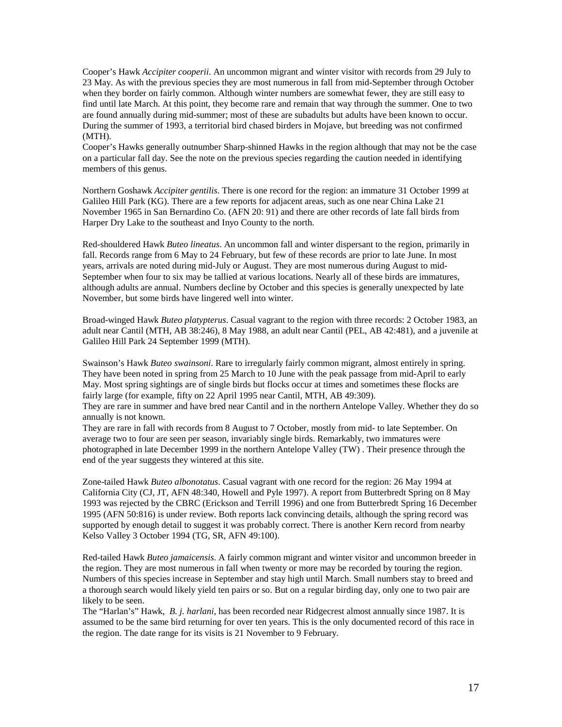Cooper's Hawk *Accipiter cooperii*. An uncommon migrant and winter visitor with records from 29 July to 23 May. As with the previous species they are most numerous in fall from mid-September through October when they border on fairly common. Although winter numbers are somewhat fewer, they are still easy to find until late March. At this point, they become rare and remain that way through the summer. One to two are found annually during mid-summer; most of these are subadults but adults have been known to occur. During the summer of 1993, a territorial bird chased birders in Mojave, but breeding was not confirmed (MTH).

Cooper's Hawks generally outnumber Sharp-shinned Hawks in the region although that may not be the case on a particular fall day. See the note on the previous species regarding the caution needed in identifying members of this genus.

Northern Goshawk *Accipiter gentilis*. There is one record for the region: an immature 31 October 1999 at Galileo Hill Park (KG). There are a few reports for adjacent areas, such as one near China Lake 21 November 1965 in San Bernardino Co. (AFN 20: 91) and there are other records of late fall birds from Harper Dry Lake to the southeast and Inyo County to the north.

Red-shouldered Hawk *Buteo lineatus*. An uncommon fall and winter dispersant to the region, primarily in fall. Records range from 6 May to 24 February, but few of these records are prior to late June. In most years, arrivals are noted during mid-July or August. They are most numerous during August to mid-September when four to six may be tallied at various locations. Nearly all of these birds are immatures, although adults are annual. Numbers decline by October and this species is generally unexpected by late November, but some birds have lingered well into winter.

Broad-winged Hawk *Buteo platypterus*. Casual vagrant to the region with three records: 2 October 1983, an adult near Cantil (MTH, AB 38:246), 8 May 1988, an adult near Cantil (PEL, AB 42:481), and a juvenile at Galileo Hill Park 24 September 1999 (MTH).

Swainson's Hawk *Buteo swainsoni*. Rare to irregularly fairly common migrant, almost entirely in spring. They have been noted in spring from 25 March to 10 June with the peak passage from mid-April to early May. Most spring sightings are of single birds but flocks occur at times and sometimes these flocks are fairly large (for example, fifty on 22 April 1995 near Cantil, MTH, AB 49:309).

They are rare in summer and have bred near Cantil and in the northern Antelope Valley. Whether they do so annually is not known.

They are rare in fall with records from 8 August to 7 October, mostly from mid- to late September. On average two to four are seen per season, invariably single birds. Remarkably, two immatures were photographed in late December 1999 in the northern Antelope Valley (TW) . Their presence through the end of the year suggests they wintered at this site.

Zone-tailed Hawk *Buteo albonotatus*. Casual vagrant with one record for the region: 26 May 1994 at California City (CJ, JT, AFN 48:340, Howell and Pyle 1997). A report from Butterbredt Spring on 8 May 1993 was rejected by the CBRC (Erickson and Terrill 1996) and one from Butterbredt Spring 16 December 1995 (AFN 50:816) is under review. Both reports lack convincing details, although the spring record was supported by enough detail to suggest it was probably correct. There is another Kern record from nearby Kelso Valley 3 October 1994 (TG, SR, AFN 49:100).

Red-tailed Hawk *Buteo jamaicensis*. A fairly common migrant and winter visitor and uncommon breeder in the region. They are most numerous in fall when twenty or more may be recorded by touring the region. Numbers of this species increase in September and stay high until March. Small numbers stay to breed and a thorough search would likely yield ten pairs or so. But on a regular birding day, only one to two pair are likely to be seen.

The "Harlan's" Hawk, *B. j. harlani*, has been recorded near Ridgecrest almost annually since 1987. It is assumed to be the same bird returning for over ten years. This is the only documented record of this race in the region. The date range for its visits is 21 November to 9 February.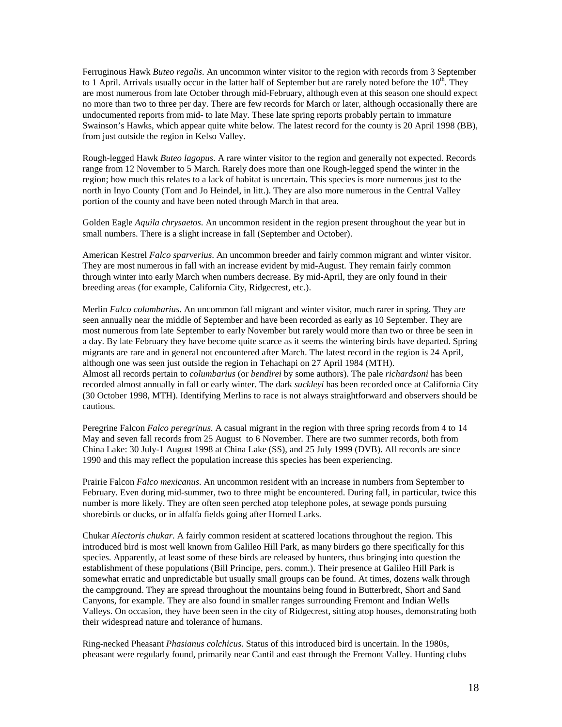Ferruginous Hawk *Buteo regalis*. An uncommon winter visitor to the region with records from 3 September to 1 April. Arrivals usually occur in the latter half of September but are rarely noted before the  $10^{th}$ . They are most numerous from late October through mid-February, although even at this season one should expect no more than two to three per day. There are few records for March or later, although occasionally there are undocumented reports from mid- to late May. These late spring reports probably pertain to immature Swainson's Hawks, which appear quite white below. The latest record for the county is 20 April 1998 (BB), from just outside the region in Kelso Valley.

Rough-legged Hawk *Buteo lagopus*. A rare winter visitor to the region and generally not expected. Records range from 12 November to 5 March. Rarely does more than one Rough-legged spend the winter in the region; how much this relates to a lack of habitat is uncertain. This species is more numerous just to the north in Inyo County (Tom and Jo Heindel, in litt.). They are also more numerous in the Central Valley portion of the county and have been noted through March in that area.

Golden Eagle *Aquila chrysaetos*. An uncommon resident in the region present throughout the year but in small numbers. There is a slight increase in fall (September and October).

American Kestrel *Falco sparverius*. An uncommon breeder and fairly common migrant and winter visitor. They are most numerous in fall with an increase evident by mid-August. They remain fairly common through winter into early March when numbers decrease. By mid-April, they are only found in their breeding areas (for example, California City, Ridgecrest, etc.).

Merlin *Falco columbarius*. An uncommon fall migrant and winter visitor, much rarer in spring. They are seen annually near the middle of September and have been recorded as early as 10 September. They are most numerous from late September to early November but rarely would more than two or three be seen in a day. By late February they have become quite scarce as it seems the wintering birds have departed. Spring migrants are rare and in general not encountered after March. The latest record in the region is 24 April, although one was seen just outside the region in Tehachapi on 27 April 1984 (MTH). Almost all records pertain to *columbarius* (or *bendirei* by some authors). The pale *richardsoni* has been recorded almost annually in fall or early winter. The dark *suckleyi* has been recorded once at California City (30 October 1998, MTH). Identifying Merlins to race is not always straightforward and observers should be cautious.

Peregrine Falcon *Falco peregrinus*. A casual migrant in the region with three spring records from 4 to 14 May and seven fall records from 25 August to 6 November. There are two summer records, both from China Lake: 30 July-1 August 1998 at China Lake (SS), and 25 July 1999 (DVB). All records are since 1990 and this may reflect the population increase this species has been experiencing.

Prairie Falcon *Falco mexicanus*. An uncommon resident with an increase in numbers from September to February. Even during mid-summer, two to three might be encountered. During fall, in particular, twice this number is more likely. They are often seen perched atop telephone poles, at sewage ponds pursuing shorebirds or ducks, or in alfalfa fields going after Horned Larks.

Chukar *Alectoris chukar*. A fairly common resident at scattered locations throughout the region. This introduced bird is most well known from Galileo Hill Park, as many birders go there specifically for this species. Apparently, at least some of these birds are released by hunters, thus bringing into question the establishment of these populations (Bill Principe, pers. comm.). Their presence at Galileo Hill Park is somewhat erratic and unpredictable but usually small groups can be found. At times, dozens walk through the campground. They are spread throughout the mountains being found in Butterbredt, Short and Sand Canyons, for example. They are also found in smaller ranges surrounding Fremont and Indian Wells Valleys. On occasion, they have been seen in the city of Ridgecrest, sitting atop houses, demonstrating both their widespread nature and tolerance of humans.

Ring-necked Pheasant *Phasianus colchicus*. Status of this introduced bird is uncertain. In the 1980s, pheasant were regularly found, primarily near Cantil and east through the Fremont Valley. Hunting clubs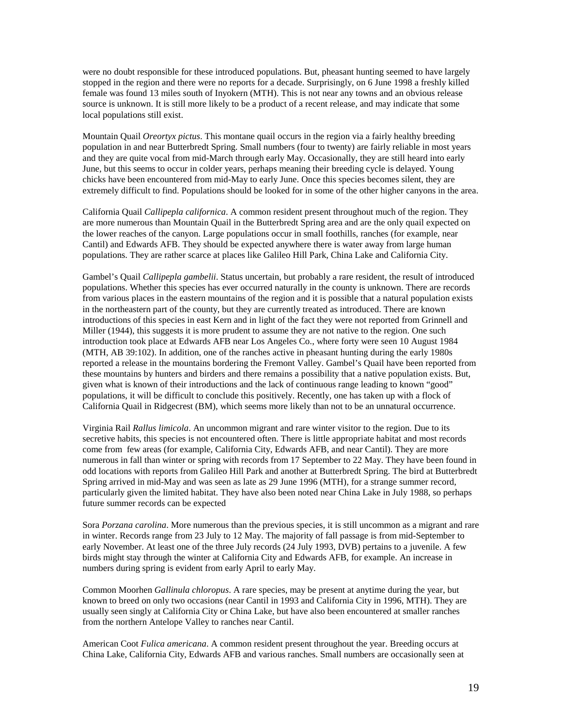were no doubt responsible for these introduced populations. But, pheasant hunting seemed to have largely stopped in the region and there were no reports for a decade. Surprisingly, on 6 June 1998 a freshly killed female was found 13 miles south of Inyokern (MTH). This is not near any towns and an obvious release source is unknown. It is still more likely to be a product of a recent release, and may indicate that some local populations still exist.

Mountain Quail *Oreortyx pictus*. This montane quail occurs in the region via a fairly healthy breeding population in and near Butterbredt Spring. Small numbers (four to twenty) are fairly reliable in most years and they are quite vocal from mid-March through early May. Occasionally, they are still heard into early June, but this seems to occur in colder years, perhaps meaning their breeding cycle is delayed. Young chicks have been encountered from mid-May to early June. Once this species becomes silent, they are extremely difficult to find. Populations should be looked for in some of the other higher canyons in the area.

California Quail *Callipepla californica*. A common resident present throughout much of the region. They are more numerous than Mountain Quail in the Butterbredt Spring area and are the only quail expected on the lower reaches of the canyon. Large populations occur in small foothills, ranches (for example, near Cantil) and Edwards AFB. They should be expected anywhere there is water away from large human populations. They are rather scarce at places like Galileo Hill Park, China Lake and California City.

Gambel's Quail *Callipepla gambelii*. Status uncertain, but probably a rare resident, the result of introduced populations. Whether this species has ever occurred naturally in the county is unknown. There are records from various places in the eastern mountains of the region and it is possible that a natural population exists in the northeastern part of the county, but they are currently treated as introduced. There are known introductions of this species in east Kern and in light of the fact they were not reported from Grinnell and Miller (1944), this suggests it is more prudent to assume they are not native to the region. One such introduction took place at Edwards AFB near Los Angeles Co., where forty were seen 10 August 1984 (MTH, AB 39:102). In addition, one of the ranches active in pheasant hunting during the early 1980s reported a release in the mountains bordering the Fremont Valley. Gambel's Quail have been reported from these mountains by hunters and birders and there remains a possibility that a native population exists. But, given what is known of their introductions and the lack of continuous range leading to known "good" populations, it will be difficult to conclude this positively. Recently, one has taken up with a flock of California Quail in Ridgecrest (BM), which seems more likely than not to be an unnatural occurrence.

Virginia Rail *Rallus limicola*. An uncommon migrant and rare winter visitor to the region. Due to its secretive habits, this species is not encountered often. There is little appropriate habitat and most records come from few areas (for example, California City, Edwards AFB, and near Cantil). They are more numerous in fall than winter or spring with records from 17 September to 22 May. They have been found in odd locations with reports from Galileo Hill Park and another at Butterbredt Spring. The bird at Butterbredt Spring arrived in mid-May and was seen as late as 29 June 1996 (MTH), for a strange summer record, particularly given the limited habitat. They have also been noted near China Lake in July 1988, so perhaps future summer records can be expected

Sora *Porzana carolina*. More numerous than the previous species, it is still uncommon as a migrant and rare in winter. Records range from 23 July to 12 May. The majority of fall passage is from mid-September to early November. At least one of the three July records (24 July 1993, DVB) pertains to a juvenile. A few birds might stay through the winter at California City and Edwards AFB, for example. An increase in numbers during spring is evident from early April to early May.

Common Moorhen *Gallinula chloropus*. A rare species, may be present at anytime during the year, but known to breed on only two occasions (near Cantil in 1993 and California City in 1996, MTH). They are usually seen singly at California City or China Lake, but have also been encountered at smaller ranches from the northern Antelope Valley to ranches near Cantil.

American Coot *Fulica americana*. A common resident present throughout the year. Breeding occurs at China Lake, California City, Edwards AFB and various ranches. Small numbers are occasionally seen at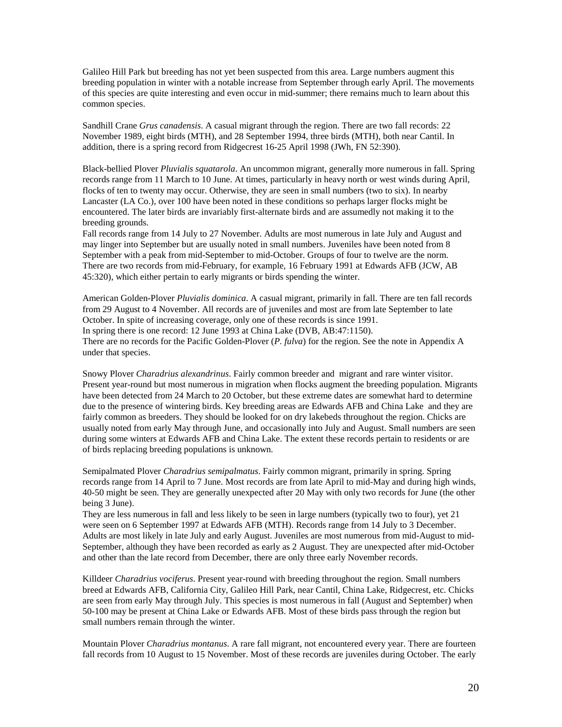Galileo Hill Park but breeding has not yet been suspected from this area. Large numbers augment this breeding population in winter with a notable increase from September through early April. The movements of this species are quite interesting and even occur in mid-summer; there remains much to learn about this common species.

Sandhill Crane *Grus canadensis*. A casual migrant through the region. There are two fall records: 22 November 1989, eight birds (MTH), and 28 September 1994, three birds (MTH), both near Cantil. In addition, there is a spring record from Ridgecrest 16-25 April 1998 (JWh, FN 52:390).

Black-bellied Plover *Pluvialis squatarola*. An uncommon migrant, generally more numerous in fall. Spring records range from 11 March to 10 June. At times, particularly in heavy north or west winds during April, flocks of ten to twenty may occur. Otherwise, they are seen in small numbers (two to six). In nearby Lancaster (LA Co.), over 100 have been noted in these conditions so perhaps larger flocks might be encountered. The later birds are invariably first-alternate birds and are assumedly not making it to the breeding grounds.

Fall records range from 14 July to 27 November. Adults are most numerous in late July and August and may linger into September but are usually noted in small numbers. Juveniles have been noted from 8 September with a peak from mid-September to mid-October. Groups of four to twelve are the norm. There are two records from mid-February, for example, 16 February 1991 at Edwards AFB (JCW, AB 45:320), which either pertain to early migrants or birds spending the winter.

American Golden-Plover *Pluvialis dominica*. A casual migrant, primarily in fall. There are ten fall records from 29 August to 4 November. All records are of juveniles and most are from late September to late October. In spite of increasing coverage, only one of these records is since 1991. In spring there is one record: 12 June 1993 at China Lake (DVB, AB:47:1150). There are no records for the Pacific Golden-Plover (*P. fulva*) for the region. See the note in Appendix A under that species.

Snowy Plover *Charadrius alexandrinus*. Fairly common breeder and migrant and rare winter visitor. Present year-round but most numerous in migration when flocks augment the breeding population. Migrants have been detected from 24 March to 20 October, but these extreme dates are somewhat hard to determine due to the presence of wintering birds. Key breeding areas are Edwards AFB and China Lake and they are fairly common as breeders. They should be looked for on dry lakebeds throughout the region. Chicks are usually noted from early May through June, and occasionally into July and August. Small numbers are seen during some winters at Edwards AFB and China Lake. The extent these records pertain to residents or are of birds replacing breeding populations is unknown.

Semipalmated Plover *Charadrius semipalmatus*. Fairly common migrant, primarily in spring. Spring records range from 14 April to 7 June. Most records are from late April to mid-May and during high winds, 40-50 might be seen. They are generally unexpected after 20 May with only two records for June (the other being 3 June).

They are less numerous in fall and less likely to be seen in large numbers (typically two to four), yet 21 were seen on 6 September 1997 at Edwards AFB (MTH). Records range from 14 July to 3 December. Adults are most likely in late July and early August. Juveniles are most numerous from mid-August to mid-September, although they have been recorded as early as 2 August. They are unexpected after mid-October and other than the late record from December, there are only three early November records.

Killdeer *Charadrius vociferus*. Present year-round with breeding throughout the region. Small numbers breed at Edwards AFB, California City, Galileo Hill Park, near Cantil, China Lake, Ridgecrest, etc. Chicks are seen from early May through July. This species is most numerous in fall (August and September) when 50-100 may be present at China Lake or Edwards AFB. Most of these birds pass through the region but small numbers remain through the winter.

Mountain Plover *Charadrius montanus*. A rare fall migrant, not encountered every year. There are fourteen fall records from 10 August to 15 November. Most of these records are juveniles during October. The early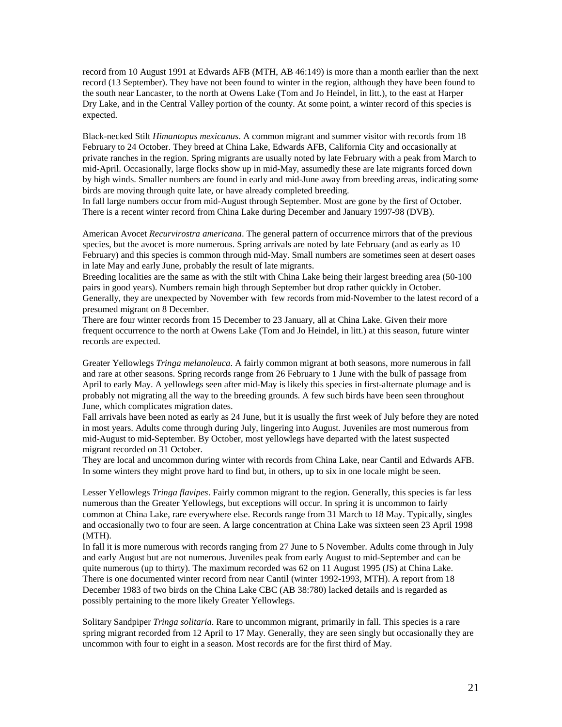record from 10 August 1991 at Edwards AFB (MTH, AB 46:149) is more than a month earlier than the next record (13 September). They have not been found to winter in the region, although they have been found to the south near Lancaster, to the north at Owens Lake (Tom and Jo Heindel, in litt.), to the east at Harper Dry Lake, and in the Central Valley portion of the county. At some point, a winter record of this species is expected.

Black-necked Stilt *Himantopus mexicanus*. A common migrant and summer visitor with records from 18 February to 24 October. They breed at China Lake, Edwards AFB, California City and occasionally at private ranches in the region. Spring migrants are usually noted by late February with a peak from March to mid-April. Occasionally, large flocks show up in mid-May, assumedly these are late migrants forced down by high winds. Smaller numbers are found in early and mid-June away from breeding areas, indicating some birds are moving through quite late, or have already completed breeding.

In fall large numbers occur from mid-August through September. Most are gone by the first of October. There is a recent winter record from China Lake during December and January 1997-98 (DVB).

American Avocet *Recurvirostra americana*. The general pattern of occurrence mirrors that of the previous species, but the avocet is more numerous. Spring arrivals are noted by late February (and as early as 10 February) and this species is common through mid-May. Small numbers are sometimes seen at desert oases in late May and early June, probably the result of late migrants.

Breeding localities are the same as with the stilt with China Lake being their largest breeding area (50-100 pairs in good years). Numbers remain high through September but drop rather quickly in October. Generally, they are unexpected by November with few records from mid-November to the latest record of a presumed migrant on 8 December.

There are four winter records from 15 December to 23 January, all at China Lake. Given their more frequent occurrence to the north at Owens Lake (Tom and Jo Heindel, in litt.) at this season, future winter records are expected.

Greater Yellowlegs *Tringa melanoleuca*. A fairly common migrant at both seasons, more numerous in fall and rare at other seasons. Spring records range from 26 February to 1 June with the bulk of passage from April to early May. A yellowlegs seen after mid-May is likely this species in first-alternate plumage and is probably not migrating all the way to the breeding grounds. A few such birds have been seen throughout June, which complicates migration dates.

Fall arrivals have been noted as early as 24 June, but it is usually the first week of July before they are noted in most years. Adults come through during July, lingering into August. Juveniles are most numerous from mid-August to mid-September. By October, most yellowlegs have departed with the latest suspected migrant recorded on 31 October.

They are local and uncommon during winter with records from China Lake, near Cantil and Edwards AFB. In some winters they might prove hard to find but, in others, up to six in one locale might be seen.

Lesser Yellowlegs *Tringa flavipes*. Fairly common migrant to the region. Generally, this species is far less numerous than the Greater Yellowlegs, but exceptions will occur. In spring it is uncommon to fairly common at China Lake, rare everywhere else. Records range from 31 March to 18 May. Typically, singles and occasionally two to four are seen. A large concentration at China Lake was sixteen seen 23 April 1998 (MTH).

In fall it is more numerous with records ranging from 27 June to 5 November. Adults come through in July and early August but are not numerous. Juveniles peak from early August to mid-September and can be quite numerous (up to thirty). The maximum recorded was 62 on 11 August 1995 (JS) at China Lake. There is one documented winter record from near Cantil (winter 1992-1993, MTH). A report from 18 December 1983 of two birds on the China Lake CBC (AB 38:780) lacked details and is regarded as possibly pertaining to the more likely Greater Yellowlegs.

Solitary Sandpiper *Tringa solitaria*. Rare to uncommon migrant, primarily in fall. This species is a rare spring migrant recorded from 12 April to 17 May. Generally, they are seen singly but occasionally they are uncommon with four to eight in a season. Most records are for the first third of May.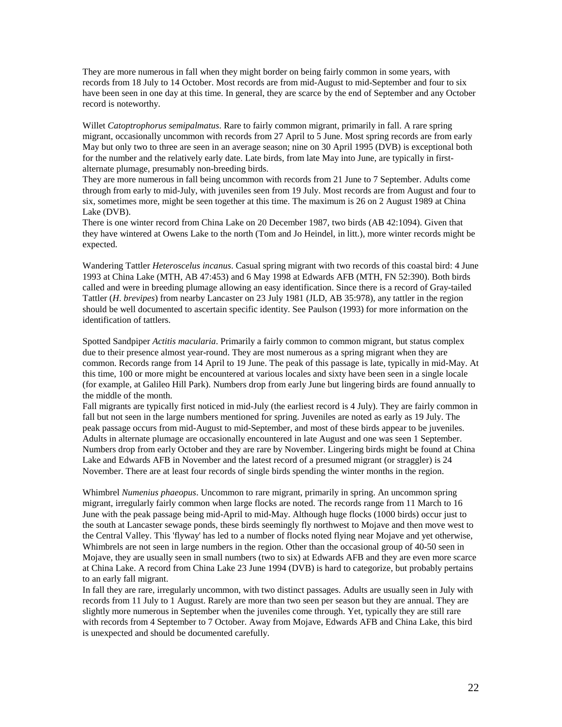They are more numerous in fall when they might border on being fairly common in some years, with records from 18 July to 14 October. Most records are from mid-August to mid-September and four to six have been seen in one day at this time. In general, they are scarce by the end of September and any October record is noteworthy.

Willet *Catoptrophorus semipalmatus*. Rare to fairly common migrant, primarily in fall. A rare spring migrant, occasionally uncommon with records from 27 April to 5 June. Most spring records are from early May but only two to three are seen in an average season; nine on 30 April 1995 (DVB) is exceptional both for the number and the relatively early date. Late birds, from late May into June, are typically in firstalternate plumage, presumably non-breeding birds.

They are more numerous in fall being uncommon with records from 21 June to 7 September. Adults come through from early to mid-July, with juveniles seen from 19 July. Most records are from August and four to six, sometimes more, might be seen together at this time. The maximum is 26 on 2 August 1989 at China Lake (DVB).

There is one winter record from China Lake on 20 December 1987, two birds (AB 42:1094). Given that they have wintered at Owens Lake to the north (Tom and Jo Heindel, in litt.), more winter records might be expected.

Wandering Tattler *Heteroscelus incanus*. Casual spring migrant with two records of this coastal bird: 4 June 1993 at China Lake (MTH, AB 47:453) and 6 May 1998 at Edwards AFB (MTH, FN 52:390). Both birds called and were in breeding plumage allowing an easy identification. Since there is a record of Gray-tailed Tattler (*H*. *brevipes*) from nearby Lancaster on 23 July 1981 (JLD, AB 35:978), any tattler in the region should be well documented to ascertain specific identity. See Paulson (1993) for more information on the identification of tattlers.

Spotted Sandpiper *Actitis macularia*. Primarily a fairly common to common migrant, but status complex due to their presence almost year-round. They are most numerous as a spring migrant when they are common. Records range from 14 April to 19 June. The peak of this passage is late, typically in mid-May. At this time, 100 or more might be encountered at various locales and sixty have been seen in a single locale (for example, at Galileo Hill Park). Numbers drop from early June but lingering birds are found annually to the middle of the month.

Fall migrants are typically first noticed in mid-July (the earliest record is 4 July). They are fairly common in fall but not seen in the large numbers mentioned for spring. Juveniles are noted as early as 19 July. The peak passage occurs from mid-August to mid-September, and most of these birds appear to be juveniles. Adults in alternate plumage are occasionally encountered in late August and one was seen 1 September. Numbers drop from early October and they are rare by November. Lingering birds might be found at China Lake and Edwards AFB in November and the latest record of a presumed migrant (or straggler) is 24 November. There are at least four records of single birds spending the winter months in the region.

Whimbrel *Numenius phaeopus*. Uncommon to rare migrant, primarily in spring. An uncommon spring migrant, irregularly fairly common when large flocks are noted. The records range from 11 March to 16 June with the peak passage being mid-April to mid-May. Although huge flocks (1000 birds) occur just to the south at Lancaster sewage ponds, these birds seemingly fly northwest to Mojave and then move west to the Central Valley. This 'flyway' has led to a number of flocks noted flying near Mojave and yet otherwise, Whimbrels are not seen in large numbers in the region. Other than the occasional group of 40-50 seen in Mojave, they are usually seen in small numbers (two to six) at Edwards AFB and they are even more scarce at China Lake. A record from China Lake 23 June 1994 (DVB) is hard to categorize, but probably pertains to an early fall migrant.

In fall they are rare, irregularly uncommon, with two distinct passages. Adults are usually seen in July with records from 11 July to 1 August. Rarely are more than two seen per season but they are annual. They are slightly more numerous in September when the juveniles come through. Yet, typically they are still rare with records from 4 September to 7 October. Away from Mojave, Edwards AFB and China Lake, this bird is unexpected and should be documented carefully.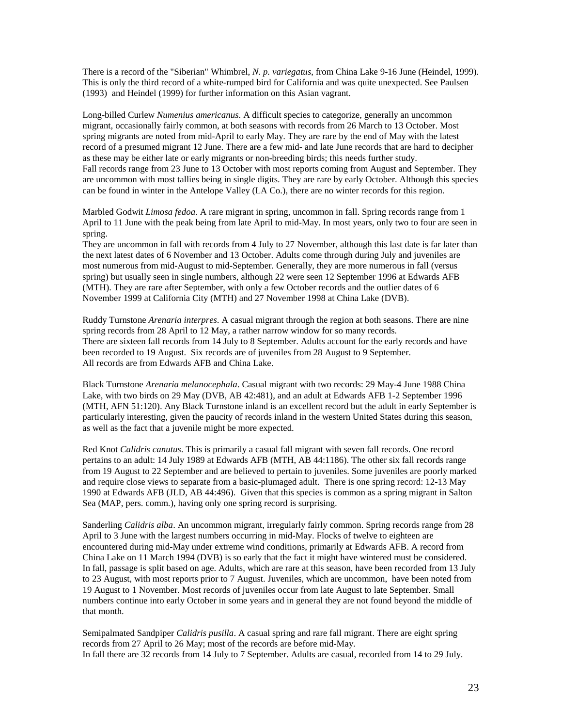There is a record of the "Siberian" Whimbrel, *N. p. variegatus*, from China Lake 9-16 June (Heindel, 1999). This is only the third record of a white-rumped bird for California and was quite unexpected. See Paulsen (1993) and Heindel (1999) for further information on this Asian vagrant.

Long-billed Curlew *Numenius americanus*. A difficult species to categorize, generally an uncommon migrant, occasionally fairly common, at both seasons with records from 26 March to 13 October. Most spring migrants are noted from mid-April to early May. They are rare by the end of May with the latest record of a presumed migrant 12 June. There are a few mid- and late June records that are hard to decipher as these may be either late or early migrants or non-breeding birds; this needs further study. Fall records range from 23 June to 13 October with most reports coming from August and September. They are uncommon with most tallies being in single digits. They are rare by early October. Although this species can be found in winter in the Antelope Valley (LA Co.), there are no winter records for this region.

Marbled Godwit *Limosa fedoa*. A rare migrant in spring, uncommon in fall. Spring records range from 1 April to 11 June with the peak being from late April to mid-May. In most years, only two to four are seen in spring.

They are uncommon in fall with records from 4 July to 27 November, although this last date is far later than the next latest dates of 6 November and 13 October. Adults come through during July and juveniles are most numerous from mid-August to mid-September. Generally, they are more numerous in fall (versus spring) but usually seen in single numbers, although 22 were seen 12 September 1996 at Edwards AFB (MTH). They are rare after September, with only a few October records and the outlier dates of 6 November 1999 at California City (MTH) and 27 November 1998 at China Lake (DVB).

Ruddy Turnstone *Arenaria interpres*. A casual migrant through the region at both seasons. There are nine spring records from 28 April to 12 May, a rather narrow window for so many records. There are sixteen fall records from 14 July to 8 September. Adults account for the early records and have been recorded to 19 August. Six records are of juveniles from 28 August to 9 September. All records are from Edwards AFB and China Lake.

Black Turnstone *Arenaria melanocephala*. Casual migrant with two records: 29 May-4 June 1988 China Lake, with two birds on 29 May (DVB, AB 42:481), and an adult at Edwards AFB 1-2 September 1996 (MTH, AFN 51:120). Any Black Turnstone inland is an excellent record but the adult in early September is particularly interesting, given the paucity of records inland in the western United States during this season, as well as the fact that a juvenile might be more expected.

Red Knot *Calidris canutus*. This is primarily a casual fall migrant with seven fall records. One record pertains to an adult: 14 July 1989 at Edwards AFB (MTH, AB 44:1186). The other six fall records range from 19 August to 22 September and are believed to pertain to juveniles. Some juveniles are poorly marked and require close views to separate from a basic-plumaged adult. There is one spring record: 12-13 May 1990 at Edwards AFB (JLD, AB 44:496). Given that this species is common as a spring migrant in Salton Sea (MAP, pers. comm.), having only one spring record is surprising.

Sanderling *Calidris alba*. An uncommon migrant, irregularly fairly common. Spring records range from 28 April to 3 June with the largest numbers occurring in mid-May. Flocks of twelve to eighteen are encountered during mid-May under extreme wind conditions, primarily at Edwards AFB. A record from China Lake on 11 March 1994 (DVB) is so early that the fact it might have wintered must be considered. In fall, passage is split based on age. Adults, which are rare at this season, have been recorded from 13 July to 23 August, with most reports prior to 7 August. Juveniles, which are uncommon, have been noted from 19 August to 1 November. Most records of juveniles occur from late August to late September. Small numbers continue into early October in some years and in general they are not found beyond the middle of that month.

Semipalmated Sandpiper *Calidris pusilla*. A casual spring and rare fall migrant. There are eight spring records from 27 April to 26 May; most of the records are before mid-May. In fall there are 32 records from 14 July to 7 September. Adults are casual, recorded from 14 to 29 July.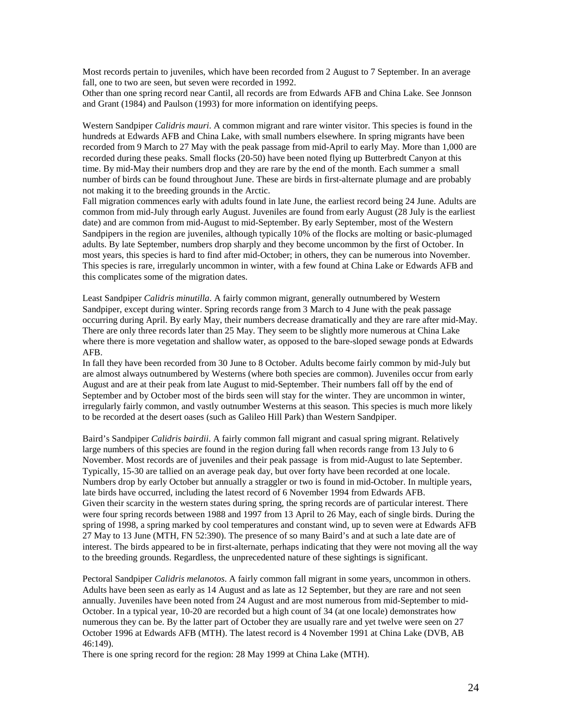Most records pertain to juveniles, which have been recorded from 2 August to 7 September. In an average fall, one to two are seen, but seven were recorded in 1992.

Other than one spring record near Cantil, all records are from Edwards AFB and China Lake. See Jonnson and Grant (1984) and Paulson (1993) for more information on identifying peeps.

Western Sandpiper *Calidris mauri*. A common migrant and rare winter visitor. This species is found in the hundreds at Edwards AFB and China Lake, with small numbers elsewhere. In spring migrants have been recorded from 9 March to 27 May with the peak passage from mid-April to early May. More than 1,000 are recorded during these peaks. Small flocks (20-50) have been noted flying up Butterbredt Canyon at this time. By mid-May their numbers drop and they are rare by the end of the month. Each summer a small number of birds can be found throughout June. These are birds in first-alternate plumage and are probably not making it to the breeding grounds in the Arctic.

Fall migration commences early with adults found in late June, the earliest record being 24 June. Adults are common from mid-July through early August. Juveniles are found from early August (28 July is the earliest date) and are common from mid-August to mid-September. By early September, most of the Western Sandpipers in the region are juveniles, although typically 10% of the flocks are molting or basic-plumaged adults. By late September, numbers drop sharply and they become uncommon by the first of October. In most years, this species is hard to find after mid-October; in others, they can be numerous into November. This species is rare, irregularly uncommon in winter, with a few found at China Lake or Edwards AFB and this complicates some of the migration dates.

Least Sandpiper *Calidris minutilla*. A fairly common migrant, generally outnumbered by Western Sandpiper, except during winter. Spring records range from 3 March to 4 June with the peak passage occurring during April. By early May, their numbers decrease dramatically and they are rare after mid-May. There are only three records later than 25 May. They seem to be slightly more numerous at China Lake where there is more vegetation and shallow water, as opposed to the bare-sloped sewage ponds at Edwards AFB.

In fall they have been recorded from 30 June to 8 October. Adults become fairly common by mid-July but are almost always outnumbered by Westerns (where both species are common). Juveniles occur from early August and are at their peak from late August to mid-September. Their numbers fall off by the end of September and by October most of the birds seen will stay for the winter. They are uncommon in winter, irregularly fairly common, and vastly outnumber Westerns at this season. This species is much more likely to be recorded at the desert oases (such as Galileo Hill Park) than Western Sandpiper.

Baird's Sandpiper *Calidris bairdii*. A fairly common fall migrant and casual spring migrant. Relatively large numbers of this species are found in the region during fall when records range from 13 July to 6 November. Most records are of juveniles and their peak passage is from mid-August to late September. Typically, 15-30 are tallied on an average peak day, but over forty have been recorded at one locale. Numbers drop by early October but annually a straggler or two is found in mid-October. In multiple years, late birds have occurred, including the latest record of 6 November 1994 from Edwards AFB. Given their scarcity in the western states during spring, the spring records are of particular interest. There were four spring records between 1988 and 1997 from 13 April to 26 May, each of single birds. During the spring of 1998, a spring marked by cool temperatures and constant wind, up to seven were at Edwards AFB 27 May to 13 June (MTH, FN 52:390). The presence of so many Baird's and at such a late date are of interest. The birds appeared to be in first-alternate, perhaps indicating that they were not moving all the way to the breeding grounds. Regardless, the unprecedented nature of these sightings is significant.

Pectoral Sandpiper *Calidris melanotos*. A fairly common fall migrant in some years, uncommon in others. Adults have been seen as early as 14 August and as late as 12 September, but they are rare and not seen annually. Juveniles have been noted from 24 August and are most numerous from mid-September to mid-October. In a typical year, 10-20 are recorded but a high count of 34 (at one locale) demonstrates how numerous they can be. By the latter part of October they are usually rare and yet twelve were seen on 27 October 1996 at Edwards AFB (MTH). The latest record is 4 November 1991 at China Lake (DVB, AB 46:149).

There is one spring record for the region: 28 May 1999 at China Lake (MTH).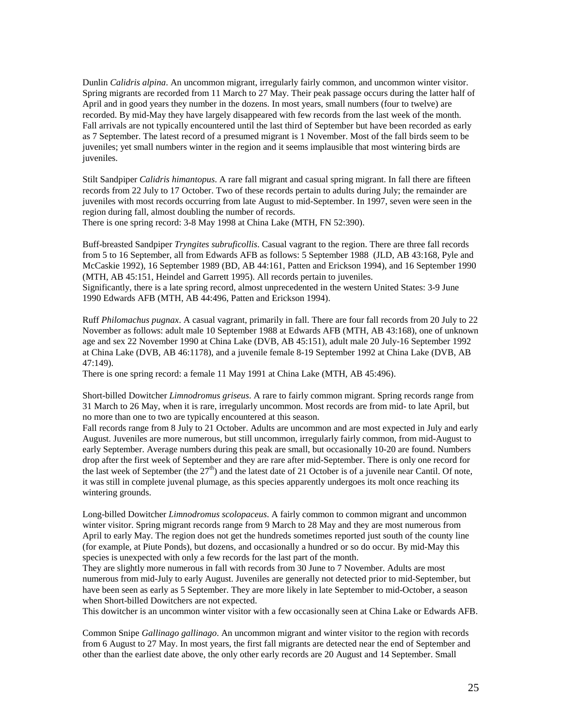Dunlin *Calidris alpina*. An uncommon migrant, irregularly fairly common, and uncommon winter visitor. Spring migrants are recorded from 11 March to 27 May. Their peak passage occurs during the latter half of April and in good years they number in the dozens. In most years, small numbers (four to twelve) are recorded. By mid-May they have largely disappeared with few records from the last week of the month. Fall arrivals are not typically encountered until the last third of September but have been recorded as early as 7 September. The latest record of a presumed migrant is 1 November. Most of the fall birds seem to be juveniles; yet small numbers winter in the region and it seems implausible that most wintering birds are iuveniles.

Stilt Sandpiper *Calidris himantopus*. A rare fall migrant and casual spring migrant. In fall there are fifteen records from 22 July to 17 October. Two of these records pertain to adults during July; the remainder are juveniles with most records occurring from late August to mid-September. In 1997, seven were seen in the region during fall, almost doubling the number of records.

There is one spring record: 3-8 May 1998 at China Lake (MTH, FN 52:390).

Buff-breasted Sandpiper *Tryngites subruficollis*. Casual vagrant to the region. There are three fall records from 5 to 16 September, all from Edwards AFB as follows: 5 September 1988 (JLD, AB 43:168, Pyle and McCaskie 1992), 16 September 1989 (BD, AB 44:161, Patten and Erickson 1994), and 16 September 1990 (MTH, AB 45:151, Heindel and Garrett 1995). All records pertain to juveniles.

Significantly, there is a late spring record, almost unprecedented in the western United States: 3-9 June 1990 Edwards AFB (MTH, AB 44:496, Patten and Erickson 1994).

Ruff *Philomachus pugnax*. A casual vagrant, primarily in fall. There are four fall records from 20 July to 22 November as follows: adult male 10 September 1988 at Edwards AFB (MTH, AB 43:168), one of unknown age and sex 22 November 1990 at China Lake (DVB, AB 45:151), adult male 20 July-16 September 1992 at China Lake (DVB, AB 46:1178), and a juvenile female 8-19 September 1992 at China Lake (DVB, AB 47:149).

There is one spring record: a female 11 May 1991 at China Lake (MTH, AB 45:496).

Short-billed Dowitcher *Limnodromus griseus*. A rare to fairly common migrant. Spring records range from 31 March to 26 May, when it is rare, irregularly uncommon. Most records are from mid- to late April, but no more than one to two are typically encountered at this season.

Fall records range from 8 July to 21 October. Adults are uncommon and are most expected in July and early August. Juveniles are more numerous, but still uncommon, irregularly fairly common, from mid-August to early September. Average numbers during this peak are small, but occasionally 10-20 are found. Numbers drop after the first week of September and they are rare after mid-September. There is only one record for the last week of September (the  $27<sup>th</sup>$ ) and the latest date of 21 October is of a juvenile near Cantil. Of note, it was still in complete juvenal plumage, as this species apparently undergoes its molt once reaching its wintering grounds.

Long-billed Dowitcher *Limnodromus scolopaceus*. A fairly common to common migrant and uncommon winter visitor. Spring migrant records range from 9 March to 28 May and they are most numerous from April to early May. The region does not get the hundreds sometimes reported just south of the county line (for example, at Piute Ponds), but dozens, and occasionally a hundred or so do occur. By mid-May this species is unexpected with only a few records for the last part of the month.

They are slightly more numerous in fall with records from 30 June to 7 November. Adults are most numerous from mid-July to early August. Juveniles are generally not detected prior to mid-September, but have been seen as early as 5 September. They are more likely in late September to mid-October, a season when Short-billed Dowitchers are not expected.

This dowitcher is an uncommon winter visitor with a few occasionally seen at China Lake or Edwards AFB.

Common Snipe *Gallinago gallinago*. An uncommon migrant and winter visitor to the region with records from 6 August to 27 May. In most years, the first fall migrants are detected near the end of September and other than the earliest date above, the only other early records are 20 August and 14 September. Small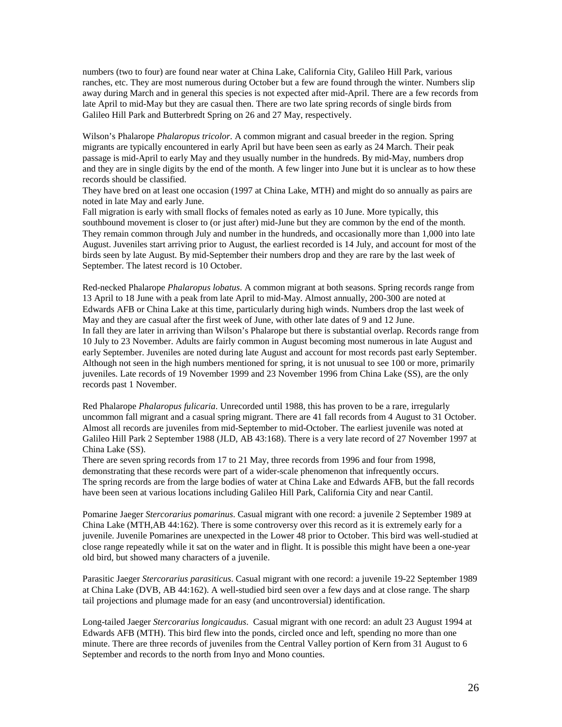numbers (two to four) are found near water at China Lake, California City, Galileo Hill Park, various ranches, etc. They are most numerous during October but a few are found through the winter. Numbers slip away during March and in general this species is not expected after mid-April. There are a few records from late April to mid-May but they are casual then. There are two late spring records of single birds from Galileo Hill Park and Butterbredt Spring on 26 and 27 May, respectively.

Wilson's Phalarope *Phalaropus tricolor*. A common migrant and casual breeder in the region. Spring migrants are typically encountered in early April but have been seen as early as 24 March. Their peak passage is mid-April to early May and they usually number in the hundreds. By mid-May, numbers drop and they are in single digits by the end of the month. A few linger into June but it is unclear as to how these records should be classified.

They have bred on at least one occasion (1997 at China Lake, MTH) and might do so annually as pairs are noted in late May and early June.

Fall migration is early with small flocks of females noted as early as 10 June. More typically, this southbound movement is closer to (or just after) mid-June but they are common by the end of the month. They remain common through July and number in the hundreds, and occasionally more than 1,000 into late August. Juveniles start arriving prior to August, the earliest recorded is 14 July, and account for most of the birds seen by late August. By mid-September their numbers drop and they are rare by the last week of September. The latest record is 10 October.

Red-necked Phalarope *Phalaropus lobatus*. A common migrant at both seasons. Spring records range from 13 April to 18 June with a peak from late April to mid-May. Almost annually, 200-300 are noted at Edwards AFB or China Lake at this time, particularly during high winds. Numbers drop the last week of May and they are casual after the first week of June, with other late dates of 9 and 12 June. In fall they are later in arriving than Wilson's Phalarope but there is substantial overlap. Records range from 10 July to 23 November. Adults are fairly common in August becoming most numerous in late August and early September. Juveniles are noted during late August and account for most records past early September. Although not seen in the high numbers mentioned for spring, it is not unusual to see 100 or more, primarily juveniles. Late records of 19 November 1999 and 23 November 1996 from China Lake (SS), are the only records past 1 November.

Red Phalarope *Phalaropus fulicaria*. Unrecorded until 1988, this has proven to be a rare, irregularly uncommon fall migrant and a casual spring migrant. There are 41 fall records from 4 August to 31 October. Almost all records are juveniles from mid-September to mid-October. The earliest juvenile was noted at Galileo Hill Park 2 September 1988 (JLD, AB 43:168). There is a very late record of 27 November 1997 at China Lake (SS).

There are seven spring records from 17 to 21 May, three records from 1996 and four from 1998, demonstrating that these records were part of a wider-scale phenomenon that infrequently occurs. The spring records are from the large bodies of water at China Lake and Edwards AFB, but the fall records have been seen at various locations including Galileo Hill Park, California City and near Cantil.

Pomarine Jaeger *Stercorarius pomarinus*. Casual migrant with one record: a juvenile 2 September 1989 at China Lake (MTH,AB 44:162). There is some controversy over this record as it is extremely early for a juvenile. Juvenile Pomarines are unexpected in the Lower 48 prior to October. This bird was well-studied at close range repeatedly while it sat on the water and in flight. It is possible this might have been a one-year old bird, but showed many characters of a juvenile.

Parasitic Jaeger *Stercorarius parasiticus*. Casual migrant with one record: a juvenile 19-22 September 1989 at China Lake (DVB, AB 44:162). A well-studied bird seen over a few days and at close range. The sharp tail projections and plumage made for an easy (and uncontroversial) identification.

Long-tailed Jaeger *Stercorarius longicaudus*. Casual migrant with one record: an adult 23 August 1994 at Edwards AFB (MTH). This bird flew into the ponds, circled once and left, spending no more than one minute. There are three records of juveniles from the Central Valley portion of Kern from 31 August to 6 September and records to the north from Inyo and Mono counties.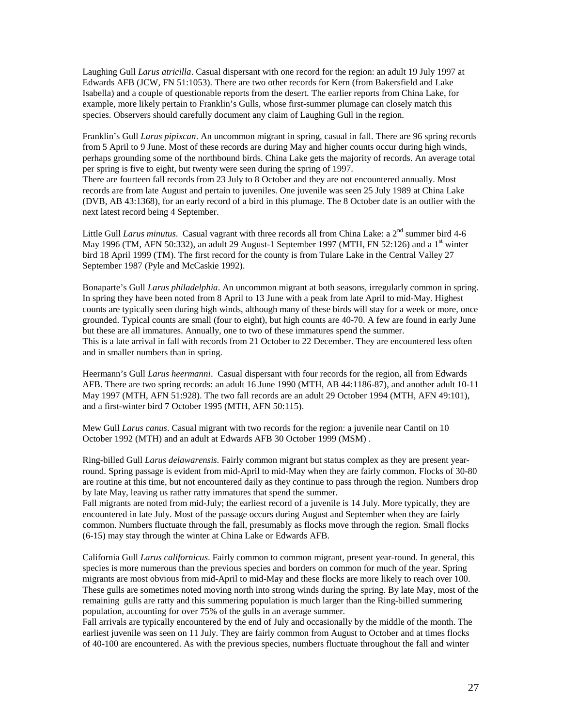Laughing Gull *Larus atricilla*. Casual dispersant with one record for the region: an adult 19 July 1997 at Edwards AFB (JCW, FN 51:1053). There are two other records for Kern (from Bakersfield and Lake Isabella) and a couple of questionable reports from the desert. The earlier reports from China Lake, for example, more likely pertain to Franklin's Gulls, whose first-summer plumage can closely match this species. Observers should carefully document any claim of Laughing Gull in the region.

Franklin's Gull *Larus pipixcan*. An uncommon migrant in spring, casual in fall. There are 96 spring records from 5 April to 9 June. Most of these records are during May and higher counts occur during high winds, perhaps grounding some of the northbound birds. China Lake gets the majority of records. An average total per spring is five to eight, but twenty were seen during the spring of 1997.

There are fourteen fall records from 23 July to 8 October and they are not encountered annually. Most records are from late August and pertain to juveniles. One juvenile was seen 25 July 1989 at China Lake (DVB, AB 43:1368), for an early record of a bird in this plumage. The 8 October date is an outlier with the next latest record being 4 September.

Little Gull *Larus minutus*. Casual vagrant with three records all from China Lake: a 2<sup>nd</sup> summer bird 4-6 May 1996 (TM, AFN 50:332), an adult 29 August-1 September 1997 (MTH, FN 52:126) and a  $1<sup>st</sup>$  winter bird 18 April 1999 (TM). The first record for the county is from Tulare Lake in the Central Valley 27 September 1987 (Pyle and McCaskie 1992).

Bonaparte's Gull *Larus philadelphia*. An uncommon migrant at both seasons, irregularly common in spring. In spring they have been noted from 8 April to 13 June with a peak from late April to mid-May. Highest counts are typically seen during high winds, although many of these birds will stay for a week or more, once grounded. Typical counts are small (four to eight), but high counts are 40-70. A few are found in early June but these are all immatures. Annually, one to two of these immatures spend the summer. This is a late arrival in fall with records from 21 October to 22 December. They are encountered less often and in smaller numbers than in spring.

Heermann's Gull *Larus heermanni*. Casual dispersant with four records for the region, all from Edwards AFB. There are two spring records: an adult 16 June 1990 (MTH, AB 44:1186-87), and another adult 10-11 May 1997 (MTH, AFN 51:928). The two fall records are an adult 29 October 1994 (MTH, AFN 49:101), and a first-winter bird 7 October 1995 (MTH, AFN 50:115).

Mew Gull *Larus canus*. Casual migrant with two records for the region: a juvenile near Cantil on 10 October 1992 (MTH) and an adult at Edwards AFB 30 October 1999 (MSM) .

Ring-billed Gull *Larus delawarensis*. Fairly common migrant but status complex as they are present yearround. Spring passage is evident from mid-April to mid-May when they are fairly common. Flocks of 30-80 are routine at this time, but not encountered daily as they continue to pass through the region. Numbers drop by late May, leaving us rather ratty immatures that spend the summer.

Fall migrants are noted from mid-July; the earliest record of a juvenile is 14 July. More typically, they are encountered in late July. Most of the passage occurs during August and September when they are fairly common. Numbers fluctuate through the fall, presumably as flocks move through the region. Small flocks (6-15) may stay through the winter at China Lake or Edwards AFB.

California Gull *Larus californicus*. Fairly common to common migrant, present year-round. In general, this species is more numerous than the previous species and borders on common for much of the year. Spring migrants are most obvious from mid-April to mid-May and these flocks are more likely to reach over 100. These gulls are sometimes noted moving north into strong winds during the spring. By late May, most of the remaining gulls are ratty and this summering population is much larger than the Ring-billed summering population, accounting for over 75% of the gulls in an average summer.

Fall arrivals are typically encountered by the end of July and occasionally by the middle of the month. The earliest juvenile was seen on 11 July. They are fairly common from August to October and at times flocks of 40-100 are encountered. As with the previous species, numbers fluctuate throughout the fall and winter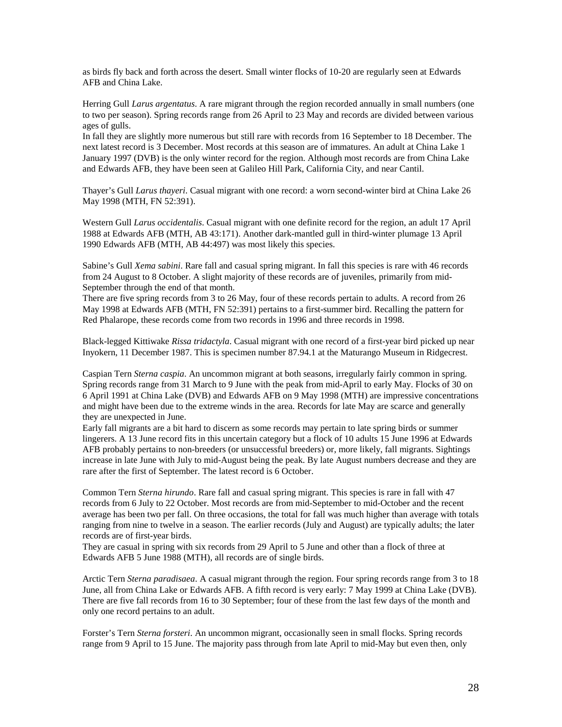as birds fly back and forth across the desert. Small winter flocks of 10-20 are regularly seen at Edwards AFB and China Lake.

Herring Gull *Larus argentatus*. A rare migrant through the region recorded annually in small numbers (one to two per season). Spring records range from 26 April to 23 May and records are divided between various ages of gulls.

In fall they are slightly more numerous but still rare with records from 16 September to 18 December. The next latest record is 3 December. Most records at this season are of immatures. An adult at China Lake 1 January 1997 (DVB) is the only winter record for the region. Although most records are from China Lake and Edwards AFB, they have been seen at Galileo Hill Park, California City, and near Cantil.

Thayer's Gull *Larus thayeri*. Casual migrant with one record: a worn second-winter bird at China Lake 26 May 1998 (MTH, FN 52:391).

Western Gull *Larus occidentalis*. Casual migrant with one definite record for the region, an adult 17 April 1988 at Edwards AFB (MTH, AB 43:171). Another dark-mantled gull in third-winter plumage 13 April 1990 Edwards AFB (MTH, AB 44:497) was most likely this species.

Sabine's Gull *Xema sabini*. Rare fall and casual spring migrant. In fall this species is rare with 46 records from 24 August to 8 October. A slight majority of these records are of juveniles, primarily from mid-September through the end of that month.

There are five spring records from 3 to 26 May, four of these records pertain to adults. A record from 26 May 1998 at Edwards AFB (MTH, FN 52:391) pertains to a first-summer bird. Recalling the pattern for Red Phalarope, these records come from two records in 1996 and three records in 1998.

Black-legged Kittiwake *Rissa tridactyla*. Casual migrant with one record of a first-year bird picked up near Inyokern, 11 December 1987. This is specimen number 87.94.1 at the Maturango Museum in Ridgecrest.

Caspian Tern *Sterna caspia*. An uncommon migrant at both seasons, irregularly fairly common in spring. Spring records range from 31 March to 9 June with the peak from mid-April to early May. Flocks of 30 on 6 April 1991 at China Lake (DVB) and Edwards AFB on 9 May 1998 (MTH) are impressive concentrations and might have been due to the extreme winds in the area. Records for late May are scarce and generally they are unexpected in June.

Early fall migrants are a bit hard to discern as some records may pertain to late spring birds or summer lingerers. A 13 June record fits in this uncertain category but a flock of 10 adults 15 June 1996 at Edwards AFB probably pertains to non-breeders (or unsuccessful breeders) or, more likely, fall migrants. Sightings increase in late June with July to mid-August being the peak. By late August numbers decrease and they are rare after the first of September. The latest record is 6 October.

Common Tern *Sterna hirundo*. Rare fall and casual spring migrant. This species is rare in fall with 47 records from 6 July to 22 October. Most records are from mid-September to mid-October and the recent average has been two per fall. On three occasions, the total for fall was much higher than average with totals ranging from nine to twelve in a season. The earlier records (July and August) are typically adults; the later records are of first-year birds.

They are casual in spring with six records from 29 April to 5 June and other than a flock of three at Edwards AFB 5 June 1988 (MTH), all records are of single birds.

Arctic Tern *Sterna paradisaea*. A casual migrant through the region. Four spring records range from 3 to 18 June, all from China Lake or Edwards AFB. A fifth record is very early: 7 May 1999 at China Lake (DVB). There are five fall records from 16 to 30 September; four of these from the last few days of the month and only one record pertains to an adult.

Forster's Tern *Sterna forsteri*. An uncommon migrant, occasionally seen in small flocks. Spring records range from 9 April to 15 June. The majority pass through from late April to mid-May but even then, only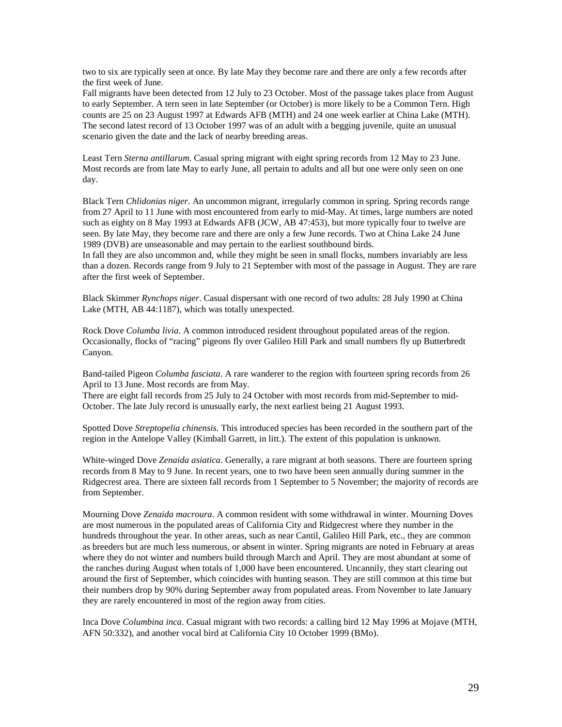two to six are typically seen at once. By late May they become rare and there are only a few records after the first week of June.

Fall migrants have been detected from 12 July to 23 October. Most of the passage takes place from August to early September. A tern seen in late September (or October) is more likely to be a Common Tern. High counts are 25 on 23 August 1997 at Edwards AFB (MTH) and 24 one week earlier at China Lake (MTH). The second latest record of 13 October 1997 was of an adult with a begging juvenile, quite an unusual scenario given the date and the lack of nearby breeding areas.

Least Tern *Sterna antillarum*. Casual spring migrant with eight spring records from 12 May to 23 June. Most records are from late May to early June, all pertain to adults and all but one were only seen on one day.

Black Tern *Chlidonias niger*. An uncommon migrant, irregularly common in spring. Spring records range from 27 April to 11 June with most encountered from early to mid-May. At times, large numbers are noted such as eighty on 8 May 1993 at Edwards AFB (JCW, AB 47:453), but more typically four to twelve are seen. By late May, they become rare and there are only a few June records. Two at China Lake 24 June 1989 (DVB) are unseasonable and may pertain to the earliest southbound birds.

In fall they are also uncommon and, while they might be seen in small flocks, numbers invariably are less than a dozen. Records range from 9 July to 21 September with most of the passage in August. They are rare after the first week of September.

Black Skimmer *Rynchops niger*. Casual dispersant with one record of two adults: 28 July 1990 at China Lake (MTH, AB 44:1187), which was totally unexpected.

Rock Dove *Columba livia*. A common introduced resident throughout populated areas of the region. Occasionally, flocks of "racing" pigeons fly over Galileo Hill Park and small numbers fly up Butterbredt Canyon.

Band-tailed Pigeon *Columba fasciata*. A rare wanderer to the region with fourteen spring records from 26 April to 13 June. Most records are from May.

There are eight fall records from 25 July to 24 October with most records from mid-September to mid-October. The late July record is unusually early, the next earliest being 21 August 1993.

Spotted Dove *Streptopelia chinensis*. This introduced species has been recorded in the southern part of the region in the Antelope Valley (Kimball Garrett, in litt.). The extent of this population is unknown.

White-winged Dove *Zenaida asiatica*. Generally, a rare migrant at both seasons. There are fourteen spring records from 8 May to 9 June. In recent years, one to two have been seen annually during summer in the Ridgecrest area. There are sixteen fall records from 1 September to 5 November; the majority of records are from September.

Mourning Dove *Zenaida macroura*. A common resident with some withdrawal in winter. Mourning Doves are most numerous in the populated areas of California City and Ridgecrest where they number in the hundreds throughout the year. In other areas, such as near Cantil, Galileo Hill Park, etc., they are common as breeders but are much less numerous, or absent in winter. Spring migrants are noted in February at areas where they do not winter and numbers build through March and April. They are most abundant at some of the ranches during August when totals of 1,000 have been encountered. Uncannily, they start clearing out around the first of September, which coincides with hunting season. They are still common at this time but their numbers drop by 90% during September away from populated areas. From November to late January they are rarely encountered in most of the region away from cities.

Inca Dove *Columbina inca*. Casual migrant with two records: a calling bird 12 May 1996 at Mojave (MTH, AFN 50:332), and another vocal bird at California City 10 October 1999 (BMo).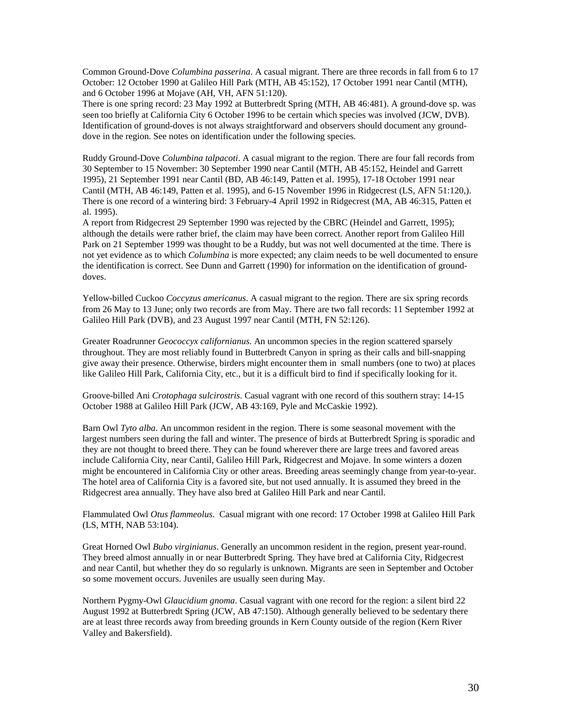Common Ground-Dove *Columbina passerina*. A casual migrant. There are three records in fall from 6 to 17 October: 12 October 1990 at Galileo Hill Park (MTH, AB 45:152), 17 October 1991 near Cantil (MTH), and 6 October 1996 at Mojave (AH, VH, AFN 51:120).

There is one spring record: 23 May 1992 at Butterbredt Spring (MTH, AB 46:481). A ground-dove sp. was seen too briefly at California City 6 October 1996 to be certain which species was involved (JCW, DVB). Identification of ground-doves is not always straightforward and observers should document any grounddove in the region. See notes on identification under the following species.

Ruddy Ground-Dove *Columbina talpacoti*. A casual migrant to the region. There are four fall records from 30 September to 15 November: 30 September 1990 near Cantil (MTH, AB 45:152, Heindel and Garrett 1995), 21 September 1991 near Cantil (BD, AB 46:149, Patten et al. 1995), 17-18 October 1991 near Cantil (MTH, AB 46:149, Patten et al. 1995), and 6-15 November 1996 in Ridgecrest (LS, AFN 51:120,). There is one record of a wintering bird: 3 February-4 April 1992 in Ridgecrest (MA, AB 46:315, Patten et al. 1995).

A report from Ridgecrest 29 September 1990 was rejected by the CBRC (Heindel and Garrett, 1995); although the details were rather brief, the claim may have been correct. Another report from Galileo Hill Park on 21 September 1999 was thought to be a Ruddy, but was not well documented at the time. There is not yet evidence as to which *Columbina* is more expected; any claim needs to be well documented to ensure the identification is correct. See Dunn and Garrett (1990) for information on the identification of grounddoves.

Yellow-billed Cuckoo *Coccyzus americanus*. A casual migrant to the region. There are six spring records from 26 May to 13 June; only two records are from May. There are two fall records: 11 September 1992 at Galileo Hill Park (DVB), and 23 August 1997 near Cantil (MTH, FN 52:126).

Greater Roadrunner *Geococcyx californianus*. An uncommon species in the region scattered sparsely throughout. They are most reliably found in Butterbredt Canyon in spring as their calls and bill-snapping give away their presence. Otherwise, birders might encounter them in small numbers (one to two) at places like Galileo Hill Park, California City, etc., but it is a difficult bird to find if specifically looking for it.

Groove-billed Ani *Crotophaga sulcirostris*. Casual vagrant with one record of this southern stray: 14-15 October 1988 at Galileo Hill Park (JCW, AB 43:169, Pyle and McCaskie 1992).

Barn Owl *Tyto alba*. An uncommon resident in the region. There is some seasonal movement with the largest numbers seen during the fall and winter. The presence of birds at Butterbredt Spring is sporadic and they are not thought to breed there. They can be found wherever there are large trees and favored areas include California City, near Cantil, Galileo Hill Park, Ridgecrest and Mojave. In some winters a dozen might be encountered in California City or other areas. Breeding areas seemingly change from year-to-year. The hotel area of California City is a favored site, but not used annually. It is assumed they breed in the Ridgecrest area annually. They have also bred at Galileo Hill Park and near Cantil.

Flammulated Owl *Otus flammeolus*. Casual migrant with one record: 17 October 1998 at Galileo Hill Park (LS, MTH, NAB 53:104).

Great Horned Owl *Bubo virginianus*. Generally an uncommon resident in the region, present year-round. They breed almost annually in or near Butterbredt Spring. They have bred at California City, Ridgecrest and near Cantil, but whether they do so regularly is unknown. Migrants are seen in September and October so some movement occurs. Juveniles are usually seen during May.

Northern Pygmy-Owl *Glaucidium gnoma*. Casual vagrant with one record for the region: a silent bird 22 August 1992 at Butterbredt Spring (JCW, AB 47:150). Although generally believed to be sedentary there are at least three records away from breeding grounds in Kern County outside of the region (Kern River Valley and Bakersfield).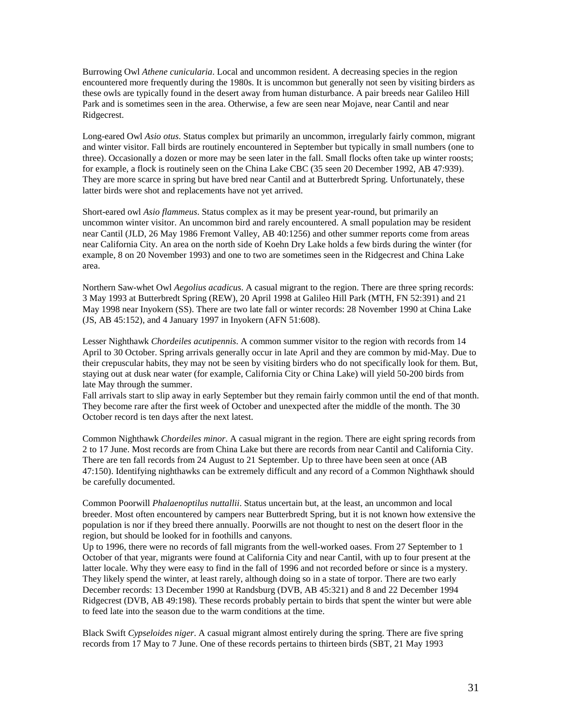Burrowing Owl *Athene cunicularia*. Local and uncommon resident. A decreasing species in the region encountered more frequently during the 1980s. It is uncommon but generally not seen by visiting birders as these owls are typically found in the desert away from human disturbance. A pair breeds near Galileo Hill Park and is sometimes seen in the area. Otherwise, a few are seen near Mojave, near Cantil and near Ridgecrest.

Long-eared Owl *Asio otus*. Status complex but primarily an uncommon, irregularly fairly common, migrant and winter visitor. Fall birds are routinely encountered in September but typically in small numbers (one to three). Occasionally a dozen or more may be seen later in the fall. Small flocks often take up winter roosts; for example, a flock is routinely seen on the China Lake CBC (35 seen 20 December 1992, AB 47:939). They are more scarce in spring but have bred near Cantil and at Butterbredt Spring. Unfortunately, these latter birds were shot and replacements have not yet arrived.

Short-eared owl *Asio flammeus*. Status complex as it may be present year-round, but primarily an uncommon winter visitor. An uncommon bird and rarely encountered. A small population may be resident near Cantil (JLD, 26 May 1986 Fremont Valley, AB 40:1256) and other summer reports come from areas near California City. An area on the north side of Koehn Dry Lake holds a few birds during the winter (for example, 8 on 20 November 1993) and one to two are sometimes seen in the Ridgecrest and China Lake area.

Northern Saw-whet Owl *Aegolius acadicus*. A casual migrant to the region. There are three spring records: 3 May 1993 at Butterbredt Spring (REW), 20 April 1998 at Galileo Hill Park (MTH, FN 52:391) and 21 May 1998 near Inyokern (SS). There are two late fall or winter records: 28 November 1990 at China Lake (JS, AB 45:152), and 4 January 1997 in Inyokern (AFN 51:608).

Lesser Nighthawk *Chordeiles acutipennis*. A common summer visitor to the region with records from 14 April to 30 October. Spring arrivals generally occur in late April and they are common by mid-May. Due to their crepuscular habits, they may not be seen by visiting birders who do not specifically look for them. But, staying out at dusk near water (for example, California City or China Lake) will yield 50-200 birds from late May through the summer.

Fall arrivals start to slip away in early September but they remain fairly common until the end of that month. They become rare after the first week of October and unexpected after the middle of the month. The 30 October record is ten days after the next latest.

Common Nighthawk *Chordeiles minor*. A casual migrant in the region. There are eight spring records from 2 to 17 June. Most records are from China Lake but there are records from near Cantil and California City. There are ten fall records from 24 August to 21 September. Up to three have been seen at once (AB 47:150). Identifying nighthawks can be extremely difficult and any record of a Common Nighthawk should be carefully documented.

Common Poorwill *Phalaenoptilus nuttallii*. Status uncertain but, at the least, an uncommon and local breeder. Most often encountered by campers near Butterbredt Spring, but it is not known how extensive the population is nor if they breed there annually. Poorwills are not thought to nest on the desert floor in the region, but should be looked for in foothills and canyons.

Up to 1996, there were no records of fall migrants from the well-worked oases. From 27 September to 1 October of that year, migrants were found at California City and near Cantil, with up to four present at the latter locale. Why they were easy to find in the fall of 1996 and not recorded before or since is a mystery. They likely spend the winter, at least rarely, although doing so in a state of torpor. There are two early December records: 13 December 1990 at Randsburg (DVB, AB 45:321) and 8 and 22 December 1994 Ridgecrest (DVB, AB 49:198). These records probably pertain to birds that spent the winter but were able to feed late into the season due to the warm conditions at the time.

Black Swift *Cypseloides niger*. A casual migrant almost entirely during the spring. There are five spring records from 17 May to 7 June. One of these records pertains to thirteen birds (SBT, 21 May 1993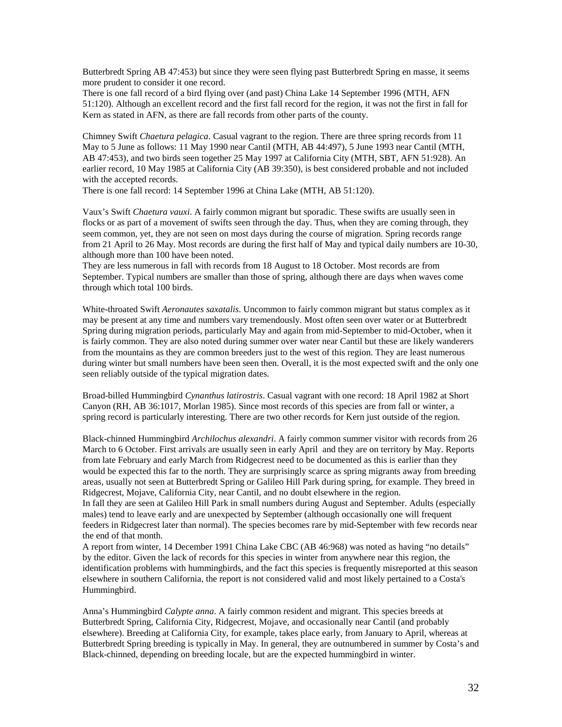Butterbredt Spring AB 47:453) but since they were seen flying past Butterbredt Spring en masse, it seems more prudent to consider it one record.

There is one fall record of a bird flying over (and past) China Lake 14 September 1996 (MTH, AFN 51:120). Although an excellent record and the first fall record for the region, it was not the first in fall for Kern as stated in AFN, as there are fall records from other parts of the county.

Chimney Swift *Chaetura pelagica*. Casual vagrant to the region. There are three spring records from 11 May to 5 June as follows: 11 May 1990 near Cantil (MTH, AB 44:497), 5 June 1993 near Cantil (MTH, AB 47:453), and two birds seen together 25 May 1997 at California City (MTH, SBT, AFN 51:928). An earlier record, 10 May 1985 at California City (AB 39:350), is best considered probable and not included with the accepted records.

There is one fall record: 14 September 1996 at China Lake (MTH, AB 51:120).

Vaux's Swift *Chaetura vauxi*. A fairly common migrant but sporadic. These swifts are usually seen in flocks or as part of a movement of swifts seen through the day. Thus, when they are coming through, they seem common, yet, they are not seen on most days during the course of migration. Spring records range from 21 April to 26 May. Most records are during the first half of May and typical daily numbers are 10-30, although more than 100 have been noted.

They are less numerous in fall with records from 18 August to 18 October. Most records are from September. Typical numbers are smaller than those of spring, although there are days when waves come through which total 100 birds.

White-throated Swift *Aeronautes saxatalis*. Uncommon to fairly common migrant but status complex as it may be present at any time and numbers vary tremendously. Most often seen over water or at Butterbredt Spring during migration periods, particularly May and again from mid-September to mid-October, when it is fairly common. They are also noted during summer over water near Cantil but these are likely wanderers from the mountains as they are common breeders just to the west of this region. They are least numerous during winter but small numbers have been seen then. Overall, it is the most expected swift and the only one seen reliably outside of the typical migration dates.

Broad-billed Hummingbird *Cynanthus latirostris*. Casual vagrant with one record: 18 April 1982 at Short Canyon (RH, AB 36:1017, Morlan 1985). Since most records of this species are from fall or winter, a spring record is particularly interesting. There are two other records for Kern just outside of the region.

Black-chinned Hummingbird *Archilochus alexandri*. A fairly common summer visitor with records from 26 March to 6 October. First arrivals are usually seen in early April and they are on territory by May. Reports from late February and early March from Ridgecrest need to be documented as this is earlier than they would be expected this far to the north. They are surprisingly scarce as spring migrants away from breeding areas, usually not seen at Butterbredt Spring or Galileo Hill Park during spring, for example. They breed in Ridgecrest, Mojave, California City, near Cantil, and no doubt elsewhere in the region.

In fall they are seen at Galileo Hill Park in small numbers during August and September. Adults (especially males) tend to leave early and are unexpected by September (although occasionally one will frequent feeders in Ridgecrest later than normal). The species becomes rare by mid-September with few records near the end of that month.

A report from winter, 14 December 1991 China Lake CBC (AB 46:968) was noted as having "no details" by the editor. Given the lack of records for this species in winter from anywhere near this region, the identification problems with hummingbirds, and the fact this species is frequently misreported at this season elsewhere in southern California, the report is not considered valid and most likely pertained to a Costa's Hummingbird.

Anna's Hummingbird *Calypte anna*. A fairly common resident and migrant. This species breeds at Butterbredt Spring, California City, Ridgecrest, Mojave, and occasionally near Cantil (and probably elsewhere). Breeding at California City, for example, takes place early, from January to April, whereas at Butterbredt Spring breeding is typically in May. In general, they are outnumbered in summer by Costa's and Black-chinned, depending on breeding locale, but are the expected hummingbird in winter.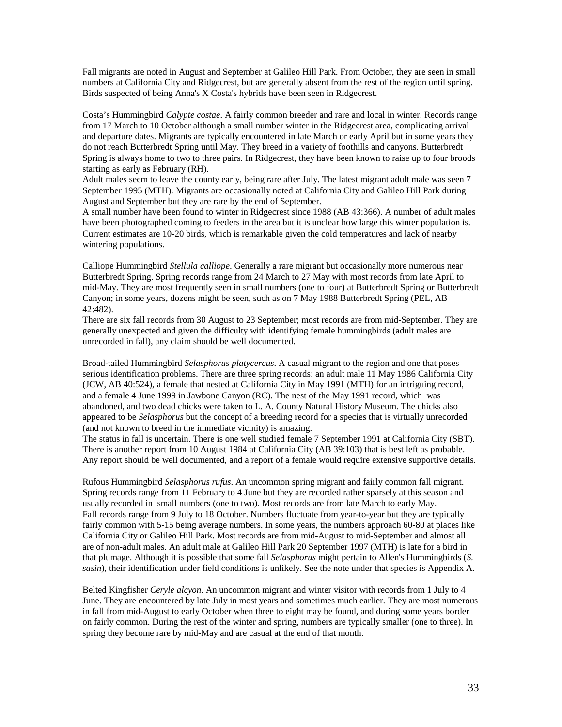Fall migrants are noted in August and September at Galileo Hill Park. From October, they are seen in small numbers at California City and Ridgecrest, but are generally absent from the rest of the region until spring. Birds suspected of being Anna's X Costa's hybrids have been seen in Ridgecrest.

Costa's Hummingbird *Calypte costae*. A fairly common breeder and rare and local in winter. Records range from 17 March to 10 October although a small number winter in the Ridgecrest area, complicating arrival and departure dates. Migrants are typically encountered in late March or early April but in some years they do not reach Butterbredt Spring until May. They breed in a variety of foothills and canyons. Butterbredt Spring is always home to two to three pairs. In Ridgecrest, they have been known to raise up to four broods starting as early as February (RH).

Adult males seem to leave the county early, being rare after July. The latest migrant adult male was seen 7 September 1995 (MTH). Migrants are occasionally noted at California City and Galileo Hill Park during August and September but they are rare by the end of September.

A small number have been found to winter in Ridgecrest since 1988 (AB 43:366). A number of adult males have been photographed coming to feeders in the area but it is unclear how large this winter population is. Current estimates are 10-20 birds, which is remarkable given the cold temperatures and lack of nearby wintering populations.

Calliope Hummingbird *Stellula calliope*. Generally a rare migrant but occasionally more numerous near Butterbredt Spring. Spring records range from 24 March to 27 May with most records from late April to mid-May. They are most frequently seen in small numbers (one to four) at Butterbredt Spring or Butterbredt Canyon; in some years, dozens might be seen, such as on 7 May 1988 Butterbredt Spring (PEL, AB 42:482).

There are six fall records from 30 August to 23 September; most records are from mid-September. They are generally unexpected and given the difficulty with identifying female hummingbirds (adult males are unrecorded in fall), any claim should be well documented.

Broad-tailed Hummingbird *Selasphorus platycercus*. A casual migrant to the region and one that poses serious identification problems. There are three spring records: an adult male 11 May 1986 California City (JCW, AB 40:524), a female that nested at California City in May 1991 (MTH) for an intriguing record, and a female 4 June 1999 in Jawbone Canyon (RC). The nest of the May 1991 record, which was abandoned, and two dead chicks were taken to L. A. County Natural History Museum. The chicks also appeared to be *Selasphorus* but the concept of a breeding record for a species that is virtually unrecorded (and not known to breed in the immediate vicinity) is amazing.

The status in fall is uncertain. There is one well studied female 7 September 1991 at California City (SBT). There is another report from 10 August 1984 at California City (AB 39:103) that is best left as probable. Any report should be well documented, and a report of a female would require extensive supportive details.

Rufous Hummingbird *Selasphorus rufus*. An uncommon spring migrant and fairly common fall migrant. Spring records range from 11 February to 4 June but they are recorded rather sparsely at this season and usually recorded in small numbers (one to two). Most records are from late March to early May. Fall records range from 9 July to 18 October. Numbers fluctuate from year-to-year but they are typically fairly common with 5-15 being average numbers. In some years, the numbers approach 60-80 at places like California City or Galileo Hill Park. Most records are from mid-August to mid-September and almost all are of non-adult males. An adult male at Galileo Hill Park 20 September 1997 (MTH) is late for a bird in that plumage. Although it is possible that some fall *Selasphorus* might pertain to Allen's Hummingbirds (*S. sasin*), their identification under field conditions is unlikely. See the note under that species is Appendix A.

Belted Kingfisher *Ceryle alcyon*. An uncommon migrant and winter visitor with records from 1 July to 4 June. They are encountered by late July in most years and sometimes much earlier. They are most numerous in fall from mid-August to early October when three to eight may be found, and during some years border on fairly common. During the rest of the winter and spring, numbers are typically smaller (one to three). In spring they become rare by mid-May and are casual at the end of that month.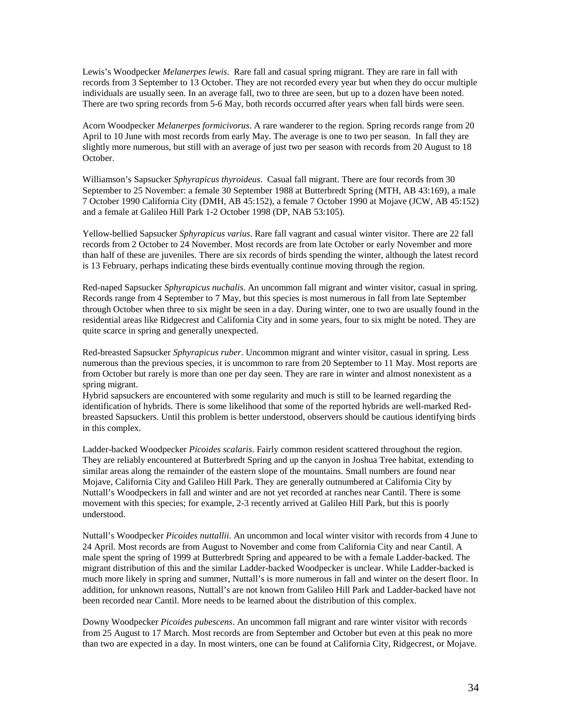Lewis's Woodpecker *Melanerpes lewis*. Rare fall and casual spring migrant. They are rare in fall with records from 3 September to 13 October. They are not recorded every year but when they do occur multiple individuals are usually seen. In an average fall, two to three are seen, but up to a dozen have been noted. There are two spring records from 5-6 May, both records occurred after years when fall birds were seen.

Acorn Woodpecker *Melanerpes formicivorus*. A rare wanderer to the region. Spring records range from 20 April to 10 June with most records from early May. The average is one to two per season. In fall they are slightly more numerous, but still with an average of just two per season with records from 20 August to 18 October.

Williamson's Sapsucker *Sphyrapicus thyroideus*. Casual fall migrant. There are four records from 30 September to 25 November: a female 30 September 1988 at Butterbredt Spring (MTH, AB 43:169), a male 7 October 1990 California City (DMH, AB 45:152), a female 7 October 1990 at Mojave (JCW, AB 45:152) and a female at Galileo Hill Park 1-2 October 1998 (DP, NAB 53:105).

Yellow-bellied Sapsucker *Sphyrapicus varius*. Rare fall vagrant and casual winter visitor. There are 22 fall records from 2 October to 24 November. Most records are from late October or early November and more than half of these are juveniles. There are six records of birds spending the winter, although the latest record is 13 February, perhaps indicating these birds eventually continue moving through the region.

Red-naped Sapsucker *Sphyrapicus nuchalis*. An uncommon fall migrant and winter visitor, casual in spring. Records range from 4 September to 7 May, but this species is most numerous in fall from late September through October when three to six might be seen in a day. During winter, one to two are usually found in the residential areas like Ridgecrest and California City and in some years, four to six might be noted. They are quite scarce in spring and generally unexpected.

Red-breasted Sapsucker *Sphyrapicus ruber*. Uncommon migrant and winter visitor, casual in spring. Less numerous than the previous species, it is uncommon to rare from 20 September to 11 May. Most reports are from October but rarely is more than one per day seen. They are rare in winter and almost nonexistent as a spring migrant.

Hybrid sapsuckers are encountered with some regularity and much is still to be learned regarding the identification of hybrids. There is some likelihood that some of the reported hybrids are well-marked Redbreasted Sapsuckers. Until this problem is better understood, observers should be cautious identifying birds in this complex.

Ladder-backed Woodpecker *Picoides scalaris*. Fairly common resident scattered throughout the region. They are reliably encountered at Butterbredt Spring and up the canyon in Joshua Tree habitat, extending to similar areas along the remainder of the eastern slope of the mountains. Small numbers are found near Mojave, California City and Galileo Hill Park. They are generally outnumbered at California City by Nuttall's Woodpeckers in fall and winter and are not yet recorded at ranches near Cantil. There is some movement with this species; for example, 2-3 recently arrived at Galileo Hill Park, but this is poorly understood.

Nuttall's Woodpecker *Picoides nuttallii*. An uncommon and local winter visitor with records from 4 June to 24 April. Most records are from August to November and come from California City and near Cantil. A male spent the spring of 1999 at Butterbredt Spring and appeared to be with a female Ladder-backed. The migrant distribution of this and the similar Ladder-backed Woodpecker is unclear. While Ladder-backed is much more likely in spring and summer, Nuttall's is more numerous in fall and winter on the desert floor. In addition, for unknown reasons, Nuttall's are not known from Galileo Hill Park and Ladder-backed have not been recorded near Cantil. More needs to be learned about the distribution of this complex.

Downy Woodpecker *Picoides pubescens*. An uncommon fall migrant and rare winter visitor with records from 25 August to 17 March. Most records are from September and October but even at this peak no more than two are expected in a day. In most winters, one can be found at California City, Ridgecrest, or Mojave.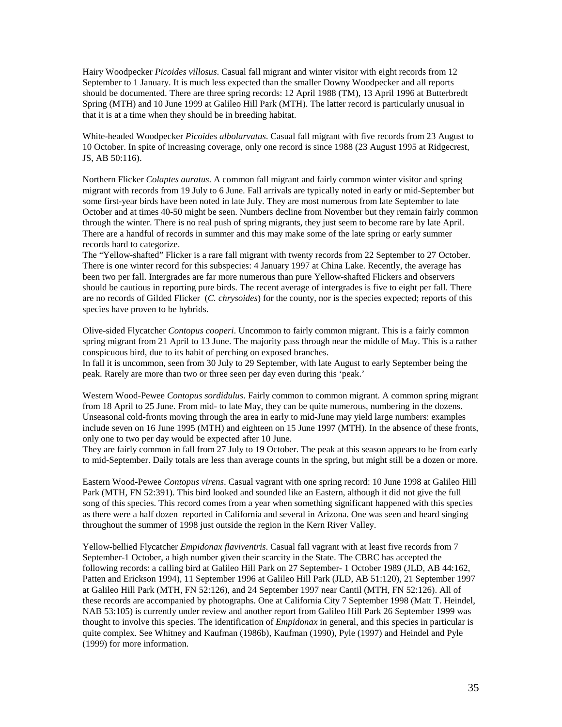Hairy Woodpecker *Picoides villosus*. Casual fall migrant and winter visitor with eight records from 12 September to 1 January. It is much less expected than the smaller Downy Woodpecker and all reports should be documented. There are three spring records: 12 April 1988 (TM), 13 April 1996 at Butterbredt Spring (MTH) and 10 June 1999 at Galileo Hill Park (MTH). The latter record is particularly unusual in that it is at a time when they should be in breeding habitat.

White-headed Woodpecker *Picoides albolarvatus*. Casual fall migrant with five records from 23 August to 10 October. In spite of increasing coverage, only one record is since 1988 (23 August 1995 at Ridgecrest, JS, AB 50:116).

Northern Flicker *Colaptes auratus*. A common fall migrant and fairly common winter visitor and spring migrant with records from 19 July to 6 June. Fall arrivals are typically noted in early or mid-September but some first-year birds have been noted in late July. They are most numerous from late September to late October and at times 40-50 might be seen. Numbers decline from November but they remain fairly common through the winter. There is no real push of spring migrants, they just seem to become rare by late April. There are a handful of records in summer and this may make some of the late spring or early summer records hard to categorize.

The "Yellow-shafted" Flicker is a rare fall migrant with twenty records from 22 September to 27 October. There is one winter record for this subspecies: 4 January 1997 at China Lake. Recently, the average has been two per fall. Intergrades are far more numerous than pure Yellow-shafted Flickers and observers should be cautious in reporting pure birds. The recent average of intergrades is five to eight per fall. There are no records of Gilded Flicker (*C. chrysoides*) for the county, nor is the species expected; reports of this species have proven to be hybrids.

Olive-sided Flycatcher *Contopus cooperi*. Uncommon to fairly common migrant. This is a fairly common spring migrant from 21 April to 13 June. The majority pass through near the middle of May. This is a rather conspicuous bird, due to its habit of perching on exposed branches.

In fall it is uncommon, seen from 30 July to 29 September, with late August to early September being the peak. Rarely are more than two or three seen per day even during this 'peak.'

Western Wood-Pewee *Contopus sordidulus*. Fairly common to common migrant. A common spring migrant from 18 April to 25 June. From mid- to late May, they can be quite numerous, numbering in the dozens. Unseasonal cold-fronts moving through the area in early to mid-June may yield large numbers: examples include seven on 16 June 1995 (MTH) and eighteen on 15 June 1997 (MTH). In the absence of these fronts, only one to two per day would be expected after 10 June.

They are fairly common in fall from 27 July to 19 October. The peak at this season appears to be from early to mid-September. Daily totals are less than average counts in the spring, but might still be a dozen or more.

Eastern Wood-Pewee *Contopus virens*. Casual vagrant with one spring record: 10 June 1998 at Galileo Hill Park (MTH, FN 52:391). This bird looked and sounded like an Eastern, although it did not give the full song of this species. This record comes from a year when something significant happened with this species as there were a half dozen reported in California and several in Arizona. One was seen and heard singing throughout the summer of 1998 just outside the region in the Kern River Valley.

Yellow-bellied Flycatcher *Empidonax flaviventris*. Casual fall vagrant with at least five records from 7 September-1 October, a high number given their scarcity in the State. The CBRC has accepted the following records: a calling bird at Galileo Hill Park on 27 September- 1 October 1989 (JLD, AB 44:162, Patten and Erickson 1994), 11 September 1996 at Galileo Hill Park (JLD, AB 51:120), 21 September 1997 at Galileo Hill Park (MTH, FN 52:126), and 24 September 1997 near Cantil (MTH, FN 52:126). All of these records are accompanied by photographs. One at California City 7 September 1998 (Matt T. Heindel, NAB 53:105) is currently under review and another report from Galileo Hill Park 26 September 1999 was thought to involve this species. The identification of *Empidonax* in general, and this species in particular is quite complex. See Whitney and Kaufman (1986b), Kaufman (1990), Pyle (1997) and Heindel and Pyle (1999) for more information.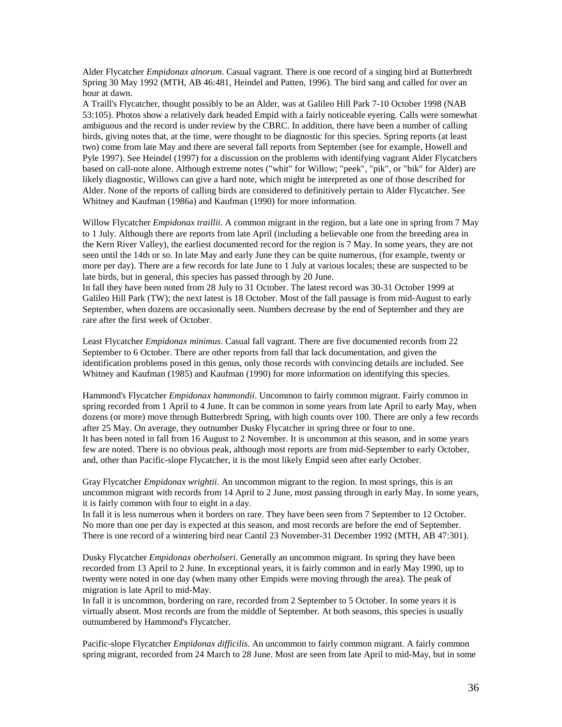Alder Flycatcher *Empidonax alnorum*. Casual vagrant. There is one record of a singing bird at Butterbredt Spring 30 May 1992 (MTH, AB 46:481, Heindel and Patten, 1996). The bird sang and called for over an hour at dawn.

A Traill's Flycatcher, thought possibly to be an Alder, was at Galileo Hill Park 7-10 October 1998 (NAB 53:105). Photos show a relatively dark headed Empid with a fairly noticeable eyering. Calls were somewhat ambiguous and the record is under review by the CBRC. In addition, there have been a number of calling birds, giving notes that, at the time, were thought to be diagnostic for this species. Spring reports (at least two) come from late May and there are several fall reports from September (see for example, Howell and Pyle 1997). See Heindel (1997) for a discussion on the problems with identifying vagrant Alder Flycatchers based on call-note alone. Although extreme notes ("whit" for Willow; "peek", "pik", or "bik" for Alder) are likely diagnostic, Willows can give a hard note, which might be interpreted as one of those described for Alder. None of the reports of calling birds are considered to definitively pertain to Alder Flycatcher. See Whitney and Kaufman (1986a) and Kaufman (1990) for more information.

Willow Flycatcher *Empidonax traillii*. A common migrant in the region, but a late one in spring from 7 May to 1 July. Although there are reports from late April (including a believable one from the breeding area in the Kern River Valley), the earliest documented record for the region is 7 May. In some years, they are not seen until the 14th or so. In late May and early June they can be quite numerous, (for example, twenty or more per day). There are a few records for late June to 1 July at various locales; these are suspected to be late birds, but in general, this species has passed through by 20 June.

In fall they have been noted from 28 July to 31 October. The latest record was 30-31 October 1999 at Galileo Hill Park (TW); the next latest is 18 October. Most of the fall passage is from mid-August to early September, when dozens are occasionally seen. Numbers decrease by the end of September and they are rare after the first week of October.

Least Flycatcher *Empidonax minimus*. Casual fall vagrant. There are five documented records from 22 September to 6 October. There are other reports from fall that lack documentation, and given the identification problems posed in this genus, only those records with convincing details are included. See Whitney and Kaufman (1985) and Kaufman (1990) for more information on identifying this species.

Hammond's Flycatcher *Empidonax hammondii*. Uncommon to fairly common migrant. Fairly common in spring recorded from 1 April to 4 June. It can be common in some years from late April to early May, when dozens (or more) move through Butterbredt Spring, with high counts over 100. There are only a few records after 25 May. On average, they outnumber Dusky Flycatcher in spring three or four to one. It has been noted in fall from 16 August to 2 November. It is uncommon at this season, and in some years few are noted. There is no obvious peak, although most reports are from mid-September to early October, and, other than Pacific-slope Flycatcher, it is the most likely Empid seen after early October.

Gray Flycatcher *Empidonax wrightii*. An uncommon migrant to the region. In most springs, this is an uncommon migrant with records from 14 April to 2 June, most passing through in early May. In some years, it is fairly common with four to eight in a day.

In fall it is less numerous when it borders on rare. They have been seen from 7 September to 12 October. No more than one per day is expected at this season, and most records are before the end of September. There is one record of a wintering bird near Cantil 23 November-31 December 1992 (MTH, AB 47:301).

Dusky Flycatcher *Empidonax oberholseri*. Generally an uncommon migrant. In spring they have been recorded from 13 April to 2 June. In exceptional years, it is fairly common and in early May 1990, up to twenty were noted in one day (when many other Empids were moving through the area). The peak of migration is late April to mid-May.

In fall it is uncommon, bordering on rare, recorded from 2 September to 5 October. In some years it is virtually absent. Most records are from the middle of September. At both seasons, this species is usually outnumbered by Hammond's Flycatcher.

Pacific-slope Flycatcher *Empidonax difficilis*. An uncommon to fairly common migrant. A fairly common spring migrant, recorded from 24 March to 28 June. Most are seen from late April to mid-May, but in some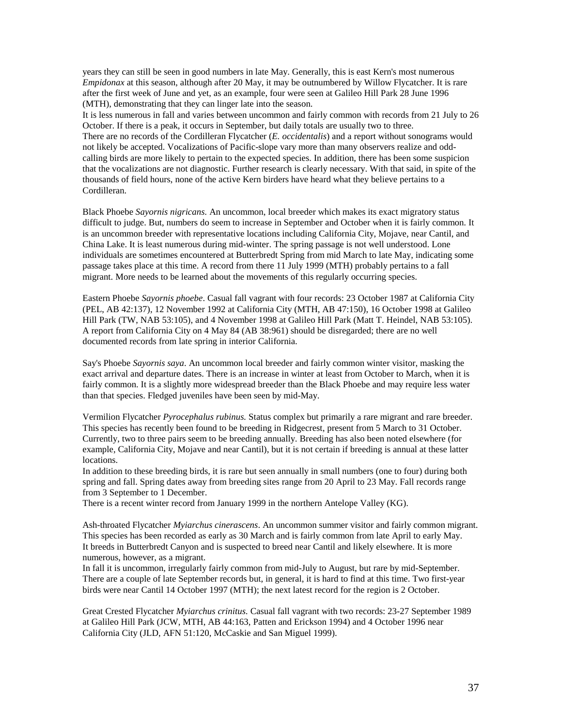years they can still be seen in good numbers in late May. Generally, this is east Kern's most numerous *Empidonax* at this season, although after 20 May, it may be outnumbered by Willow Flycatcher. It is rare after the first week of June and yet, as an example, four were seen at Galileo Hill Park 28 June 1996 (MTH), demonstrating that they can linger late into the season.

It is less numerous in fall and varies between uncommon and fairly common with records from 21 July to 26 October. If there is a peak, it occurs in September, but daily totals are usually two to three. There are no records of the Cordilleran Flycatcher (*E. occidentalis*) and a report without sonograms would not likely be accepted. Vocalizations of Pacific-slope vary more than many observers realize and oddcalling birds are more likely to pertain to the expected species. In addition, there has been some suspicion that the vocalizations are not diagnostic. Further research is clearly necessary. With that said, in spite of the thousands of field hours, none of the active Kern birders have heard what they believe pertains to a Cordilleran.

Black Phoebe *Sayornis nigricans.* An uncommon, local breeder which makes its exact migratory status difficult to judge. But, numbers do seem to increase in September and October when it is fairly common. It is an uncommon breeder with representative locations including California City, Mojave, near Cantil, and China Lake. It is least numerous during mid-winter. The spring passage is not well understood. Lone individuals are sometimes encountered at Butterbredt Spring from mid March to late May, indicating some passage takes place at this time. A record from there 11 July 1999 (MTH) probably pertains to a fall migrant. More needs to be learned about the movements of this regularly occurring species.

Eastern Phoebe *Sayornis phoebe*. Casual fall vagrant with four records: 23 October 1987 at California City (PEL, AB 42:137), 12 November 1992 at California City (MTH, AB 47:150), 16 October 1998 at Galileo Hill Park (TW, NAB 53:105), and 4 November 1998 at Galileo Hill Park (Matt T. Heindel, NAB 53:105). A report from California City on 4 May 84 (AB 38:961) should be disregarded; there are no well documented records from late spring in interior California.

Say's Phoebe *Sayornis saya*. An uncommon local breeder and fairly common winter visitor, masking the exact arrival and departure dates. There is an increase in winter at least from October to March, when it is fairly common. It is a slightly more widespread breeder than the Black Phoebe and may require less water than that species. Fledged juveniles have been seen by mid-May.

Vermilion Flycatcher *Pyrocephalus rubinus.* Status complex but primarily a rare migrant and rare breeder. This species has recently been found to be breeding in Ridgecrest, present from 5 March to 31 October. Currently, two to three pairs seem to be breeding annually. Breeding has also been noted elsewhere (for example, California City, Mojave and near Cantil), but it is not certain if breeding is annual at these latter locations.

In addition to these breeding birds, it is rare but seen annually in small numbers (one to four) during both spring and fall. Spring dates away from breeding sites range from 20 April to 23 May. Fall records range from 3 September to 1 December.

There is a recent winter record from January 1999 in the northern Antelope Valley (KG).

Ash-throated Flycatcher *Myiarchus cinerascens*. An uncommon summer visitor and fairly common migrant. This species has been recorded as early as 30 March and is fairly common from late April to early May. It breeds in Butterbredt Canyon and is suspected to breed near Cantil and likely elsewhere. It is more numerous, however, as a migrant.

In fall it is uncommon, irregularly fairly common from mid-July to August, but rare by mid-September. There are a couple of late September records but, in general, it is hard to find at this time. Two first-year birds were near Cantil 14 October 1997 (MTH); the next latest record for the region is 2 October.

Great Crested Flycatcher *Myiarchus crinitus.* Casual fall vagrant with two records: 23-27 September 1989 at Galileo Hill Park (JCW, MTH, AB 44:163, Patten and Erickson 1994) and 4 October 1996 near California City (JLD, AFN 51:120, McCaskie and San Miguel 1999).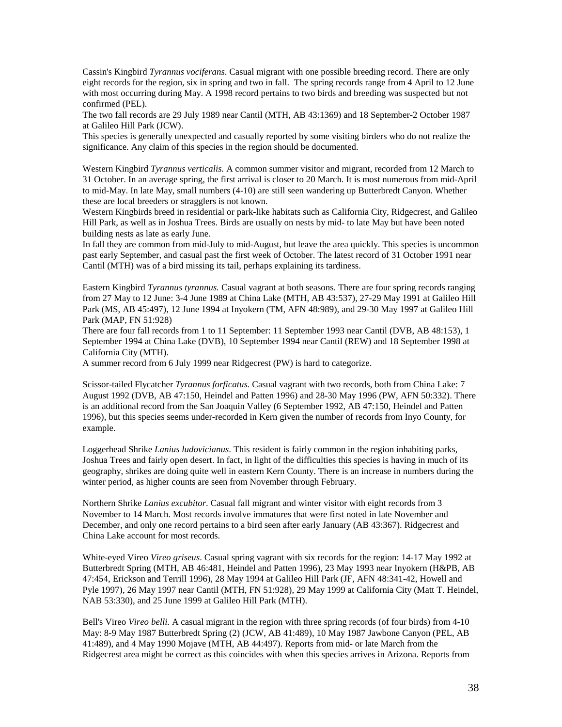Cassin's Kingbird *Tyrannus vociferans*. Casual migrant with one possible breeding record. There are only eight records for the region, six in spring and two in fall. The spring records range from 4 April to 12 June with most occurring during May. A 1998 record pertains to two birds and breeding was suspected but not confirmed (PEL).

The two fall records are 29 July 1989 near Cantil (MTH, AB 43:1369) and 18 September-2 October 1987 at Galileo Hill Park (JCW).

This species is generally unexpected and casually reported by some visiting birders who do not realize the significance. Any claim of this species in the region should be documented.

Western Kingbird *Tyrannus verticalis.* A common summer visitor and migrant, recorded from 12 March to 31 October. In an average spring, the first arrival is closer to 20 March. It is most numerous from mid-April to mid-May. In late May, small numbers (4-10) are still seen wandering up Butterbredt Canyon. Whether these are local breeders or stragglers is not known.

Western Kingbirds breed in residential or park-like habitats such as California City, Ridgecrest, and Galileo Hill Park, as well as in Joshua Trees. Birds are usually on nests by mid- to late May but have been noted building nests as late as early June.

In fall they are common from mid-July to mid-August, but leave the area quickly. This species is uncommon past early September, and casual past the first week of October. The latest record of 31 October 1991 near Cantil (MTH) was of a bird missing its tail, perhaps explaining its tardiness.

Eastern Kingbird *Tyrannus tyrannus.* Casual vagrant at both seasons. There are four spring records ranging from 27 May to 12 June: 3-4 June 1989 at China Lake (MTH, AB 43:537), 27-29 May 1991 at Galileo Hill Park (MS, AB 45:497), 12 June 1994 at Inyokern (TM, AFN 48:989), and 29-30 May 1997 at Galileo Hill Park (MAP, FN 51:928)

There are four fall records from 1 to 11 September: 11 September 1993 near Cantil (DVB, AB 48:153), 1 September 1994 at China Lake (DVB), 10 September 1994 near Cantil (REW) and 18 September 1998 at California City (MTH).

A summer record from 6 July 1999 near Ridgecrest (PW) is hard to categorize.

Scissor-tailed Flycatcher *Tyrannus forficatus.* Casual vagrant with two records, both from China Lake: 7 August 1992 (DVB, AB 47:150, Heindel and Patten 1996) and 28-30 May 1996 (PW, AFN 50:332). There is an additional record from the San Joaquin Valley (6 September 1992, AB 47:150, Heindel and Patten 1996), but this species seems under-recorded in Kern given the number of records from Inyo County, for example.

Loggerhead Shrike *Lanius ludovicianus*. This resident is fairly common in the region inhabiting parks, Joshua Trees and fairly open desert. In fact, in light of the difficulties this species is having in much of its geography, shrikes are doing quite well in eastern Kern County. There is an increase in numbers during the winter period, as higher counts are seen from November through February.

Northern Shrike *Lanius excubitor*. Casual fall migrant and winter visitor with eight records from 3 November to 14 March. Most records involve immatures that were first noted in late November and December, and only one record pertains to a bird seen after early January (AB 43:367). Ridgecrest and China Lake account for most records.

White-eyed Vireo *Vireo griseus*. Casual spring vagrant with six records for the region: 14-17 May 1992 at Butterbredt Spring (MTH, AB 46:481, Heindel and Patten 1996), 23 May 1993 near Inyokern (H&PB, AB 47:454, Erickson and Terrill 1996), 28 May 1994 at Galileo Hill Park (JF, AFN 48:341-42, Howell and Pyle 1997), 26 May 1997 near Cantil (MTH, FN 51:928), 29 May 1999 at California City (Matt T. Heindel, NAB 53:330), and 25 June 1999 at Galileo Hill Park (MTH).

Bell's Vireo *Vireo belli.* A casual migrant in the region with three spring records (of four birds) from 4-10 May: 8-9 May 1987 Butterbredt Spring (2) (JCW, AB 41:489), 10 May 1987 Jawbone Canyon (PEL, AB 41:489), and 4 May 1990 Mojave (MTH, AB 44:497). Reports from mid- or late March from the Ridgecrest area might be correct as this coincides with when this species arrives in Arizona. Reports from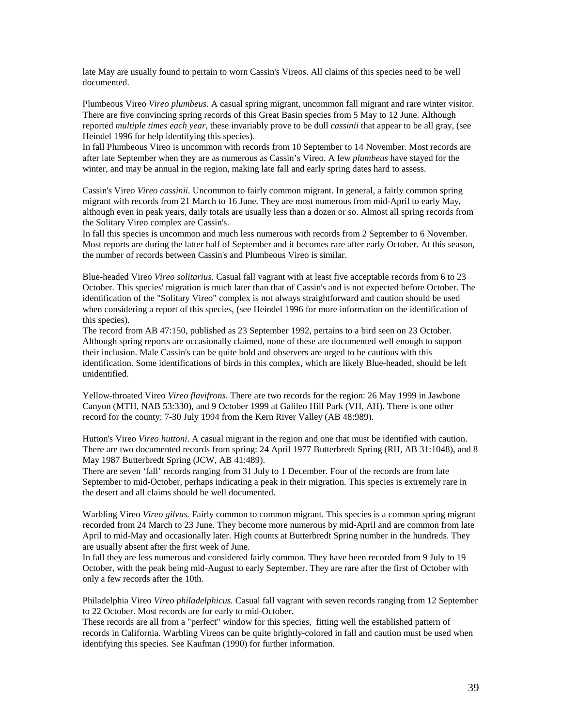late May are usually found to pertain to worn Cassin's Vireos. All claims of this species need to be well documented.

Plumbeous Vireo *Vireo plumbeus.* A casual spring migrant, uncommon fall migrant and rare winter visitor. There are five convincing spring records of this Great Basin species from 5 May to 12 June. Although reported *multiple times each year*, these invariably prove to be dull *cassinii* that appear to be all gray, (see Heindel 1996 for help identifying this species).

In fall Plumbeous Vireo is uncommon with records from 10 September to 14 November. Most records are after late September when they are as numerous as Cassin's Vireo. A few *plumbeus* have stayed for the winter, and may be annual in the region, making late fall and early spring dates hard to assess.

Cassin's Vireo *Vireo cassinii.* Uncommon to fairly common migrant. In general, a fairly common spring migrant with records from 21 March to 16 June. They are most numerous from mid-April to early May, although even in peak years, daily totals are usually less than a dozen or so. Almost all spring records from the Solitary Vireo complex are Cassin's.

In fall this species is uncommon and much less numerous with records from 2 September to 6 November. Most reports are during the latter half of September and it becomes rare after early October. At this season, the number of records between Cassin's and Plumbeous Vireo is similar.

Blue-headed Vireo *Vireo solitarius.* Casual fall vagrant with at least five acceptable records from 6 to 23 October. This species' migration is much later than that of Cassin's and is not expected before October. The identification of the "Solitary Vireo" complex is not always straightforward and caution should be used when considering a report of this species, (see Heindel 1996 for more information on the identification of this species).

The record from AB 47:150, published as 23 September 1992, pertains to a bird seen on 23 October. Although spring reports are occasionally claimed, none of these are documented well enough to support their inclusion. Male Cassin's can be quite bold and observers are urged to be cautious with this identification. Some identifications of birds in this complex, which are likely Blue-headed, should be left unidentified.

Yellow-throated Vireo *Vireo flavifrons*. There are two records for the region: 26 May 1999 in Jawbone Canyon (MTH, NAB 53:330), and 9 October 1999 at Galileo Hill Park (VH, AH). There is one other record for the county: 7-30 July 1994 from the Kern River Valley (AB 48:989).

Hutton's Vireo *Vireo huttoni*. A casual migrant in the region and one that must be identified with caution. There are two documented records from spring: 24 April 1977 Butterbredt Spring (RH, AB 31:1048), and 8 May 1987 Butterbredt Spring (JCW, AB 41:489).

There are seven 'fall' records ranging from 31 July to 1 December. Four of the records are from late September to mid-October, perhaps indicating a peak in their migration. This species is extremely rare in the desert and all claims should be well documented.

Warbling Vireo *Vireo gilvus.* Fairly common to common migrant. This species is a common spring migrant recorded from 24 March to 23 June. They become more numerous by mid-April and are common from late April to mid-May and occasionally later. High counts at Butterbredt Spring number in the hundreds. They are usually absent after the first week of June.

In fall they are less numerous and considered fairly common. They have been recorded from 9 July to 19 October, with the peak being mid-August to early September. They are rare after the first of October with only a few records after the 10th.

Philadelphia Vireo *Vireo philadelphicus.* Casual fall vagrant with seven records ranging from 12 September to 22 October. Most records are for early to mid-October.

These records are all from a "perfect" window for this species, fitting well the established pattern of records in California. Warbling Vireos can be quite brightly-colored in fall and caution must be used when identifying this species. See Kaufman (1990) for further information.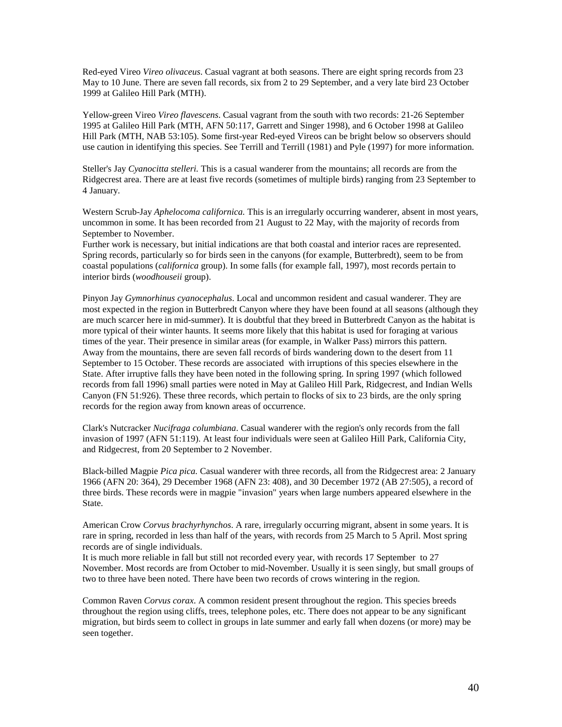Red-eyed Vireo *Vireo olivaceus*. Casual vagrant at both seasons. There are eight spring records from 23 May to 10 June. There are seven fall records, six from 2 to 29 September, and a very late bird 23 October 1999 at Galileo Hill Park (MTH).

Yellow-green Vireo *Vireo flavescens*. Casual vagrant from the south with two records: 21-26 September 1995 at Galileo Hill Park (MTH, AFN 50:117, Garrett and Singer 1998), and 6 October 1998 at Galileo Hill Park (MTH, NAB 53:105). Some first-year Red-eyed Vireos can be bright below so observers should use caution in identifying this species. See Terrill and Terrill (1981) and Pyle (1997) for more information.

Steller's Jay *Cyanocitta stelleri.* This is a casual wanderer from the mountains; all records are from the Ridgecrest area. There are at least five records (sometimes of multiple birds) ranging from 23 September to 4 January.

Western Scrub-Jay *Aphelocoma californica.* This is an irregularly occurring wanderer, absent in most years, uncommon in some. It has been recorded from 21 August to 22 May, with the majority of records from September to November.

Further work is necessary, but initial indications are that both coastal and interior races are represented. Spring records, particularly so for birds seen in the canyons (for example, Butterbredt), seem to be from coastal populations (*californica* group). In some falls (for example fall, 1997), most records pertain to interior birds (*woodhouseii* group).

Pinyon Jay *Gymnorhinus cyanocephalus*. Local and uncommon resident and casual wanderer. They are most expected in the region in Butterbredt Canyon where they have been found at all seasons (although they are much scarcer here in mid-summer). It is doubtful that they breed in Butterbredt Canyon as the habitat is more typical of their winter haunts. It seems more likely that this habitat is used for foraging at various times of the year. Their presence in similar areas (for example, in Walker Pass) mirrors this pattern. Away from the mountains, there are seven fall records of birds wandering down to the desert from 11 September to 15 October. These records are associated with irruptions of this species elsewhere in the State. After irruptive falls they have been noted in the following spring. In spring 1997 (which followed records from fall 1996) small parties were noted in May at Galileo Hill Park, Ridgecrest, and Indian Wells Canyon (FN 51:926). These three records, which pertain to flocks of six to 23 birds, are the only spring records for the region away from known areas of occurrence.

Clark's Nutcracker *Nucifraga columbiana*. Casual wanderer with the region's only records from the fall invasion of 1997 (AFN 51:119). At least four individuals were seen at Galileo Hill Park, California City, and Ridgecrest, from 20 September to 2 November.

Black-billed Magpie *Pica pica.* Casual wanderer with three records, all from the Ridgecrest area: 2 January 1966 (AFN 20: 364), 29 December 1968 (AFN 23: 408), and 30 December 1972 (AB 27:505), a record of three birds. These records were in magpie "invasion" years when large numbers appeared elsewhere in the State.

American Crow *Corvus brachyrhynchos*. A rare, irregularly occurring migrant, absent in some years. It is rare in spring, recorded in less than half of the years, with records from 25 March to 5 April. Most spring records are of single individuals.

It is much more reliable in fall but still not recorded every year, with records 17 September to 27 November. Most records are from October to mid-November. Usually it is seen singly, but small groups of two to three have been noted. There have been two records of crows wintering in the region.

Common Raven *Corvus corax*. A common resident present throughout the region. This species breeds throughout the region using cliffs, trees, telephone poles, etc. There does not appear to be any significant migration, but birds seem to collect in groups in late summer and early fall when dozens (or more) may be seen together.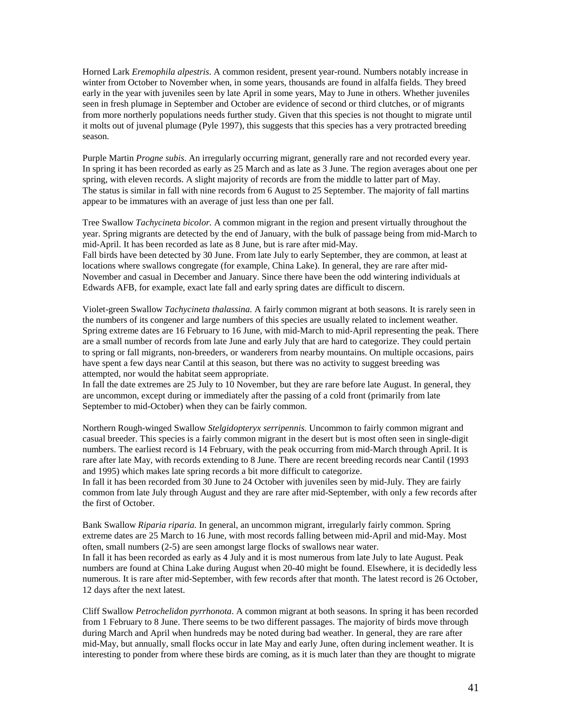Horned Lark *Eremophila alpestris*. A common resident, present year-round. Numbers notably increase in winter from October to November when, in some years, thousands are found in alfalfa fields. They breed early in the year with juveniles seen by late April in some years, May to June in others. Whether juveniles seen in fresh plumage in September and October are evidence of second or third clutches, or of migrants from more northerly populations needs further study. Given that this species is not thought to migrate until it molts out of juvenal plumage (Pyle 1997), this suggests that this species has a very protracted breeding season.

Purple Martin *Progne subis*. An irregularly occurring migrant, generally rare and not recorded every year. In spring it has been recorded as early as 25 March and as late as 3 June. The region averages about one per spring, with eleven records. A slight majority of records are from the middle to latter part of May. The status is similar in fall with nine records from 6 August to 25 September. The majority of fall martins appear to be immatures with an average of just less than one per fall.

Tree Swallow *Tachycineta bicolor.* A common migrant in the region and present virtually throughout the year. Spring migrants are detected by the end of January, with the bulk of passage being from mid-March to mid-April. It has been recorded as late as 8 June, but is rare after mid-May. Fall birds have been detected by 30 June. From late July to early September, they are common, at least at locations where swallows congregate (for example, China Lake). In general, they are rare after mid-November and casual in December and January. Since there have been the odd wintering individuals at Edwards AFB, for example, exact late fall and early spring dates are difficult to discern.

Violet-green Swallow *Tachycineta thalassina.* A fairly common migrant at both seasons. It is rarely seen in the numbers of its congener and large numbers of this species are usually related to inclement weather. Spring extreme dates are 16 February to 16 June, with mid-March to mid-April representing the peak. There are a small number of records from late June and early July that are hard to categorize. They could pertain to spring or fall migrants, non-breeders, or wanderers from nearby mountains. On multiple occasions, pairs have spent a few days near Cantil at this season, but there was no activity to suggest breeding was attempted, nor would the habitat seem appropriate.

In fall the date extremes are 25 July to 10 November, but they are rare before late August. In general, they are uncommon, except during or immediately after the passing of a cold front (primarily from late September to mid-October) when they can be fairly common.

Northern Rough-winged Swallow *Stelgidopteryx serripennis.* Uncommon to fairly common migrant and casual breeder. This species is a fairly common migrant in the desert but is most often seen in single-digit numbers. The earliest record is 14 February, with the peak occurring from mid-March through April. It is rare after late May, with records extending to 8 June. There are recent breeding records near Cantil (1993 and 1995) which makes late spring records a bit more difficult to categorize.

In fall it has been recorded from 30 June to 24 October with juveniles seen by mid-July. They are fairly common from late July through August and they are rare after mid-September, with only a few records after the first of October.

Bank Swallow *Riparia riparia.* In general, an uncommon migrant, irregularly fairly common. Spring extreme dates are 25 March to 16 June, with most records falling between mid-April and mid-May. Most often, small numbers (2-5) are seen amongst large flocks of swallows near water. In fall it has been recorded as early as 4 July and it is most numerous from late July to late August. Peak numbers are found at China Lake during August when 20-40 might be found. Elsewhere, it is decidedly less numerous. It is rare after mid-September, with few records after that month. The latest record is 26 October, 12 days after the next latest.

Cliff Swallow *Petrochelidon pyrrhonota*. A common migrant at both seasons. In spring it has been recorded from 1 February to 8 June. There seems to be two different passages. The majority of birds move through during March and April when hundreds may be noted during bad weather. In general, they are rare after mid-May, but annually, small flocks occur in late May and early June, often during inclement weather. It is interesting to ponder from where these birds are coming, as it is much later than they are thought to migrate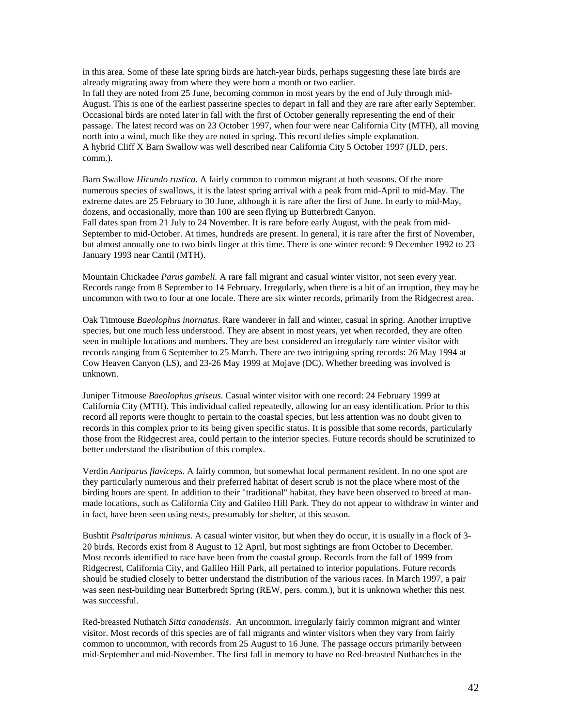in this area. Some of these late spring birds are hatch-year birds, perhaps suggesting these late birds are already migrating away from where they were born a month or two earlier. In fall they are noted from 25 June, becoming common in most years by the end of July through mid-August. This is one of the earliest passerine species to depart in fall and they are rare after early September. Occasional birds are noted later in fall with the first of October generally representing the end of their passage. The latest record was on 23 October 1997, when four were near California City (MTH), all moving north into a wind, much like they are noted in spring. This record defies simple explanation. A hybrid Cliff X Barn Swallow was well described near California City 5 October 1997 (JLD, pers. comm.).

Barn Swallow *Hirundo rustica.* A fairly common to common migrant at both seasons. Of the more numerous species of swallows, it is the latest spring arrival with a peak from mid-April to mid-May. The extreme dates are 25 February to 30 June, although it is rare after the first of June. In early to mid-May, dozens, and occasionally, more than 100 are seen flying up Butterbredt Canyon. Fall dates span from 21 July to 24 November. It is rare before early August, with the peak from mid-September to mid-October. At times, hundreds are present. In general, it is rare after the first of November, but almost annually one to two birds linger at this time. There is one winter record: 9 December 1992 to 23 January 1993 near Cantil (MTH).

Mountain Chickadee *Parus gambeli.* A rare fall migrant and casual winter visitor, not seen every year. Records range from 8 September to 14 February. Irregularly, when there is a bit of an irruption, they may be uncommon with two to four at one locale. There are six winter records, primarily from the Ridgecrest area.

Oak Titmouse *Baeolophus inornatus*. Rare wanderer in fall and winter, casual in spring. Another irruptive species, but one much less understood. They are absent in most years, yet when recorded, they are often seen in multiple locations and numbers. They are best considered an irregularly rare winter visitor with records ranging from 6 September to 25 March. There are two intriguing spring records: 26 May 1994 at Cow Heaven Canyon (LS), and 23-26 May 1999 at Mojave (DC). Whether breeding was involved is unknown.

Juniper Titmouse *Baeolophus griseus*. Casual winter visitor with one record: 24 February 1999 at California City (MTH). This individual called repeatedly, allowing for an easy identification. Prior to this record all reports were thought to pertain to the coastal species, but less attention was no doubt given to records in this complex prior to its being given specific status. It is possible that some records, particularly those from the Ridgecrest area, could pertain to the interior species. Future records should be scrutinized to better understand the distribution of this complex.

Verdin *Auriparus flaviceps*. A fairly common, but somewhat local permanent resident. In no one spot are they particularly numerous and their preferred habitat of desert scrub is not the place where most of the birding hours are spent. In addition to their "traditional" habitat, they have been observed to breed at manmade locations, such as California City and Galileo Hill Park. They do not appear to withdraw in winter and in fact, have been seen using nests, presumably for shelter, at this season.

Bushtit *Psaltriparus minimus*. A casual winter visitor, but when they do occur, it is usually in a flock of 3- 20 birds. Records exist from 8 August to 12 April, but most sightings are from October to December. Most records identified to race have been from the coastal group. Records from the fall of 1999 from Ridgecrest, California City, and Galileo Hill Park, all pertained to interior populations. Future records should be studied closely to better understand the distribution of the various races. In March 1997, a pair was seen nest-building near Butterbredt Spring (REW, pers. comm.), but it is unknown whether this nest was successful.

Red-breasted Nuthatch *Sitta canadensis*. An uncommon, irregularly fairly common migrant and winter visitor. Most records of this species are of fall migrants and winter visitors when they vary from fairly common to uncommon, with records from 25 August to 16 June. The passage occurs primarily between mid-September and mid-November. The first fall in memory to have no Red-breasted Nuthatches in the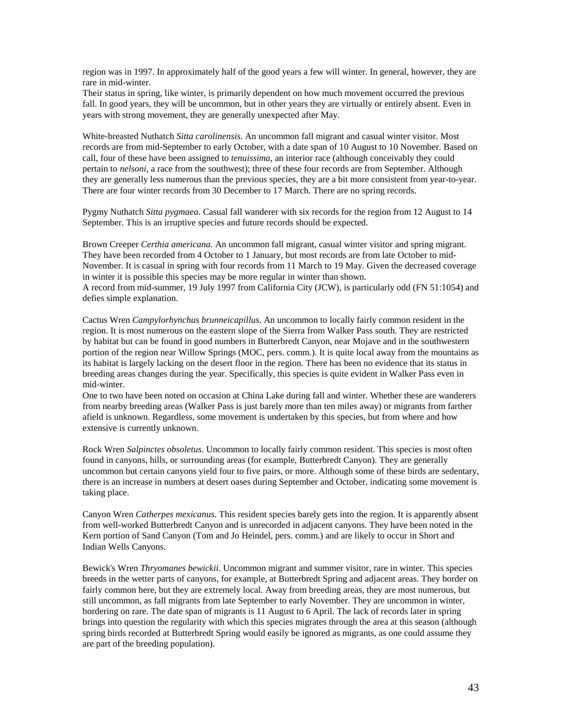region was in 1997. In approximately half of the good years a few will winter. In general, however, they are rare in mid-winter.

Their status in spring, like winter, is primarily dependent on how much movement occurred the previous fall. In good years, they will be uncommon, but in other years they are virtually or entirely absent. Even in years with strong movement, they are generally unexpected after May.

White-breasted Nuthatch *Sitta carolinensis.* An uncommon fall migrant and casual winter visitor. Most records are from mid-September to early October, with a date span of 10 August to 10 November. Based on call, four of these have been assigned to *tenuissima*, an interior race (although conceivably they could pertain to *nelsoni*, a race from the southwest); three of these four records are from September. Although they are generally less numerous than the previous species, they are a bit more consistent from year-to-year. There are four winter records from 30 December to 17 March. There are no spring records.

Pygmy Nuthatch *Sitta pygmaea*. Casual fall wanderer with six records for the region from 12 August to 14 September. This is an irruptive species and future records should be expected.

Brown Creeper *Certhia americana.* An uncommon fall migrant, casual winter visitor and spring migrant. They have been recorded from 4 October to 1 January, but most records are from late October to mid-November. It is casual in spring with four records from 11 March to 19 May. Given the decreased coverage in winter it is possible this species may be more regular in winter than shown. A record from mid-summer, 19 July 1997 from California City (JCW), is particularly odd (FN 51:1054) and defies simple explanation.

Cactus Wren *Campylorhynchus brunneicapillus*. An uncommon to locally fairly common resident in the region. It is most numerous on the eastern slope of the Sierra from Walker Pass south. They are restricted by habitat but can be found in good numbers in Butterbredt Canyon, near Mojave and in the southwestern portion of the region near Willow Springs (MOC, pers. comm.). It is quite local away from the mountains as its habitat is largely lacking on the desert floor in the region. There has been no evidence that its status in breeding areas changes during the year. Specifically, this species is quite evident in Walker Pass even in mid-winter.

One to two have been noted on occasion at China Lake during fall and winter. Whether these are wanderers from nearby breeding areas (Walker Pass is just barely more than ten miles away) or migrants from farther afield is unknown. Regardless, some movement is undertaken by this species, but from where and how extensive is currently unknown.

Rock Wren *Salpinctes obsoletus*. Uncommon to locally fairly common resident. This species is most often found in canyons, hills, or surrounding areas (for example, Butterbredt Canyon). They are generally uncommon but certain canyons yield four to five pairs, or more. Although some of these birds are sedentary, there is an increase in numbers at desert oases during September and October, indicating some movement is taking place.

Canyon Wren *Catherpes mexicanus*. This resident species barely gets into the region. It is apparently absent from well-worked Butterbredt Canyon and is unrecorded in adjacent canyons. They have been noted in the Kern portion of Sand Canyon (Tom and Jo Heindel, pers. comm.) and are likely to occur in Short and Indian Wells Canyons.

Bewick's Wren *Thryomanes bewickii*. Uncommon migrant and summer visitor, rare in winter. This species breeds in the wetter parts of canyons, for example, at Butterbredt Spring and adjacent areas. They border on fairly common here, but they are extremely local. Away from breeding areas, they are most numerous, but still uncommon, as fall migrants from late September to early November. They are uncommon in winter, bordering on rare. The date span of migrants is 11 August to 6 April. The lack of records later in spring brings into question the regularity with which this species migrates through the area at this season (although spring birds recorded at Butterbredt Spring would easily be ignored as migrants, as one could assume they are part of the breeding population).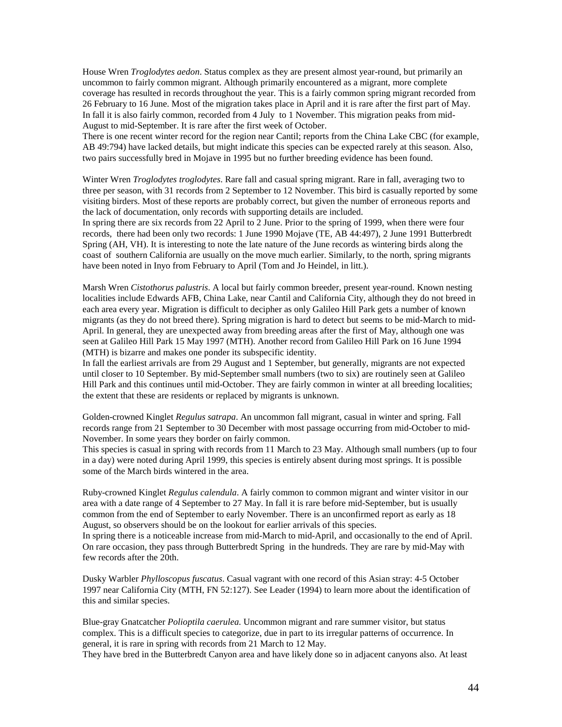House Wren *Troglodytes aedon*. Status complex as they are present almost year-round, but primarily an uncommon to fairly common migrant. Although primarily encountered as a migrant, more complete coverage has resulted in records throughout the year. This is a fairly common spring migrant recorded from 26 February to 16 June. Most of the migration takes place in April and it is rare after the first part of May. In fall it is also fairly common, recorded from 4 July to 1 November. This migration peaks from mid-August to mid-September. It is rare after the first week of October.

There is one recent winter record for the region near Cantil; reports from the China Lake CBC (for example, AB 49:794) have lacked details, but might indicate this species can be expected rarely at this season. Also, two pairs successfully bred in Mojave in 1995 but no further breeding evidence has been found.

Winter Wren *Troglodytes troglodytes*. Rare fall and casual spring migrant. Rare in fall, averaging two to three per season, with 31 records from 2 September to 12 November. This bird is casually reported by some visiting birders. Most of these reports are probably correct, but given the number of erroneous reports and the lack of documentation, only records with supporting details are included.

In spring there are six records from 22 April to 2 June. Prior to the spring of 1999, when there were four records, there had been only two records: 1 June 1990 Mojave (TE, AB 44:497), 2 June 1991 Butterbredt Spring (AH, VH). It is interesting to note the late nature of the June records as wintering birds along the coast of southern California are usually on the move much earlier. Similarly, to the north, spring migrants have been noted in Inyo from February to April (Tom and Jo Heindel, in litt.).

Marsh Wren *Cistothorus palustris*. A local but fairly common breeder, present year-round. Known nesting localities include Edwards AFB, China Lake, near Cantil and California City, although they do not breed in each area every year. Migration is difficult to decipher as only Galileo Hill Park gets a number of known migrants (as they do not breed there). Spring migration is hard to detect but seems to be mid-March to mid-April. In general, they are unexpected away from breeding areas after the first of May, although one was seen at Galileo Hill Park 15 May 1997 (MTH). Another record from Galileo Hill Park on 16 June 1994 (MTH) is bizarre and makes one ponder its subspecific identity.

In fall the earliest arrivals are from 29 August and 1 September, but generally, migrants are not expected until closer to 10 September. By mid-September small numbers (two to six) are routinely seen at Galileo Hill Park and this continues until mid-October. They are fairly common in winter at all breeding localities; the extent that these are residents or replaced by migrants is unknown.

Golden-crowned Kinglet *Regulus satrapa*. An uncommon fall migrant, casual in winter and spring. Fall records range from 21 September to 30 December with most passage occurring from mid-October to mid-November. In some years they border on fairly common.

This species is casual in spring with records from 11 March to 23 May. Although small numbers (up to four in a day) were noted during April 1999, this species is entirely absent during most springs. It is possible some of the March birds wintered in the area.

Ruby-crowned Kinglet *Regulus calendula*. A fairly common to common migrant and winter visitor in our area with a date range of 4 September to 27 May. In fall it is rare before mid-September, but is usually common from the end of September to early November. There is an unconfirmed report as early as 18 August, so observers should be on the lookout for earlier arrivals of this species.

In spring there is a noticeable increase from mid-March to mid-April, and occasionally to the end of April. On rare occasion, they pass through Butterbredt Spring in the hundreds. They are rare by mid-May with few records after the 20th.

Dusky Warbler *Phylloscopus fuscatus*. Casual vagrant with one record of this Asian stray: 4-5 October 1997 near California City (MTH, FN 52:127). See Leader (1994) to learn more about the identification of this and similar species.

Blue-gray Gnatcatcher *Polioptila caerulea.* Uncommon migrant and rare summer visitor, but status complex. This is a difficult species to categorize, due in part to its irregular patterns of occurrence. In general, it is rare in spring with records from 21 March to 12 May.

They have bred in the Butterbredt Canyon area and have likely done so in adjacent canyons also. At least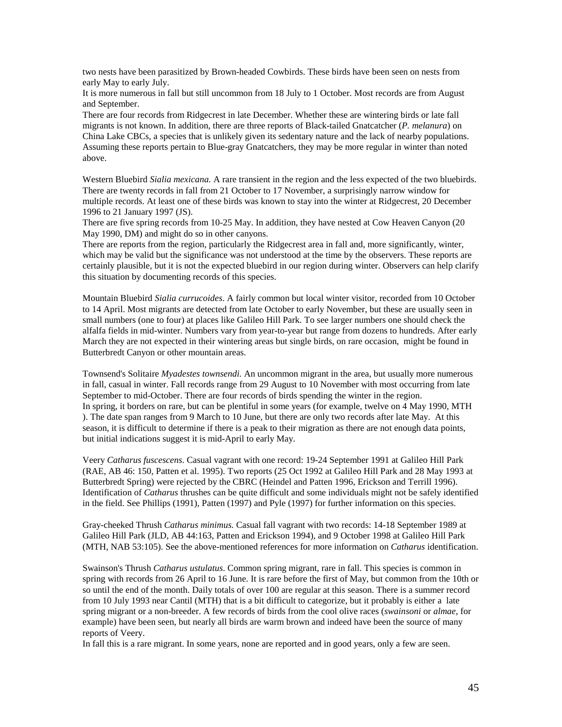two nests have been parasitized by Brown-headed Cowbirds. These birds have been seen on nests from early May to early July.

It is more numerous in fall but still uncommon from 18 July to 1 October. Most records are from August and September.

There are four records from Ridgecrest in late December. Whether these are wintering birds or late fall migrants is not known. In addition, there are three reports of Black-tailed Gnatcatcher (*P. melanura*) on China Lake CBCs, a species that is unlikely given its sedentary nature and the lack of nearby populations. Assuming these reports pertain to Blue-gray Gnatcatchers, they may be more regular in winter than noted above.

Western Bluebird *Sialia mexicana.* A rare transient in the region and the less expected of the two bluebirds. There are twenty records in fall from 21 October to 17 November, a surprisingly narrow window for multiple records. At least one of these birds was known to stay into the winter at Ridgecrest, 20 December 1996 to 21 January 1997 (JS).

There are five spring records from 10-25 May. In addition, they have nested at Cow Heaven Canyon (20 May 1990, DM) and might do so in other canyons.

There are reports from the region, particularly the Ridgecrest area in fall and, more significantly, winter, which may be valid but the significance was not understood at the time by the observers. These reports are certainly plausible, but it is not the expected bluebird in our region during winter. Observers can help clarify this situation by documenting records of this species.

Mountain Bluebird *Sialia currucoides*. A fairly common but local winter visitor, recorded from 10 October to 14 April. Most migrants are detected from late October to early November, but these are usually seen in small numbers (one to four) at places like Galileo Hill Park. To see larger numbers one should check the alfalfa fields in mid-winter. Numbers vary from year-to-year but range from dozens to hundreds. After early March they are not expected in their wintering areas but single birds, on rare occasion, might be found in Butterbredt Canyon or other mountain areas.

Townsend's Solitaire *Myadestes townsendi.* An uncommon migrant in the area, but usually more numerous in fall, casual in winter. Fall records range from 29 August to 10 November with most occurring from late September to mid-October. There are four records of birds spending the winter in the region. In spring, it borders on rare, but can be plentiful in some years (for example, twelve on 4 May 1990, MTH ). The date span ranges from 9 March to 10 June, but there are only two records after late May. At this season, it is difficult to determine if there is a peak to their migration as there are not enough data points, but initial indications suggest it is mid-April to early May.

Veery *Catharus fuscescens*. Casual vagrant with one record: 19-24 September 1991 at Galileo Hill Park (RAE, AB 46: 150, Patten et al. 1995). Two reports (25 Oct 1992 at Galileo Hill Park and 28 May 1993 at Butterbredt Spring) were rejected by the CBRC (Heindel and Patten 1996, Erickson and Terrill 1996). Identification of *Catharus* thrushes can be quite difficult and some individuals might not be safely identified in the field. See Phillips (1991), Patten (1997) and Pyle (1997) for further information on this species.

Gray-cheeked Thrush *Catharus minimus.* Casual fall vagrant with two records: 14-18 September 1989 at Galileo Hill Park (JLD, AB 44:163, Patten and Erickson 1994), and 9 October 1998 at Galileo Hill Park (MTH, NAB 53:105). See the above-mentioned references for more information on *Catharus* identification.

Swainson's Thrush *Catharus ustulatus*. Common spring migrant, rare in fall. This species is common in spring with records from 26 April to 16 June. It is rare before the first of May, but common from the 10th or so until the end of the month. Daily totals of over 100 are regular at this season. There is a summer record from 10 July 1993 near Cantil (MTH) that is a bit difficult to categorize, but it probably is either a late spring migrant or a non-breeder. A few records of birds from the cool olive races (*swainsoni* or *almae*, for example) have been seen, but nearly all birds are warm brown and indeed have been the source of many reports of Veery.

In fall this is a rare migrant. In some years, none are reported and in good years, only a few are seen.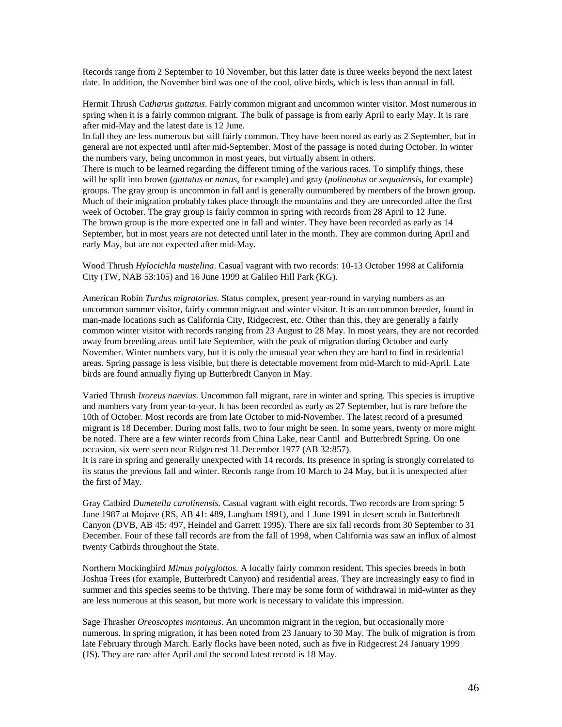Records range from 2 September to 10 November, but this latter date is three weeks beyond the next latest date. In addition, the November bird was one of the cool, olive birds, which is less than annual in fall.

Hermit Thrush *Catharus guttatus*. Fairly common migrant and uncommon winter visitor. Most numerous in spring when it is a fairly common migrant. The bulk of passage is from early April to early May. It is rare after mid-May and the latest date is 12 June.

In fall they are less numerous but still fairly common. They have been noted as early as 2 September, but in general are not expected until after mid-September. Most of the passage is noted during October. In winter the numbers vary, being uncommon in most years, but virtually absent in others.

There is much to be learned regarding the different timing of the various races. To simplify things, these will be split into brown (*guttatus* or *nanus*, for example) and gray (*polionotus* or *sequoiensis*, for example) groups. The gray group is uncommon in fall and is generally outnumbered by members of the brown group. Much of their migration probably takes place through the mountains and they are unrecorded after the first week of October. The gray group is fairly common in spring with records from 28 April to 12 June. The brown group is the more expected one in fall and winter. They have been recorded as early as 14 September, but in most years are not detected until later in the month. They are common during April and early May, but are not expected after mid-May.

Wood Thrush *Hylocichla mustelina*. Casual vagrant with two records: 10-13 October 1998 at California City (TW, NAB 53:105) and 16 June 1999 at Galileo Hill Park (KG).

American Robin *Turdus migratorius*. Status complex, present year-round in varying numbers as an uncommon summer visitor, fairly common migrant and winter visitor. It is an uncommon breeder, found in man-made locations such as California City, Ridgecrest, etc. Other than this, they are generally a fairly common winter visitor with records ranging from 23 August to 28 May. In most years, they are not recorded away from breeding areas until late September, with the peak of migration during October and early November. Winter numbers vary, but it is only the unusual year when they are hard to find in residential areas. Spring passage is less visible, but there is detectable movement from mid-March to mid-April. Late birds are found annually flying up Butterbredt Canyon in May.

Varied Thrush *Ixoreus naevius*. Uncommon fall migrant, rare in winter and spring. This species is irruptive and numbers vary from year-to-year. It has been recorded as early as 27 September, but is rare before the 10th of October. Most records are from late October to mid-November. The latest record of a presumed migrant is 18 December. During most falls, two to four might be seen. In some years, twenty or more might be noted. There are a few winter records from China Lake, near Cantil and Butterbredt Spring. On one occasion, six were seen near Ridgecrest 31 December 1977 (AB 32:857).

It is rare in spring and generally unexpected with 14 records. Its presence in spring is strongly correlated to its status the previous fall and winter. Records range from 10 March to 24 May, but it is unexpected after the first of May.

Gray Catbird *Dumetella carolinensis*. Casual vagrant with eight records. Two records are from spring: 5 June 1987 at Mojave (RS, AB 41: 489, Langham 1991), and 1 June 1991 in desert scrub in Butterbredt Canyon (DVB, AB 45: 497, Heindel and Garrett 1995). There are six fall records from 30 September to 31 December. Four of these fall records are from the fall of 1998, when California was saw an influx of almost twenty Catbirds throughout the State.

Northern Mockingbird *Mimus polyglottos.* A locally fairly common resident. This species breeds in both Joshua Trees (for example, Butterbredt Canyon) and residential areas. They are increasingly easy to find in summer and this species seems to be thriving. There may be some form of withdrawal in mid-winter as they are less numerous at this season, but more work is necessary to validate this impression.

Sage Thrasher *Oreoscoptes montanus*. An uncommon migrant in the region, but occasionally more numerous. In spring migration, it has been noted from 23 January to 30 May. The bulk of migration is from late February through March. Early flocks have been noted, such as five in Ridgecrest 24 January 1999 (JS). They are rare after April and the second latest record is 18 May.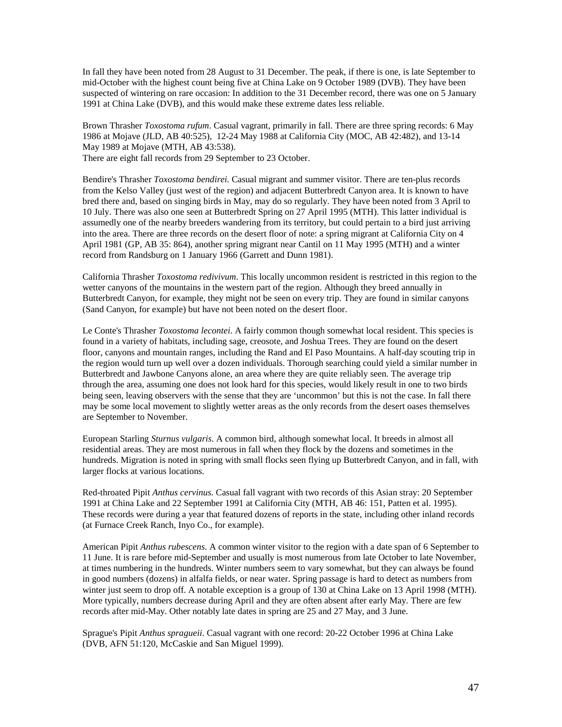In fall they have been noted from 28 August to 31 December. The peak, if there is one, is late September to mid-October with the highest count being five at China Lake on 9 October 1989 (DVB). They have been suspected of wintering on rare occasion: In addition to the 31 December record, there was one on 5 January 1991 at China Lake (DVB), and this would make these extreme dates less reliable.

Brown Thrasher *Toxostoma rufum*. Casual vagrant, primarily in fall. There are three spring records: 6 May 1986 at Mojave (JLD, AB 40:525), 12-24 May 1988 at California City (MOC, AB 42:482), and 13-14 May 1989 at Mojave (MTH, AB 43:538). There are eight fall records from 29 September to 23 October.

Bendire's Thrasher *Toxostoma bendirei.* Casual migrant and summer visitor. There are ten-plus records from the Kelso Valley (just west of the region) and adjacent Butterbredt Canyon area. It is known to have bred there and, based on singing birds in May, may do so regularly. They have been noted from 3 April to 10 July. There was also one seen at Butterbredt Spring on 27 April 1995 (MTH). This latter individual is assumedly one of the nearby breeders wandering from its territory, but could pertain to a bird just arriving into the area. There are three records on the desert floor of note: a spring migrant at California City on 4 April 1981 (GP, AB 35: 864), another spring migrant near Cantil on 11 May 1995 (MTH) and a winter record from Randsburg on 1 January 1966 (Garrett and Dunn 1981).

California Thrasher *Toxostoma redivivum*. This locally uncommon resident is restricted in this region to the wetter canyons of the mountains in the western part of the region. Although they breed annually in Butterbredt Canyon, for example, they might not be seen on every trip. They are found in similar canyons (Sand Canyon, for example) but have not been noted on the desert floor.

Le Conte's Thrasher *Toxostoma lecontei*. A fairly common though somewhat local resident. This species is found in a variety of habitats, including sage, creosote, and Joshua Trees. They are found on the desert floor, canyons and mountain ranges, including the Rand and El Paso Mountains. A half-day scouting trip in the region would turn up well over a dozen individuals. Thorough searching could yield a similar number in Butterbredt and Jawbone Canyons alone, an area where they are quite reliably seen. The average trip through the area, assuming one does not look hard for this species, would likely result in one to two birds being seen, leaving observers with the sense that they are 'uncommon' but this is not the case. In fall there may be some local movement to slightly wetter areas as the only records from the desert oases themselves are September to November.

European Starling *Sturnus vulgaris*. A common bird, although somewhat local. It breeds in almost all residential areas. They are most numerous in fall when they flock by the dozens and sometimes in the hundreds. Migration is noted in spring with small flocks seen flying up Butterbredt Canyon, and in fall, with larger flocks at various locations.

Red-throated Pipit *Anthus cervinus.* Casual fall vagrant with two records of this Asian stray: 20 September 1991 at China Lake and 22 September 1991 at California City (MTH, AB 46: 151, Patten et al. 1995). These records were during a year that featured dozens of reports in the state, including other inland records (at Furnace Creek Ranch, Inyo Co., for example).

American Pipit *Anthus rubescens*. A common winter visitor to the region with a date span of 6 September to 11 June. It is rare before mid-September and usually is most numerous from late October to late November, at times numbering in the hundreds. Winter numbers seem to vary somewhat, but they can always be found in good numbers (dozens) in alfalfa fields, or near water. Spring passage is hard to detect as numbers from winter just seem to drop off. A notable exception is a group of 130 at China Lake on 13 April 1998 (MTH). More typically, numbers decrease during April and they are often absent after early May. There are few records after mid-May. Other notably late dates in spring are 25 and 27 May, and 3 June.

Sprague's Pipit *Anthus spragueii*. Casual vagrant with one record: 20-22 October 1996 at China Lake (DVB, AFN 51:120, McCaskie and San Miguel 1999).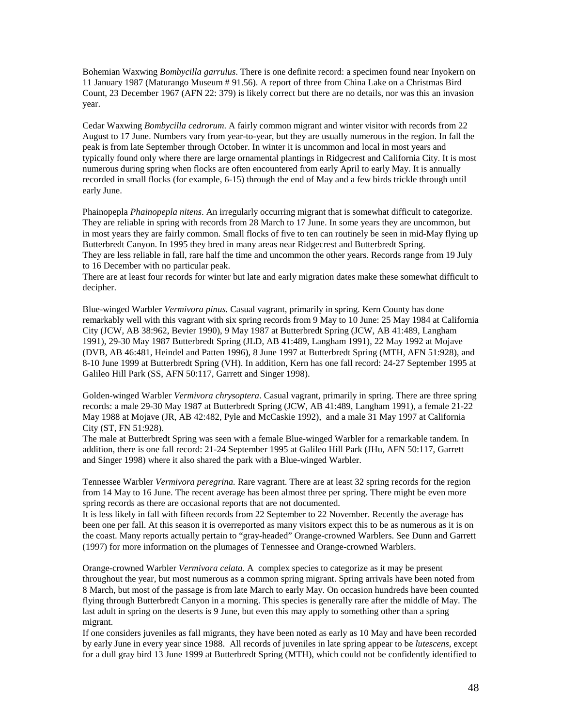Bohemian Waxwing *Bombycilla garrulus*. There is one definite record: a specimen found near Inyokern on 11 January 1987 (Maturango Museum # 91.56). A report of three from China Lake on a Christmas Bird Count, 23 December 1967 (AFN 22: 379) is likely correct but there are no details, nor was this an invasion year.

Cedar Waxwing *Bombycilla cedrorum*. A fairly common migrant and winter visitor with records from 22 August to 17 June. Numbers vary from year-to-year, but they are usually numerous in the region. In fall the peak is from late September through October. In winter it is uncommon and local in most years and typically found only where there are large ornamental plantings in Ridgecrest and California City. It is most numerous during spring when flocks are often encountered from early April to early May. It is annually recorded in small flocks (for example, 6-15) through the end of May and a few birds trickle through until early June.

Phainopepla *Phainopepla nitens*. An irregularly occurring migrant that is somewhat difficult to categorize. They are reliable in spring with records from 28 March to 17 June. In some years they are uncommon, but in most years they are fairly common. Small flocks of five to ten can routinely be seen in mid-May flying up Butterbredt Canyon. In 1995 they bred in many areas near Ridgecrest and Butterbredt Spring. They are less reliable in fall, rare half the time and uncommon the other years. Records range from 19 July to 16 December with no particular peak.

There are at least four records for winter but late and early migration dates make these somewhat difficult to decipher.

Blue-winged Warbler *Vermivora pinus.* Casual vagrant, primarily in spring. Kern County has done remarkably well with this vagrant with six spring records from 9 May to 10 June: 25 May 1984 at California City (JCW, AB 38:962, Bevier 1990), 9 May 1987 at Butterbredt Spring (JCW, AB 41:489, Langham 1991), 29-30 May 1987 Butterbredt Spring (JLD, AB 41:489, Langham 1991), 22 May 1992 at Mojave (DVB, AB 46:481, Heindel and Patten 1996), 8 June 1997 at Butterbredt Spring (MTH, AFN 51:928), and 8-10 June 1999 at Butterbredt Spring (VH). In addition, Kern has one fall record: 24-27 September 1995 at Galileo Hill Park (SS, AFN 50:117, Garrett and Singer 1998).

Golden-winged Warbler *Vermivora chrysoptera*. Casual vagrant, primarily in spring. There are three spring records: a male 29-30 May 1987 at Butterbredt Spring (JCW, AB 41:489, Langham 1991), a female 21-22 May 1988 at Mojave (JR, AB 42:482, Pyle and McCaskie 1992), and a male 31 May 1997 at California City (ST, FN 51:928).

The male at Butterbredt Spring was seen with a female Blue-winged Warbler for a remarkable tandem. In addition, there is one fall record: 21-24 September 1995 at Galileo Hill Park (JHu, AFN 50:117, Garrett and Singer 1998) where it also shared the park with a Blue-winged Warbler.

Tennessee Warbler *Vermivora peregrina.* Rare vagrant. There are at least 32 spring records for the region from 14 May to 16 June. The recent average has been almost three per spring. There might be even more spring records as there are occasional reports that are not documented.

It is less likely in fall with fifteen records from 22 September to 22 November. Recently the average has been one per fall. At this season it is overreported as many visitors expect this to be as numerous as it is on the coast. Many reports actually pertain to "gray-headed" Orange-crowned Warblers. See Dunn and Garrett (1997) for more information on the plumages of Tennessee and Orange-crowned Warblers.

Orange-crowned Warbler *Vermivora celata*. A complex species to categorize as it may be present throughout the year, but most numerous as a common spring migrant. Spring arrivals have been noted from 8 March, but most of the passage is from late March to early May. On occasion hundreds have been counted flying through Butterbredt Canyon in a morning. This species is generally rare after the middle of May. The last adult in spring on the deserts is 9 June, but even this may apply to something other than a spring migrant.

If one considers juveniles as fall migrants, they have been noted as early as 10 May and have been recorded by early June in every year since 1988. All records of juveniles in late spring appear to be *lutescens*, except for a dull gray bird 13 June 1999 at Butterbredt Spring (MTH), which could not be confidently identified to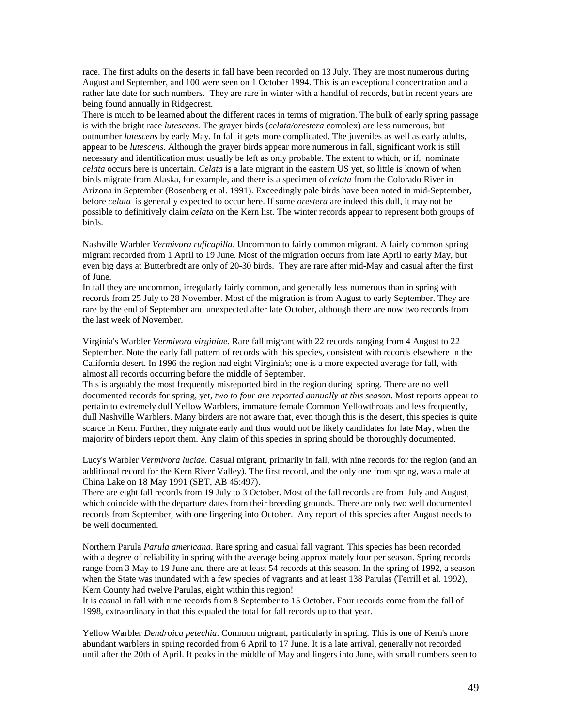race. The first adults on the deserts in fall have been recorded on 13 July. They are most numerous during August and September, and 100 were seen on 1 October 1994. This is an exceptional concentration and a rather late date for such numbers. They are rare in winter with a handful of records, but in recent years are being found annually in Ridgecrest.

There is much to be learned about the different races in terms of migration. The bulk of early spring passage is with the bright race *lutescens*. The grayer birds (*celata/orestera* complex) are less numerous, but outnumber *lutescens* by early May. In fall it gets more complicated. The juveniles as well as early adults, appear to be *lutescens.* Although the grayer birds appear more numerous in fall, significant work is still necessary and identification must usually be left as only probable. The extent to which, or if, nominate *celata* occurs here is uncertain. *Celata* is a late migrant in the eastern US yet, so little is known of when birds migrate from Alaska, for example, and there is a specimen of *celata* from the Colorado River in Arizona in September (Rosenberg et al. 1991). Exceedingly pale birds have been noted in mid-September, before *celata* is generally expected to occur here. If some *orestera* are indeed this dull, it may not be possible to definitively claim *celata* on the Kern list. The winter records appear to represent both groups of birds.

Nashville Warbler *Vermivora ruficapilla*. Uncommon to fairly common migrant. A fairly common spring migrant recorded from 1 April to 19 June. Most of the migration occurs from late April to early May, but even big days at Butterbredt are only of 20-30 birds. They are rare after mid-May and casual after the first of June.

In fall they are uncommon, irregularly fairly common, and generally less numerous than in spring with records from 25 July to 28 November. Most of the migration is from August to early September. They are rare by the end of September and unexpected after late October, although there are now two records from the last week of November.

Virginia's Warbler *Vermivora virginiae*. Rare fall migrant with 22 records ranging from 4 August to 22 September. Note the early fall pattern of records with this species, consistent with records elsewhere in the California desert. In 1996 the region had eight Virginia's; one is a more expected average for fall, with almost all records occurring before the middle of September.

This is arguably the most frequently misreported bird in the region during spring. There are no well documented records for spring, yet*, two to four are reported annually at this season*. Most reports appear to pertain to extremely dull Yellow Warblers, immature female Common Yellowthroats and less frequently, dull Nashville Warblers. Many birders are not aware that, even though this is the desert, this species is quite scarce in Kern. Further, they migrate early and thus would not be likely candidates for late May, when the majority of birders report them. Any claim of this species in spring should be thoroughly documented.

Lucy's Warbler *Vermivora luciae*. Casual migrant, primarily in fall, with nine records for the region (and an additional record for the Kern River Valley). The first record, and the only one from spring, was a male at China Lake on 18 May 1991 (SBT, AB 45:497).

There are eight fall records from 19 July to 3 October. Most of the fall records are from July and August, which coincide with the departure dates from their breeding grounds. There are only two well documented records from September, with one lingering into October. Any report of this species after August needs to be well documented.

Northern Parula *Parula americana*. Rare spring and casual fall vagrant. This species has been recorded with a degree of reliability in spring with the average being approximately four per season. Spring records range from 3 May to 19 June and there are at least 54 records at this season. In the spring of 1992, a season when the State was inundated with a few species of vagrants and at least 138 Parulas (Terrill et al. 1992), Kern County had twelve Parulas, eight within this region!

It is casual in fall with nine records from 8 September to 15 October. Four records come from the fall of 1998, extraordinary in that this equaled the total for fall records up to that year.

Yellow Warbler *Dendroica petechia*. Common migrant, particularly in spring. This is one of Kern's more abundant warblers in spring recorded from 6 April to 17 June. It is a late arrival, generally not recorded until after the 20th of April. It peaks in the middle of May and lingers into June, with small numbers seen to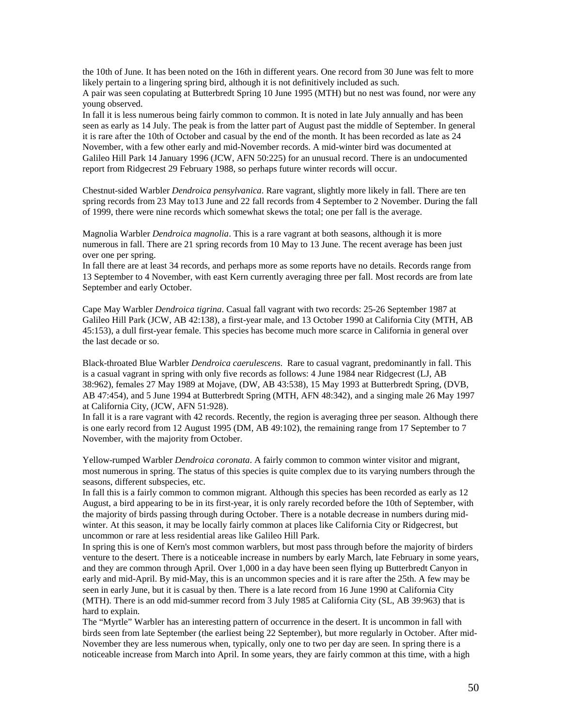the 10th of June. It has been noted on the 16th in different years. One record from 30 June was felt to more likely pertain to a lingering spring bird, although it is not definitively included as such.

A pair was seen copulating at Butterbredt Spring 10 June 1995 (MTH) but no nest was found, nor were any young observed.

In fall it is less numerous being fairly common to common. It is noted in late July annually and has been seen as early as 14 July. The peak is from the latter part of August past the middle of September. In general it is rare after the 10th of October and casual by the end of the month. It has been recorded as late as 24 November, with a few other early and mid-November records. A mid-winter bird was documented at Galileo Hill Park 14 January 1996 (JCW, AFN 50:225) for an unusual record. There is an undocumented report from Ridgecrest 29 February 1988, so perhaps future winter records will occur.

Chestnut-sided Warbler *Dendroica pensylvanica*. Rare vagrant, slightly more likely in fall. There are ten spring records from 23 May to13 June and 22 fall records from 4 September to 2 November. During the fall of 1999, there were nine records which somewhat skews the total; one per fall is the average.

Magnolia Warbler *Dendroica magnolia*. This is a rare vagrant at both seasons, although it is more numerous in fall. There are 21 spring records from 10 May to 13 June. The recent average has been just over one per spring.

In fall there are at least 34 records, and perhaps more as some reports have no details. Records range from 13 September to 4 November, with east Kern currently averaging three per fall. Most records are from late September and early October.

Cape May Warbler *Dendroica tigrina*. Casual fall vagrant with two records: 25-26 September 1987 at Galileo Hill Park (JCW, AB 42:138), a first-year male, and 13 October 1990 at California City (MTH, AB 45:153), a dull first-year female. This species has become much more scarce in California in general over the last decade or so.

Black-throated Blue Warbler *Dendroica caerulescens*. Rare to casual vagrant, predominantly in fall. This is a casual vagrant in spring with only five records as follows: 4 June 1984 near Ridgecrest (LJ, AB 38:962), females 27 May 1989 at Mojave, (DW, AB 43:538), 15 May 1993 at Butterbredt Spring, (DVB, AB 47:454), and 5 June 1994 at Butterbredt Spring (MTH, AFN 48:342), and a singing male 26 May 1997 at California City, (JCW, AFN 51:928).

In fall it is a rare vagrant with 42 records. Recently, the region is averaging three per season. Although there is one early record from 12 August 1995 (DM, AB 49:102), the remaining range from 17 September to 7 November, with the majority from October.

Yellow-rumped Warbler *Dendroica coronata*. A fairly common to common winter visitor and migrant, most numerous in spring. The status of this species is quite complex due to its varying numbers through the seasons, different subspecies, etc.

In fall this is a fairly common to common migrant. Although this species has been recorded as early as 12 August, a bird appearing to be in its first-year, it is only rarely recorded before the 10th of September, with the majority of birds passing through during October. There is a notable decrease in numbers during midwinter. At this season, it may be locally fairly common at places like California City or Ridgecrest, but uncommon or rare at less residential areas like Galileo Hill Park.

In spring this is one of Kern's most common warblers, but most pass through before the majority of birders venture to the desert. There is a noticeable increase in numbers by early March, late February in some years, and they are common through April. Over 1,000 in a day have been seen flying up Butterbredt Canyon in early and mid-April. By mid-May, this is an uncommon species and it is rare after the 25th. A few may be seen in early June, but it is casual by then. There is a late record from 16 June 1990 at California City (MTH). There is an odd mid-summer record from 3 July 1985 at California City (SL, AB 39:963) that is hard to explain.

The "Myrtle" Warbler has an interesting pattern of occurrence in the desert. It is uncommon in fall with birds seen from late September (the earliest being 22 September), but more regularly in October. After mid-November they are less numerous when, typically, only one to two per day are seen. In spring there is a noticeable increase from March into April. In some years, they are fairly common at this time, with a high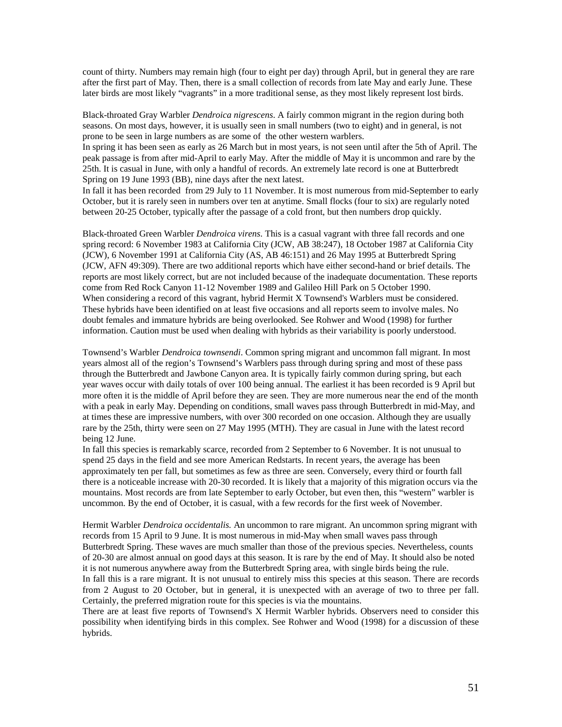count of thirty. Numbers may remain high (four to eight per day) through April, but in general they are rare after the first part of May. Then, there is a small collection of records from late May and early June. These later birds are most likely "vagrants" in a more traditional sense, as they most likely represent lost birds.

Black-throated Gray Warbler *Dendroica nigrescens*. A fairly common migrant in the region during both seasons. On most days, however, it is usually seen in small numbers (two to eight) and in general, is not prone to be seen in large numbers as are some of the other western warblers.

In spring it has been seen as early as 26 March but in most years, is not seen until after the 5th of April. The peak passage is from after mid-April to early May. After the middle of May it is uncommon and rare by the 25th. It is casual in June, with only a handful of records. An extremely late record is one at Butterbredt Spring on 19 June 1993 (BB), nine days after the next latest.

In fall it has been recorded from 29 July to 11 November. It is most numerous from mid-September to early October, but it is rarely seen in numbers over ten at anytime. Small flocks (four to six) are regularly noted between 20-25 October, typically after the passage of a cold front, but then numbers drop quickly.

Black-throated Green Warbler *Dendroica virens*. This is a casual vagrant with three fall records and one spring record: 6 November 1983 at California City (JCW, AB 38:247), 18 October 1987 at California City (JCW), 6 November 1991 at California City (AS, AB 46:151) and 26 May 1995 at Butterbredt Spring (JCW, AFN 49:309). There are two additional reports which have either second-hand or brief details. The reports are most likely correct, but are not included because of the inadequate documentation. These reports come from Red Rock Canyon 11-12 November 1989 and Galileo Hill Park on 5 October 1990. When considering a record of this vagrant, hybrid Hermit X Townsend's Warblers must be considered. These hybrids have been identified on at least five occasions and all reports seem to involve males. No doubt females and immature hybrids are being overlooked. See Rohwer and Wood (1998) for further information. Caution must be used when dealing with hybrids as their variability is poorly understood.

Townsend's Warbler *Dendroica townsendi*. Common spring migrant and uncommon fall migrant. In most years almost all of the region's Townsend's Warblers pass through during spring and most of these pass through the Butterbredt and Jawbone Canyon area. It is typically fairly common during spring, but each year waves occur with daily totals of over 100 being annual. The earliest it has been recorded is 9 April but more often it is the middle of April before they are seen. They are more numerous near the end of the month with a peak in early May. Depending on conditions, small waves pass through Butterbredt in mid-May, and at times these are impressive numbers, with over 300 recorded on one occasion. Although they are usually rare by the 25th, thirty were seen on 27 May 1995 (MTH). They are casual in June with the latest record being 12 June.

In fall this species is remarkably scarce, recorded from 2 September to 6 November. It is not unusual to spend 25 days in the field and see more American Redstarts. In recent years, the average has been approximately ten per fall, but sometimes as few as three are seen. Conversely, every third or fourth fall there is a noticeable increase with 20-30 recorded. It is likely that a majority of this migration occurs via the mountains. Most records are from late September to early October, but even then, this "western" warbler is uncommon. By the end of October, it is casual, with a few records for the first week of November.

Hermit Warbler *Dendroica occidentalis.* An uncommon to rare migrant. An uncommon spring migrant with records from 15 April to 9 June. It is most numerous in mid-May when small waves pass through Butterbredt Spring. These waves are much smaller than those of the previous species. Nevertheless, counts of 20-30 are almost annual on good days at this season. It is rare by the end of May. It should also be noted it is not numerous anywhere away from the Butterbredt Spring area, with single birds being the rule.

In fall this is a rare migrant. It is not unusual to entirely miss this species at this season. There are records from 2 August to 20 October, but in general, it is unexpected with an average of two to three per fall. Certainly, the preferred migration route for this species is via the mountains.

There are at least five reports of Townsend's X Hermit Warbler hybrids. Observers need to consider this possibility when identifying birds in this complex. See Rohwer and Wood (1998) for a discussion of these hybrids.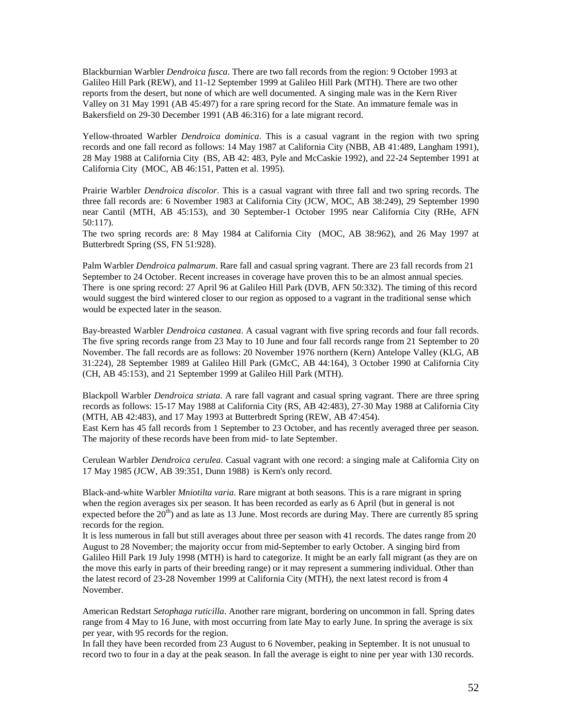Blackburnian Warbler *Dendroica fusca*. There are two fall records from the region: 9 October 1993 at Galileo Hill Park (REW), and 11-12 September 1999 at Galileo Hill Park (MTH). There are two other reports from the desert, but none of which are well documented. A singing male was in the Kern River Valley on 31 May 1991 (AB 45:497) for a rare spring record for the State. An immature female was in Bakersfield on 29-30 December 1991 (AB 46:316) for a late migrant record.

Yellow-throated Warbler *Dendroica dominica*. This is a casual vagrant in the region with two spring records and one fall record as follows: 14 May 1987 at California City (NBB, AB 41:489, Langham 1991), 28 May 1988 at California City (BS, AB 42: 483, Pyle and McCaskie 1992), and 22-24 September 1991 at California City (MOC, AB 46:151, Patten et al. 1995).

Prairie Warbler *Dendroica discolor*. This is a casual vagrant with three fall and two spring records. The three fall records are: 6 November 1983 at California City (JCW, MOC, AB 38:249), 29 September 1990 near Cantil (MTH, AB 45:153), and 30 September-1 October 1995 near California City (RHe, AFN 50:117).

The two spring records are: 8 May 1984 at California City (MOC, AB 38:962), and 26 May 1997 at Butterbredt Spring (SS, FN 51:928).

Palm Warbler *Dendroica palmarum*. Rare fall and casual spring vagrant. There are 23 fall records from 21 September to 24 October. Recent increases in coverage have proven this to be an almost annual species. There is one spring record: 27 April 96 at Galileo Hill Park (DVB, AFN 50:332). The timing of this record would suggest the bird wintered closer to our region as opposed to a vagrant in the traditional sense which would be expected later in the season.

Bay-breasted Warbler *Dendroica castanea*. A casual vagrant with five spring records and four fall records. The five spring records range from 23 May to 10 June and four fall records range from 21 September to 20 November. The fall records are as follows: 20 November 1976 northern (Kern) Antelope Valley (KLG, AB 31:224), 28 September 1989 at Galileo Hill Park (GMcC, AB 44:164), 3 October 1990 at California City (CH, AB 45:153), and 21 September 1999 at Galileo Hill Park (MTH).

Blackpoll Warbler *Dendroica striata*. A rare fall vagrant and casual spring vagrant. There are three spring records as follows: 15-17 May 1988 at California City (RS, AB 42:483), 27-30 May 1988 at California City (MTH, AB 42:483), and 17 May 1993 at Butterbredt Spring (REW, AB 47:454). East Kern has 45 fall records from 1 September to 23 October, and has recently averaged three per season. The majority of these records have been from mid- to late September.

Cerulean Warbler *Dendroica cerulea*. Casual vagrant with one record: a singing male at California City on 17 May 1985 (JCW, AB 39:351, Dunn 1988) is Kern's only record.

Black-and-white Warbler *Mniotilta varia*. Rare migrant at both seasons. This is a rare migrant in spring when the region averages six per season. It has been recorded as early as 6 April (but in general is not expected before the  $20<sup>th</sup>$ ) and as late as 13 June. Most records are during May. There are currently 85 spring records for the region.

It is less numerous in fall but still averages about three per season with 41 records. The dates range from 20 August to 28 November; the majority occur from mid-September to early October. A singing bird from Galileo Hill Park 19 July 1998 (MTH) is hard to categorize. It might be an early fall migrant (as they are on the move this early in parts of their breeding range) or it may represent a summering individual. Other than the latest record of 23-28 November 1999 at California City (MTH), the next latest record is from 4 November.

American Redstart *Setophaga ruticilla*. Another rare migrant, bordering on uncommon in fall. Spring dates range from 4 May to 16 June, with most occurring from late May to early June. In spring the average is six per year, with 95 records for the region.

In fall they have been recorded from 23 August to 6 November, peaking in September. It is not unusual to record two to four in a day at the peak season. In fall the average is eight to nine per year with 130 records.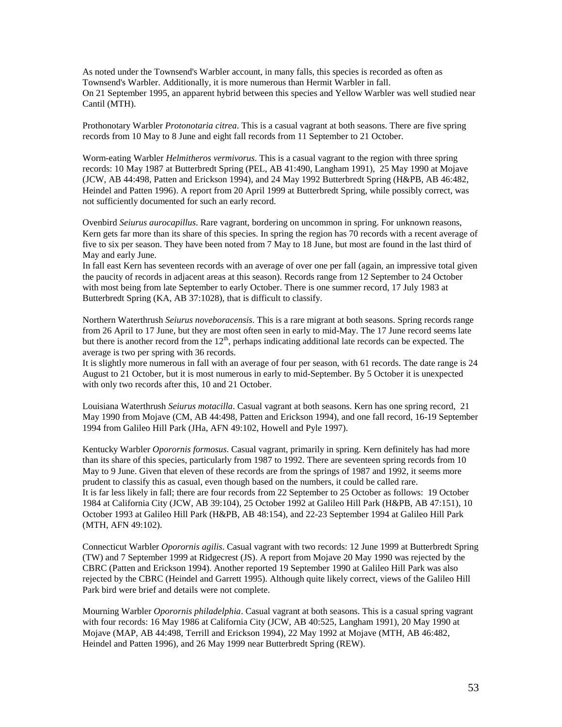As noted under the Townsend's Warbler account, in many falls, this species is recorded as often as Townsend's Warbler. Additionally, it is more numerous than Hermit Warbler in fall. On 21 September 1995, an apparent hybrid between this species and Yellow Warbler was well studied near Cantil (MTH).

Prothonotary Warbler *Protonotaria citrea*. This is a casual vagrant at both seasons. There are five spring records from 10 May to 8 June and eight fall records from 11 September to 21 October.

Worm-eating Warbler *Helmitheros vermivorus*. This is a casual vagrant to the region with three spring records: 10 May 1987 at Butterbredt Spring (PEL, AB 41:490, Langham 1991), 25 May 1990 at Mojave (JCW, AB 44:498, Patten and Erickson 1994), and 24 May 1992 Butterbredt Spring (H&PB, AB 46:482, Heindel and Patten 1996). A report from 20 April 1999 at Butterbredt Spring, while possibly correct, was not sufficiently documented for such an early record.

Ovenbird *Seiurus aurocapillus*. Rare vagrant, bordering on uncommon in spring. For unknown reasons, Kern gets far more than its share of this species. In spring the region has 70 records with a recent average of five to six per season. They have been noted from 7 May to 18 June, but most are found in the last third of May and early June.

In fall east Kern has seventeen records with an average of over one per fall (again, an impressive total given the paucity of records in adjacent areas at this season). Records range from 12 September to 24 October with most being from late September to early October. There is one summer record, 17 July 1983 at Butterbredt Spring (KA, AB 37:1028), that is difficult to classify.

Northern Waterthrush *Seiurus noveboracensis*. This is a rare migrant at both seasons. Spring records range from 26 April to 17 June, but they are most often seen in early to mid-May. The 17 June record seems late but there is another record from the  $12<sup>th</sup>$ , perhaps indicating additional late records can be expected. The average is two per spring with 36 records.

It is slightly more numerous in fall with an average of four per season, with 61 records. The date range is 24 August to 21 October, but it is most numerous in early to mid-September. By 5 October it is unexpected with only two records after this, 10 and 21 October.

Louisiana Waterthrush *Seiurus motacilla*. Casual vagrant at both seasons. Kern has one spring record, 21 May 1990 from Mojave (CM, AB 44:498, Patten and Erickson 1994), and one fall record, 16-19 September 1994 from Galileo Hill Park (JHa, AFN 49:102, Howell and Pyle 1997).

Kentucky Warbler *Oporornis formosus*. Casual vagrant, primarily in spring. Kern definitely has had more than its share of this species, particularly from 1987 to 1992. There are seventeen spring records from 10 May to 9 June. Given that eleven of these records are from the springs of 1987 and 1992, it seems more prudent to classify this as casual, even though based on the numbers, it could be called rare. It is far less likely in fall; there are four records from 22 September to 25 October as follows: 19 October 1984 at California City (JCW, AB 39:104), 25 October 1992 at Galileo Hill Park (H&PB, AB 47:151), 10 October 1993 at Galileo Hill Park (H&PB, AB 48:154), and 22-23 September 1994 at Galileo Hill Park (MTH, AFN 49:102).

Connecticut Warbler *Oporornis agilis*. Casual vagrant with two records: 12 June 1999 at Butterbredt Spring (TW) and 7 September 1999 at Ridgecrest (JS). A report from Mojave 20 May 1990 was rejected by the CBRC (Patten and Erickson 1994). Another reported 19 September 1990 at Galileo Hill Park was also rejected by the CBRC (Heindel and Garrett 1995). Although quite likely correct, views of the Galileo Hill Park bird were brief and details were not complete.

Mourning Warbler *Oporornis philadelphia*. Casual vagrant at both seasons. This is a casual spring vagrant with four records: 16 May 1986 at California City (JCW, AB 40:525, Langham 1991), 20 May 1990 at Mojave (MAP, AB 44:498, Terrill and Erickson 1994), 22 May 1992 at Mojave (MTH, AB 46:482, Heindel and Patten 1996), and 26 May 1999 near Butterbredt Spring (REW).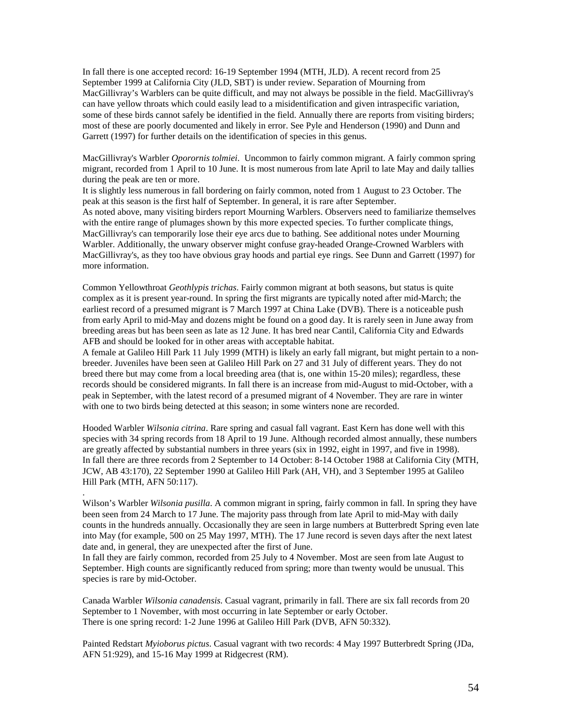In fall there is one accepted record: 16-19 September 1994 (MTH, JLD). A recent record from 25 September 1999 at California City (JLD, SBT) is under review. Separation of Mourning from MacGillivray's Warblers can be quite difficult, and may not always be possible in the field. MacGillivray's can have yellow throats which could easily lead to a misidentification and given intraspecific variation, some of these birds cannot safely be identified in the field. Annually there are reports from visiting birders; most of these are poorly documented and likely in error. See Pyle and Henderson (1990) and Dunn and Garrett (1997) for further details on the identification of species in this genus.

MacGillivray's Warbler *Oporornis tolmiei*. Uncommon to fairly common migrant. A fairly common spring migrant, recorded from 1 April to 10 June. It is most numerous from late April to late May and daily tallies during the peak are ten or more.

It is slightly less numerous in fall bordering on fairly common, noted from 1 August to 23 October. The peak at this season is the first half of September. In general, it is rare after September. As noted above, many visiting birders report Mourning Warblers. Observers need to familiarize themselves with the entire range of plumages shown by this more expected species. To further complicate things, MacGillivray's can temporarily lose their eye arcs due to bathing. See additional notes under Mourning Warbler. Additionally, the unwary observer might confuse gray-headed Orange-Crowned Warblers with MacGillivray's, as they too have obvious gray hoods and partial eye rings. See Dunn and Garrett (1997) for more information.

Common Yellowthroat *Geothlypis trichas*. Fairly common migrant at both seasons, but status is quite complex as it is present year-round. In spring the first migrants are typically noted after mid-March; the earliest record of a presumed migrant is 7 March 1997 at China Lake (DVB). There is a noticeable push from early April to mid-May and dozens might be found on a good day. It is rarely seen in June away from breeding areas but has been seen as late as 12 June. It has bred near Cantil, California City and Edwards AFB and should be looked for in other areas with acceptable habitat.

A female at Galileo Hill Park 11 July 1999 (MTH) is likely an early fall migrant, but might pertain to a nonbreeder. Juveniles have been seen at Galileo Hill Park on 27 and 31 July of different years. They do not breed there but may come from a local breeding area (that is, one within 15-20 miles); regardless, these records should be considered migrants. In fall there is an increase from mid-August to mid-October, with a peak in September, with the latest record of a presumed migrant of 4 November. They are rare in winter with one to two birds being detected at this season; in some winters none are recorded.

Hooded Warbler *Wilsonia citrina*. Rare spring and casual fall vagrant. East Kern has done well with this species with 34 spring records from 18 April to 19 June. Although recorded almost annually, these numbers are greatly affected by substantial numbers in three years (six in 1992, eight in 1997, and five in 1998). In fall there are three records from 2 September to 14 October: 8-14 October 1988 at California City (MTH, JCW, AB 43:170), 22 September 1990 at Galileo Hill Park (AH, VH), and 3 September 1995 at Galileo Hill Park (MTH, AFN 50:117).

Wilson's Warbler *Wilsonia pusilla*. A common migrant in spring, fairly common in fall. In spring they have been seen from 24 March to 17 June. The majority pass through from late April to mid-May with daily counts in the hundreds annually. Occasionally they are seen in large numbers at Butterbredt Spring even late into May (for example, 500 on 25 May 1997, MTH). The 17 June record is seven days after the next latest date and, in general, they are unexpected after the first of June.

.

In fall they are fairly common, recorded from 25 July to 4 November. Most are seen from late August to September. High counts are significantly reduced from spring; more than twenty would be unusual. This species is rare by mid-October.

Canada Warbler *Wilsonia canadensis*. Casual vagrant, primarily in fall. There are six fall records from 20 September to 1 November, with most occurring in late September or early October. There is one spring record: 1-2 June 1996 at Galileo Hill Park (DVB, AFN 50:332).

Painted Redstart *Myioborus pictus*. Casual vagrant with two records: 4 May 1997 Butterbredt Spring (JDa, AFN 51:929), and 15-16 May 1999 at Ridgecrest (RM).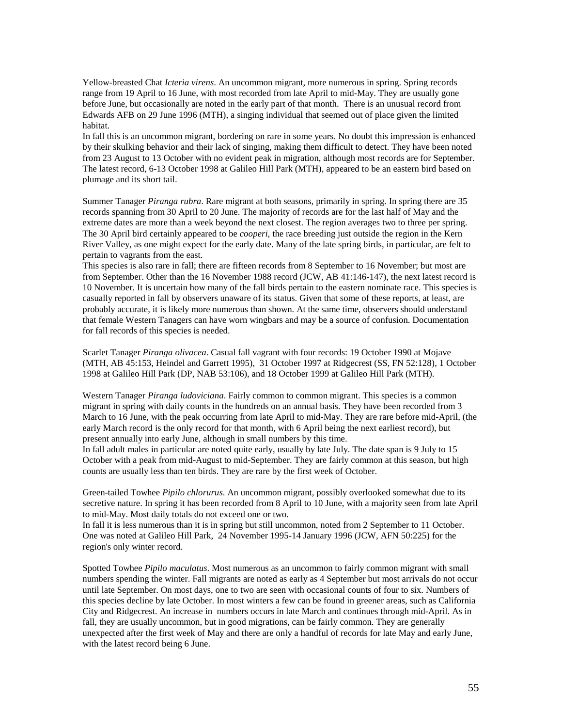Yellow-breasted Chat *Icteria virens*. An uncommon migrant, more numerous in spring. Spring records range from 19 April to 16 June, with most recorded from late April to mid-May. They are usually gone before June, but occasionally are noted in the early part of that month. There is an unusual record from Edwards AFB on 29 June 1996 (MTH), a singing individual that seemed out of place given the limited habitat.

In fall this is an uncommon migrant, bordering on rare in some years. No doubt this impression is enhanced by their skulking behavior and their lack of singing, making them difficult to detect. They have been noted from 23 August to 13 October with no evident peak in migration, although most records are for September. The latest record, 6-13 October 1998 at Galileo Hill Park (MTH), appeared to be an eastern bird based on plumage and its short tail.

Summer Tanager *Piranga rubra*. Rare migrant at both seasons, primarily in spring. In spring there are 35 records spanning from 30 April to 20 June. The majority of records are for the last half of May and the extreme dates are more than a week beyond the next closest. The region averages two to three per spring. The 30 April bird certainly appeared to be *cooperi*, the race breeding just outside the region in the Kern River Valley, as one might expect for the early date. Many of the late spring birds, in particular, are felt to pertain to vagrants from the east.

This species is also rare in fall; there are fifteen records from 8 September to 16 November; but most are from September. Other than the 16 November 1988 record (JCW, AB 41:146-147), the next latest record is 10 November. It is uncertain how many of the fall birds pertain to the eastern nominate race. This species is casually reported in fall by observers unaware of its status. Given that some of these reports, at least, are probably accurate, it is likely more numerous than shown. At the same time, observers should understand that female Western Tanagers can have worn wingbars and may be a source of confusion. Documentation for fall records of this species is needed.

Scarlet Tanager *Piranga olivacea*. Casual fall vagrant with four records: 19 October 1990 at Mojave (MTH, AB 45:153, Heindel and Garrett 1995), 31 October 1997 at Ridgecrest (SS, FN 52:128), 1 October 1998 at Galileo Hill Park (DP, NAB 53:106), and 18 October 1999 at Galileo Hill Park (MTH).

Western Tanager *Piranga ludoviciana*. Fairly common to common migrant. This species is a common migrant in spring with daily counts in the hundreds on an annual basis. They have been recorded from 3 March to 16 June, with the peak occurring from late April to mid-May. They are rare before mid-April, (the early March record is the only record for that month, with 6 April being the next earliest record), but present annually into early June, although in small numbers by this time.

In fall adult males in particular are noted quite early, usually by late July. The date span is 9 July to 15 October with a peak from mid-August to mid-September. They are fairly common at this season, but high counts are usually less than ten birds. They are rare by the first week of October.

Green-tailed Towhee *Pipilo chlorurus*. An uncommon migrant, possibly overlooked somewhat due to its secretive nature. In spring it has been recorded from 8 April to 10 June, with a majority seen from late April to mid-May. Most daily totals do not exceed one or two.

In fall it is less numerous than it is in spring but still uncommon, noted from 2 September to 11 October. One was noted at Galileo Hill Park, 24 November 1995-14 January 1996 (JCW, AFN 50:225) for the region's only winter record.

Spotted Towhee *Pipilo maculatus*. Most numerous as an uncommon to fairly common migrant with small numbers spending the winter. Fall migrants are noted as early as 4 September but most arrivals do not occur until late September. On most days, one to two are seen with occasional counts of four to six. Numbers of this species decline by late October. In most winters a few can be found in greener areas, such as California City and Ridgecrest. An increase in numbers occurs in late March and continues through mid-April. As in fall, they are usually uncommon, but in good migrations, can be fairly common. They are generally unexpected after the first week of May and there are only a handful of records for late May and early June, with the latest record being 6 June.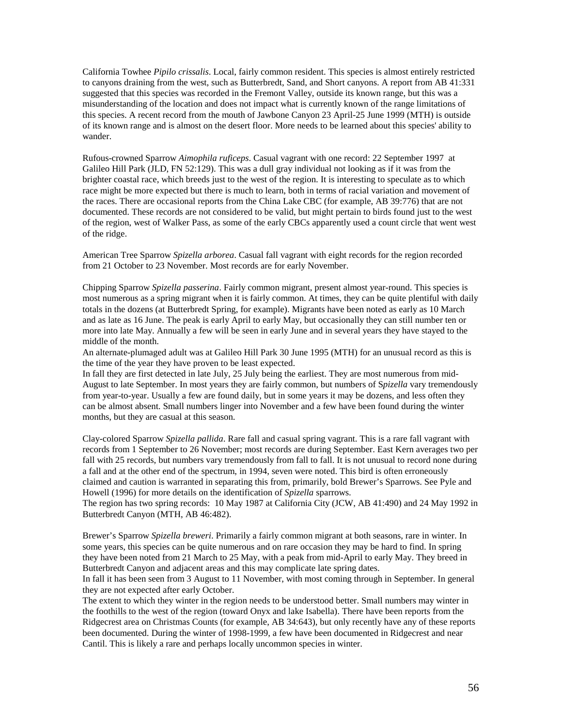California Towhee *Pipilo crissalis*. Local, fairly common resident. This species is almost entirely restricted to canyons draining from the west, such as Butterbredt, Sand, and Short canyons. A report from AB 41:331 suggested that this species was recorded in the Fremont Valley, outside its known range, but this was a misunderstanding of the location and does not impact what is currently known of the range limitations of this species. A recent record from the mouth of Jawbone Canyon 23 April-25 June 1999 (MTH) is outside of its known range and is almost on the desert floor. More needs to be learned about this species' ability to wander.

Rufous-crowned Sparrow *Aimophila ruficeps*. Casual vagrant with one record: 22 September 1997 at Galileo Hill Park (JLD, FN 52:129). This was a dull gray individual not looking as if it was from the brighter coastal race, which breeds just to the west of the region. It is interesting to speculate as to which race might be more expected but there is much to learn, both in terms of racial variation and movement of the races. There are occasional reports from the China Lake CBC (for example, AB 39:776) that are not documented. These records are not considered to be valid, but might pertain to birds found just to the west of the region, west of Walker Pass, as some of the early CBCs apparently used a count circle that went west of the ridge.

American Tree Sparrow *Spizella arborea*. Casual fall vagrant with eight records for the region recorded from 21 October to 23 November. Most records are for early November.

Chipping Sparrow *Spizella passerina*. Fairly common migrant, present almost year-round. This species is most numerous as a spring migrant when it is fairly common. At times, they can be quite plentiful with daily totals in the dozens (at Butterbredt Spring, for example). Migrants have been noted as early as 10 March and as late as 16 June. The peak is early April to early May, but occasionally they can still number ten or more into late May. Annually a few will be seen in early June and in several years they have stayed to the middle of the month.

An alternate-plumaged adult was at Galileo Hill Park 30 June 1995 (MTH) for an unusual record as this is the time of the year they have proven to be least expected.

In fall they are first detected in late July, 25 July being the earliest. They are most numerous from mid-August to late September. In most years they are fairly common, but numbers of S*pizella* vary tremendously from year-to-year. Usually a few are found daily, but in some years it may be dozens, and less often they can be almost absent. Small numbers linger into November and a few have been found during the winter months, but they are casual at this season.

Clay-colored Sparrow *Spizella pallida*. Rare fall and casual spring vagrant. This is a rare fall vagrant with records from 1 September to 26 November; most records are during September. East Kern averages two per fall with 25 records, but numbers vary tremendously from fall to fall. It is not unusual to record none during a fall and at the other end of the spectrum, in 1994, seven were noted. This bird is often erroneously claimed and caution is warranted in separating this from, primarily, bold Brewer's Sparrows. See Pyle and Howell (1996) for more details on the identification of *Spizella* sparrows.

The region has two spring records: 10 May 1987 at California City (JCW, AB 41:490) and 24 May 1992 in Butterbredt Canyon (MTH, AB 46:482).

Brewer's Sparrow *Spizella breweri*. Primarily a fairly common migrant at both seasons, rare in winter. In some years, this species can be quite numerous and on rare occasion they may be hard to find. In spring they have been noted from 21 March to 25 May, with a peak from mid-April to early May. They breed in Butterbredt Canyon and adjacent areas and this may complicate late spring dates.

In fall it has been seen from 3 August to 11 November, with most coming through in September. In general they are not expected after early October.

The extent to which they winter in the region needs to be understood better. Small numbers may winter in the foothills to the west of the region (toward Onyx and lake Isabella). There have been reports from the Ridgecrest area on Christmas Counts (for example, AB 34:643), but only recently have any of these reports been documented. During the winter of 1998-1999, a few have been documented in Ridgecrest and near Cantil. This is likely a rare and perhaps locally uncommon species in winter.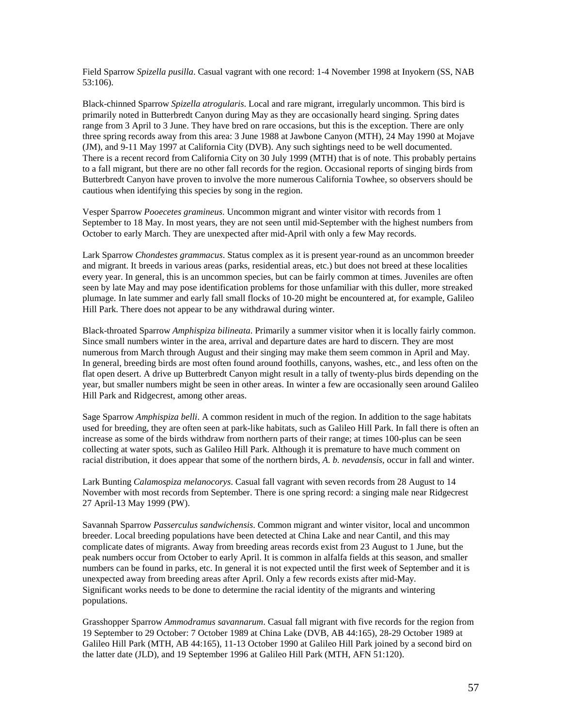Field Sparrow *Spizella pusilla*. Casual vagrant with one record: 1-4 November 1998 at Inyokern (SS, NAB 53:106).

Black-chinned Sparrow *Spizella atrogularis*. Local and rare migrant, irregularly uncommon. This bird is primarily noted in Butterbredt Canyon during May as they are occasionally heard singing. Spring dates range from 3 April to 3 June. They have bred on rare occasions, but this is the exception. There are only three spring records away from this area: 3 June 1988 at Jawbone Canyon (MTH), 24 May 1990 at Mojave (JM), and 9-11 May 1997 at California City (DVB). Any such sightings need to be well documented. There is a recent record from California City on 30 July 1999 (MTH) that is of note. This probably pertains to a fall migrant, but there are no other fall records for the region. Occasional reports of singing birds from Butterbredt Canyon have proven to involve the more numerous California Towhee, so observers should be cautious when identifying this species by song in the region.

Vesper Sparrow *Pooecetes gramineus*. Uncommon migrant and winter visitor with records from 1 September to 18 May. In most years, they are not seen until mid-September with the highest numbers from October to early March. They are unexpected after mid-April with only a few May records.

Lark Sparrow *Chondestes grammacus*. Status complex as it is present year-round as an uncommon breeder and migrant. It breeds in various areas (parks, residential areas, etc.) but does not breed at these localities every year. In general, this is an uncommon species, but can be fairly common at times. Juveniles are often seen by late May and may pose identification problems for those unfamiliar with this duller, more streaked plumage. In late summer and early fall small flocks of 10-20 might be encountered at, for example, Galileo Hill Park. There does not appear to be any withdrawal during winter.

Black-throated Sparrow *Amphispiza bilineata*. Primarily a summer visitor when it is locally fairly common. Since small numbers winter in the area, arrival and departure dates are hard to discern. They are most numerous from March through August and their singing may make them seem common in April and May. In general, breeding birds are most often found around foothills, canyons, washes, etc., and less often on the flat open desert. A drive up Butterbredt Canyon might result in a tally of twenty-plus birds depending on the year, but smaller numbers might be seen in other areas. In winter a few are occasionally seen around Galileo Hill Park and Ridgecrest, among other areas.

Sage Sparrow *Amphispiza belli*. A common resident in much of the region. In addition to the sage habitats used for breeding, they are often seen at park-like habitats, such as Galileo Hill Park. In fall there is often an increase as some of the birds withdraw from northern parts of their range; at times 100-plus can be seen collecting at water spots, such as Galileo Hill Park. Although it is premature to have much comment on racial distribution, it does appear that some of the northern birds, *A. b. nevadensis*, occur in fall and winter.

Lark Bunting *Calamospiza melanocorys*. Casual fall vagrant with seven records from 28 August to 14 November with most records from September. There is one spring record: a singing male near Ridgecrest 27 April-13 May 1999 (PW).

Savannah Sparrow *Passerculus sandwichensis*. Common migrant and winter visitor, local and uncommon breeder. Local breeding populations have been detected at China Lake and near Cantil, and this may complicate dates of migrants. Away from breeding areas records exist from 23 August to 1 June, but the peak numbers occur from October to early April. It is common in alfalfa fields at this season, and smaller numbers can be found in parks, etc. In general it is not expected until the first week of September and it is unexpected away from breeding areas after April. Only a few records exists after mid-May. Significant works needs to be done to determine the racial identity of the migrants and wintering populations.

Grasshopper Sparrow *Ammodramus savannarum*. Casual fall migrant with five records for the region from 19 September to 29 October: 7 October 1989 at China Lake (DVB, AB 44:165), 28-29 October 1989 at Galileo Hill Park (MTH, AB 44:165), 11-13 October 1990 at Galileo Hill Park joined by a second bird on the latter date (JLD), and 19 September 1996 at Galileo Hill Park (MTH, AFN 51:120).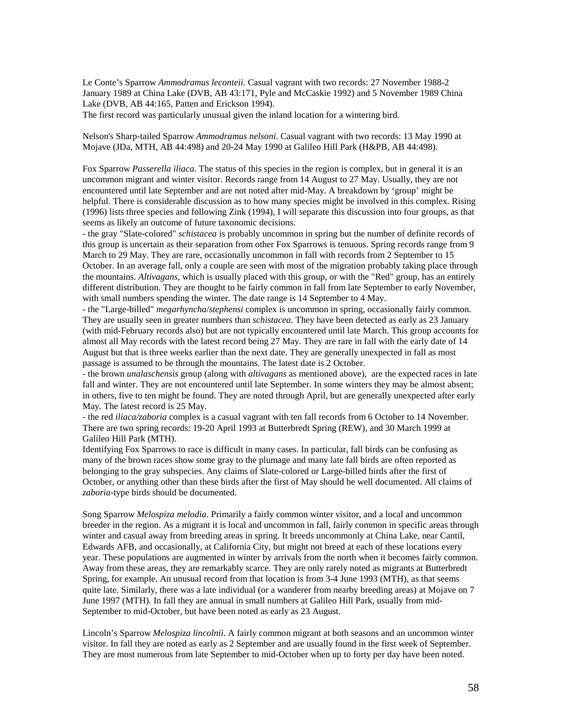Le Conte's Sparrow *Ammodramus leconteii*. Casual vagrant with two records: 27 November 1988-2 January 1989 at China Lake (DVB, AB 43:171, Pyle and McCaskie 1992) and 5 November 1989 China Lake (DVB, AB 44:165, Patten and Erickson 1994). The first record was particularly unusual given the inland location for a wintering bird.

Nelson's Sharp-tailed Sparrow *Ammodramus nelsoni*. Casual vagrant with two records: 13 May 1990 at

Mojave (JDa, MTH, AB 44:498) and 20-24 May 1990 at Galileo Hill Park (H&PB, AB 44:498).

Fox Sparrow *Passerella iliaca*. The status of this species in the region is complex, but in general it is an uncommon migrant and winter visitor. Records range from 14 August to 27 May. Usually, they are not encountered until late September and are not noted after mid-May. A breakdown by 'group' might be helpful. There is considerable discussion as to how many species might be involved in this complex. Rising (1996) lists three species and following Zink (1994), I will separate this discussion into four groups, as that seems as likely an outcome of future taxonomic decisions.

- the gray "Slate-colored" *schistacea* is probably uncommon in spring but the number of definite records of this group is uncertain as their separation from other Fox Sparrows is tenuous. Spring records range from 9 March to 29 May. They are rare, occasionally uncommon in fall with records from 2 September to 15 October. In an average fall, only a couple are seen with most of the migration probably taking place through the mountains. *Altivagans*, which is usually placed with this group, or with the "Red" group, has an entirely different distribution. They are thought to be fairly common in fall from late September to early November, with small numbers spending the winter. The date range is 14 September to 4 May.

- the "Large-billed" *megarhyncha*/*stephensi* complex is uncommon in spring, occasionally fairly common. They are usually seen in greater numbers than *schistacea*. They have been detected as early as 23 January (with mid-February records also) but are not typically encountered until late March. This group accounts for almost all May records with the latest record being 27 May. They are rare in fall with the early date of 14 August but that is three weeks earlier than the next date. They are generally unexpected in fall as most passage is assumed to be through the mountains. The latest date is 2 October.

- the brown *unalaschensis* group (along with *altivagans* as mentioned above), are the expected races in late fall and winter. They are not encountered until late September. In some winters they may be almost absent; in others, five to ten might be found. They are noted through April, but are generally unexpected after early May. The latest record is 25 May.

- the red *iliaca/zaboria* complex is a casual vagrant with ten fall records from 6 October to 14 November. There are two spring records: 19-20 April 1993 at Butterbredt Spring (REW), and 30 March 1999 at Galileo Hill Park (MTH).

Identifying Fox Sparrows to race is difficult in many cases. In particular, fall birds can be confusing as many of the brown races show some gray to the plumage and many late fall birds are often reported as belonging to the gray subspecies. Any claims of Slate-colored or Large-billed birds after the first of October, or anything other than these birds after the first of May should be well documented. All claims of *zaboria*-type birds should be documented.

Song Sparrow *Melospiza melodia*. Primarily a fairly common winter visitor, and a local and uncommon breeder in the region. As a migrant it is local and uncommon in fall, fairly common in specific areas through winter and casual away from breeding areas in spring. It breeds uncommonly at China Lake, near Cantil, Edwards AFB, and occasionally, at California City, but might not breed at each of these locations every year. These populations are augmented in winter by arrivals from the north when it becomes fairly common. Away from these areas, they are remarkably scarce. They are only rarely noted as migrants at Butterbredt Spring, for example. An unusual record from that location is from 3-4 June 1993 (MTH), as that seems quite late. Similarly, there was a late individual (or a wanderer from nearby breeding areas) at Mojave on 7 June 1997 (MTH). In fall they are annual in small numbers at Galileo Hill Park, usually from mid-September to mid-October, but have been noted as early as 23 August.

Lincoln's Sparrow *Melospiza lincolnii*. A fairly common migrant at both seasons and an uncommon winter visitor. In fall they are noted as early as 2 September and are usually found in the first week of September. They are most numerous from late September to mid-October when up to forty per day have been noted.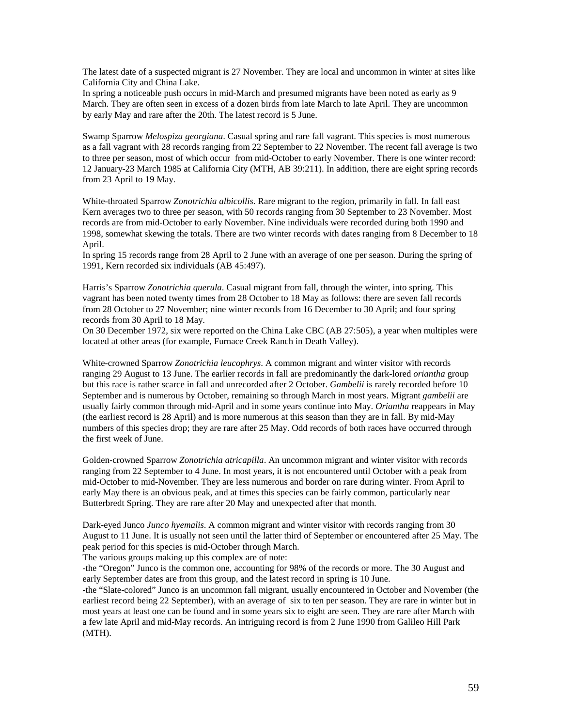The latest date of a suspected migrant is 27 November. They are local and uncommon in winter at sites like California City and China Lake.

In spring a noticeable push occurs in mid-March and presumed migrants have been noted as early as 9 March. They are often seen in excess of a dozen birds from late March to late April. They are uncommon by early May and rare after the 20th. The latest record is 5 June.

Swamp Sparrow *Melospiza georgiana*. Casual spring and rare fall vagrant. This species is most numerous as a fall vagrant with 28 records ranging from 22 September to 22 November. The recent fall average is two to three per season, most of which occur from mid-October to early November. There is one winter record: 12 January-23 March 1985 at California City (MTH, AB 39:211). In addition, there are eight spring records from 23 April to 19 May.

White-throated Sparrow *Zonotrichia albicollis*. Rare migrant to the region, primarily in fall. In fall east Kern averages two to three per season, with 50 records ranging from 30 September to 23 November. Most records are from mid-October to early November. Nine individuals were recorded during both 1990 and 1998, somewhat skewing the totals. There are two winter records with dates ranging from 8 December to 18 April.

In spring 15 records range from 28 April to 2 June with an average of one per season. During the spring of 1991, Kern recorded six individuals (AB 45:497).

Harris's Sparrow *Zonotrichia querula*. Casual migrant from fall, through the winter, into spring. This vagrant has been noted twenty times from 28 October to 18 May as follows: there are seven fall records from 28 October to 27 November; nine winter records from 16 December to 30 April; and four spring records from 30 April to 18 May.

On 30 December 1972, six were reported on the China Lake CBC (AB 27:505), a year when multiples were located at other areas (for example, Furnace Creek Ranch in Death Valley).

White-crowned Sparrow *Zonotrichia leucophrys*. A common migrant and winter visitor with records ranging 29 August to 13 June. The earlier records in fall are predominantly the dark-lored *oriantha* group but this race is rather scarce in fall and unrecorded after 2 October. *Gambelii* is rarely recorded before 10 September and is numerous by October, remaining so through March in most years. Migrant *gambelii* are usually fairly common through mid-April and in some years continue into May. *Oriantha* reappears in May (the earliest record is 28 April) and is more numerous at this season than they are in fall. By mid-May numbers of this species drop; they are rare after 25 May. Odd records of both races have occurred through the first week of June.

Golden-crowned Sparrow *Zonotrichia atricapilla*. An uncommon migrant and winter visitor with records ranging from 22 September to 4 June. In most years, it is not encountered until October with a peak from mid-October to mid-November. They are less numerous and border on rare during winter. From April to early May there is an obvious peak, and at times this species can be fairly common, particularly near Butterbredt Spring. They are rare after 20 May and unexpected after that month.

Dark-eyed Junco *Junco hyemalis*. A common migrant and winter visitor with records ranging from 30 August to 11 June. It is usually not seen until the latter third of September or encountered after 25 May. The peak period for this species is mid-October through March.

The various groups making up this complex are of note:

-the "Oregon" Junco is the common one, accounting for 98% of the records or more. The 30 August and early September dates are from this group, and the latest record in spring is 10 June.

-the "Slate-colored" Junco is an uncommon fall migrant, usually encountered in October and November (the earliest record being 22 September), with an average of six to ten per season. They are rare in winter but in most years at least one can be found and in some years six to eight are seen. They are rare after March with a few late April and mid-May records. An intriguing record is from 2 June 1990 from Galileo Hill Park (MTH).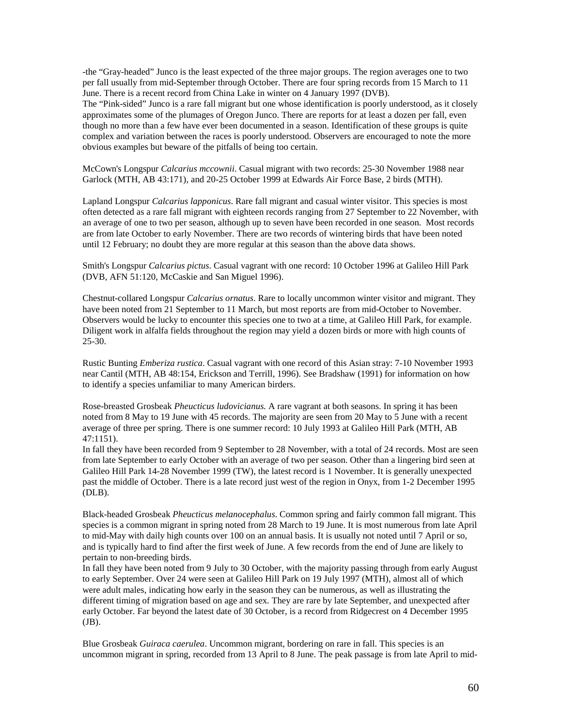-the "Gray-headed" Junco is the least expected of the three major groups. The region averages one to two per fall usually from mid-September through October. There are four spring records from 15 March to 11 June. There is a recent record from China Lake in winter on 4 January 1997 (DVB).

The "Pink-sided" Junco is a rare fall migrant but one whose identification is poorly understood, as it closely approximates some of the plumages of Oregon Junco. There are reports for at least a dozen per fall, even though no more than a few have ever been documented in a season. Identification of these groups is quite complex and variation between the races is poorly understood. Observers are encouraged to note the more obvious examples but beware of the pitfalls of being too certain.

McCown's Longspur *Calcarius mccownii*. Casual migrant with two records: 25-30 November 1988 near Garlock (MTH, AB 43:171), and 20-25 October 1999 at Edwards Air Force Base, 2 birds (MTH).

Lapland Longspur *Calcarius lapponicus*. Rare fall migrant and casual winter visitor. This species is most often detected as a rare fall migrant with eighteen records ranging from 27 September to 22 November, with an average of one to two per season, although up to seven have been recorded in one season. Most records are from late October to early November. There are two records of wintering birds that have been noted until 12 February; no doubt they are more regular at this season than the above data shows.

Smith's Longspur *Calcarius pictus*. Casual vagrant with one record: 10 October 1996 at Galileo Hill Park (DVB, AFN 51:120, McCaskie and San Miguel 1996).

Chestnut-collared Longspur *Calcarius ornatus*. Rare to locally uncommon winter visitor and migrant. They have been noted from 21 September to 11 March, but most reports are from mid-October to November. Observers would be lucky to encounter this species one to two at a time, at Galileo Hill Park, for example. Diligent work in alfalfa fields throughout the region may yield a dozen birds or more with high counts of  $25 - 30.$ 

Rustic Bunting *Emberiza rustica*. Casual vagrant with one record of this Asian stray: 7-10 November 1993 near Cantil (MTH, AB 48:154, Erickson and Terrill, 1996). See Bradshaw (1991) for information on how to identify a species unfamiliar to many American birders.

Rose-breasted Grosbeak *Pheucticus ludovicianus.* A rare vagrant at both seasons. In spring it has been noted from 8 May to 19 June with 45 records. The majority are seen from 20 May to 5 June with a recent average of three per spring. There is one summer record: 10 July 1993 at Galileo Hill Park (MTH, AB 47:1151).

In fall they have been recorded from 9 September to 28 November, with a total of 24 records. Most are seen from late September to early October with an average of two per season. Other than a lingering bird seen at Galileo Hill Park 14-28 November 1999 (TW), the latest record is 1 November. It is generally unexpected past the middle of October. There is a late record just west of the region in Onyx, from 1-2 December 1995 (DLB).

Black-headed Grosbeak *Pheucticus melanocephalus*. Common spring and fairly common fall migrant. This species is a common migrant in spring noted from 28 March to 19 June. It is most numerous from late April to mid-May with daily high counts over 100 on an annual basis. It is usually not noted until 7 April or so, and is typically hard to find after the first week of June. A few records from the end of June are likely to pertain to non-breeding birds.

In fall they have been noted from 9 July to 30 October, with the majority passing through from early August to early September. Over 24 were seen at Galileo Hill Park on 19 July 1997 (MTH), almost all of which were adult males, indicating how early in the season they can be numerous, as well as illustrating the different timing of migration based on age and sex. They are rare by late September, and unexpected after early October. Far beyond the latest date of 30 October, is a record from Ridgecrest on 4 December 1995 (JB).

Blue Grosbeak *Guiraca caerulea*. Uncommon migrant, bordering on rare in fall. This species is an uncommon migrant in spring, recorded from 13 April to 8 June. The peak passage is from late April to mid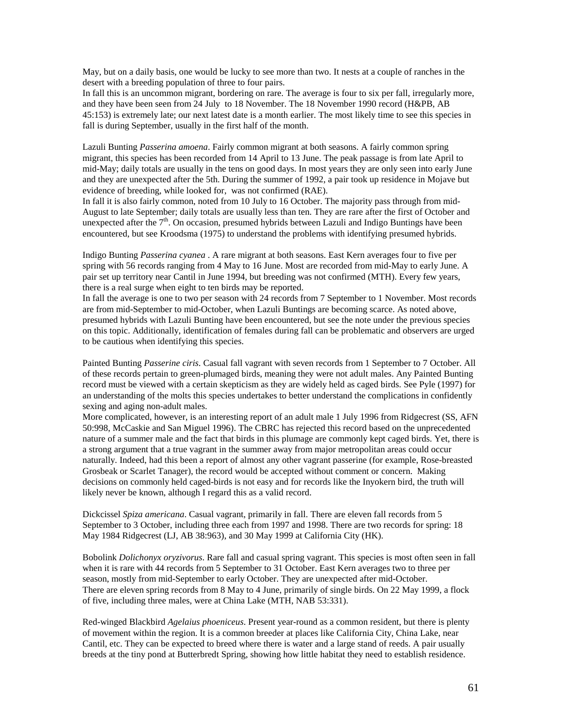May, but on a daily basis, one would be lucky to see more than two. It nests at a couple of ranches in the desert with a breeding population of three to four pairs.

In fall this is an uncommon migrant, bordering on rare. The average is four to six per fall, irregularly more, and they have been seen from 24 July to 18 November. The 18 November 1990 record (H&PB, AB 45:153) is extremely late; our next latest date is a month earlier. The most likely time to see this species in fall is during September, usually in the first half of the month.

Lazuli Bunting *Passerina amoena*. Fairly common migrant at both seasons. A fairly common spring migrant, this species has been recorded from 14 April to 13 June. The peak passage is from late April to mid-May; daily totals are usually in the tens on good days. In most years they are only seen into early June and they are unexpected after the 5th. During the summer of 1992, a pair took up residence in Mojave but evidence of breeding, while looked for, was not confirmed (RAE).

In fall it is also fairly common, noted from 10 July to 16 October. The majority pass through from mid-August to late September; daily totals are usually less than ten. They are rare after the first of October and unexpected after the  $7<sup>th</sup>$ . On occasion, presumed hybrids between Lazuli and Indigo Buntings have been encountered, but see Kroodsma (1975) to understand the problems with identifying presumed hybrids.

Indigo Bunting *Passerina cyanea* . A rare migrant at both seasons. East Kern averages four to five per spring with 56 records ranging from 4 May to 16 June. Most are recorded from mid-May to early June. A pair set up territory near Cantil in June 1994, but breeding was not confirmed (MTH). Every few years, there is a real surge when eight to ten birds may be reported.

In fall the average is one to two per season with 24 records from 7 September to 1 November. Most records are from mid-September to mid-October, when Lazuli Buntings are becoming scarce. As noted above, presumed hybrids with Lazuli Bunting have been encountered, but see the note under the previous species on this topic. Additionally, identification of females during fall can be problematic and observers are urged to be cautious when identifying this species.

Painted Bunting *Passerine ciris*. Casual fall vagrant with seven records from 1 September to 7 October. All of these records pertain to green-plumaged birds, meaning they were not adult males. Any Painted Bunting record must be viewed with a certain skepticism as they are widely held as caged birds. See Pyle (1997) for an understanding of the molts this species undertakes to better understand the complications in confidently sexing and aging non-adult males.

More complicated, however, is an interesting report of an adult male 1 July 1996 from Ridgecrest (SS, AFN 50:998, McCaskie and San Miguel 1996). The CBRC has rejected this record based on the unprecedented nature of a summer male and the fact that birds in this plumage are commonly kept caged birds. Yet, there is a strong argument that a true vagrant in the summer away from major metropolitan areas could occur naturally. Indeed, had this been a report of almost any other vagrant passerine (for example, Rose-breasted Grosbeak or Scarlet Tanager), the record would be accepted without comment or concern. Making decisions on commonly held caged-birds is not easy and for records like the Inyokern bird, the truth will likely never be known, although I regard this as a valid record.

Dickcissel *Spiza americana*. Casual vagrant, primarily in fall. There are eleven fall records from 5 September to 3 October, including three each from 1997 and 1998. There are two records for spring: 18 May 1984 Ridgecrest (LJ, AB 38:963), and 30 May 1999 at California City (HK).

Bobolink *Dolichonyx oryzivorus*. Rare fall and casual spring vagrant. This species is most often seen in fall when it is rare with 44 records from 5 September to 31 October. East Kern averages two to three per season, mostly from mid-September to early October. They are unexpected after mid-October. There are eleven spring records from 8 May to 4 June, primarily of single birds. On 22 May 1999, a flock of five, including three males, were at China Lake (MTH, NAB 53:331).

Red-winged Blackbird *Agelaius phoeniceus*. Present year-round as a common resident, but there is plenty of movement within the region. It is a common breeder at places like California City, China Lake, near Cantil, etc. They can be expected to breed where there is water and a large stand of reeds. A pair usually breeds at the tiny pond at Butterbredt Spring, showing how little habitat they need to establish residence.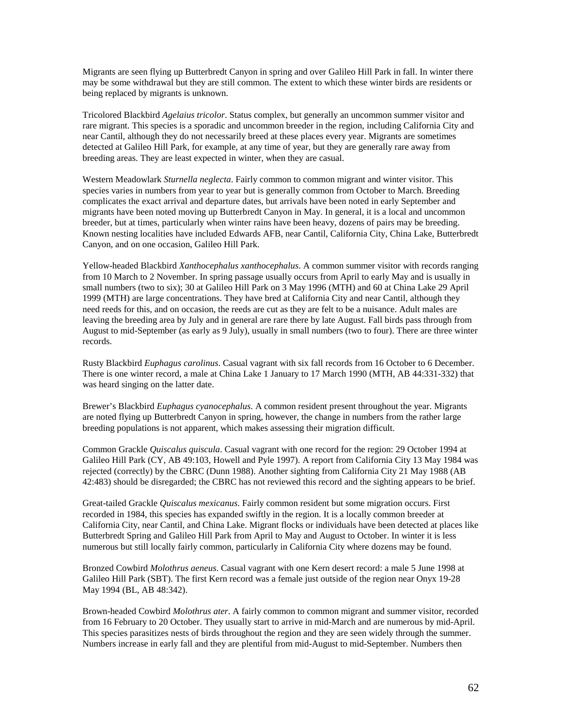Migrants are seen flying up Butterbredt Canyon in spring and over Galileo Hill Park in fall. In winter there may be some withdrawal but they are still common. The extent to which these winter birds are residents or being replaced by migrants is unknown.

Tricolored Blackbird *Agelaius tricolor*. Status complex, but generally an uncommon summer visitor and rare migrant. This species is a sporadic and uncommon breeder in the region, including California City and near Cantil, although they do not necessarily breed at these places every year. Migrants are sometimes detected at Galileo Hill Park, for example, at any time of year, but they are generally rare away from breeding areas. They are least expected in winter, when they are casual.

Western Meadowlark *Sturnella neglecta*. Fairly common to common migrant and winter visitor. This species varies in numbers from year to year but is generally common from October to March. Breeding complicates the exact arrival and departure dates, but arrivals have been noted in early September and migrants have been noted moving up Butterbredt Canyon in May. In general, it is a local and uncommon breeder, but at times, particularly when winter rains have been heavy, dozens of pairs may be breeding. Known nesting localities have included Edwards AFB, near Cantil, California City, China Lake, Butterbredt Canyon, and on one occasion, Galileo Hill Park.

Yellow-headed Blackbird *Xanthocephalus xanthocephalus*. A common summer visitor with records ranging from 10 March to 2 November. In spring passage usually occurs from April to early May and is usually in small numbers (two to six); 30 at Galileo Hill Park on 3 May 1996 (MTH) and 60 at China Lake 29 April 1999 (MTH) are large concentrations. They have bred at California City and near Cantil, although they need reeds for this, and on occasion, the reeds are cut as they are felt to be a nuisance. Adult males are leaving the breeding area by July and in general are rare there by late August. Fall birds pass through from August to mid-September (as early as 9 July), usually in small numbers (two to four). There are three winter records.

Rusty Blackbird *Euphagus carolinus*. Casual vagrant with six fall records from 16 October to 6 December. There is one winter record, a male at China Lake 1 January to 17 March 1990 (MTH, AB 44:331-332) that was heard singing on the latter date.

Brewer's Blackbird *Euphagus cyanocephalus*. A common resident present throughout the year. Migrants are noted flying up Butterbredt Canyon in spring, however, the change in numbers from the rather large breeding populations is not apparent, which makes assessing their migration difficult.

Common Grackle *Quiscalus quiscula*. Casual vagrant with one record for the region: 29 October 1994 at Galileo Hill Park (CY, AB 49:103, Howell and Pyle 1997). A report from California City 13 May 1984 was rejected (correctly) by the CBRC (Dunn 1988). Another sighting from California City 21 May 1988 (AB 42:483) should be disregarded; the CBRC has not reviewed this record and the sighting appears to be brief.

Great-tailed Grackle *Quiscalus mexicanus*. Fairly common resident but some migration occurs. First recorded in 1984, this species has expanded swiftly in the region. It is a locally common breeder at California City, near Cantil, and China Lake. Migrant flocks or individuals have been detected at places like Butterbredt Spring and Galileo Hill Park from April to May and August to October. In winter it is less numerous but still locally fairly common, particularly in California City where dozens may be found.

Bronzed Cowbird *Molothrus aeneus*. Casual vagrant with one Kern desert record: a male 5 June 1998 at Galileo Hill Park (SBT). The first Kern record was a female just outside of the region near Onyx 19-28 May 1994 (BL, AB 48:342).

Brown-headed Cowbird *Molothrus ater*. A fairly common to common migrant and summer visitor, recorded from 16 February to 20 October. They usually start to arrive in mid-March and are numerous by mid-April. This species parasitizes nests of birds throughout the region and they are seen widely through the summer. Numbers increase in early fall and they are plentiful from mid-August to mid-September. Numbers then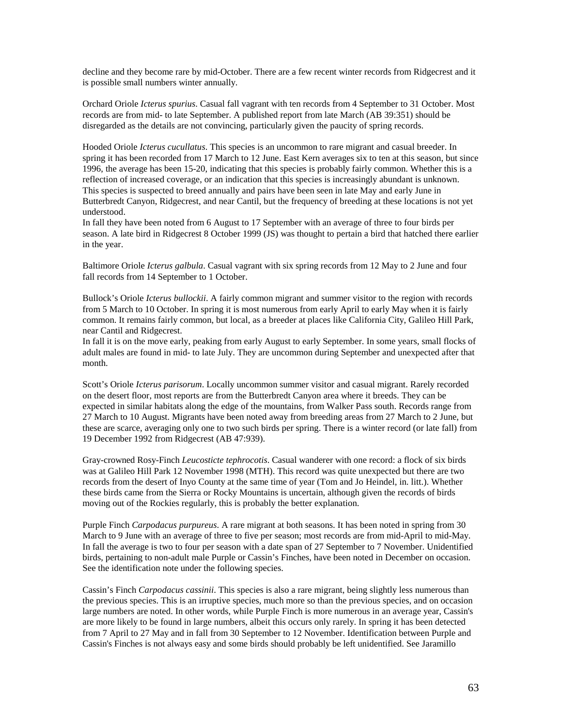decline and they become rare by mid-October. There are a few recent winter records from Ridgecrest and it is possible small numbers winter annually.

Orchard Oriole *Icterus spurius*. Casual fall vagrant with ten records from 4 September to 31 October. Most records are from mid- to late September. A published report from late March (AB 39:351) should be disregarded as the details are not convincing, particularly given the paucity of spring records.

Hooded Oriole *Icterus cucullatus*. This species is an uncommon to rare migrant and casual breeder. In spring it has been recorded from 17 March to 12 June. East Kern averages six to ten at this season, but since 1996, the average has been 15-20, indicating that this species is probably fairly common. Whether this is a reflection of increased coverage, or an indication that this species is increasingly abundant is unknown. This species is suspected to breed annually and pairs have been seen in late May and early June in Butterbredt Canyon, Ridgecrest, and near Cantil, but the frequency of breeding at these locations is not yet understood.

In fall they have been noted from 6 August to 17 September with an average of three to four birds per season. A late bird in Ridgecrest 8 October 1999 (JS) was thought to pertain a bird that hatched there earlier in the year.

Baltimore Oriole *Icterus galbula*. Casual vagrant with six spring records from 12 May to 2 June and four fall records from 14 September to 1 October.

Bullock's Oriole *Icterus bullockii*. A fairly common migrant and summer visitor to the region with records from 5 March to 10 October. In spring it is most numerous from early April to early May when it is fairly common. It remains fairly common, but local, as a breeder at places like California City, Galileo Hill Park, near Cantil and Ridgecrest.

In fall it is on the move early, peaking from early August to early September. In some years, small flocks of adult males are found in mid- to late July. They are uncommon during September and unexpected after that month.

Scott's Oriole *Icterus parisorum*. Locally uncommon summer visitor and casual migrant. Rarely recorded on the desert floor, most reports are from the Butterbredt Canyon area where it breeds. They can be expected in similar habitats along the edge of the mountains, from Walker Pass south. Records range from 27 March to 10 August. Migrants have been noted away from breeding areas from 27 March to 2 June, but these are scarce, averaging only one to two such birds per spring. There is a winter record (or late fall) from 19 December 1992 from Ridgecrest (AB 47:939).

Gray-crowned Rosy-Finch *Leucosticte tephrocotis*. Casual wanderer with one record: a flock of six birds was at Galileo Hill Park 12 November 1998 (MTH). This record was quite unexpected but there are two records from the desert of Inyo County at the same time of year (Tom and Jo Heindel, in. litt.). Whether these birds came from the Sierra or Rocky Mountains is uncertain, although given the records of birds moving out of the Rockies regularly, this is probably the better explanation.

Purple Finch *Carpodacus purpureus*. A rare migrant at both seasons. It has been noted in spring from 30 March to 9 June with an average of three to five per season; most records are from mid-April to mid-May. In fall the average is two to four per season with a date span of 27 September to 7 November. Unidentified birds, pertaining to non-adult male Purple or Cassin's Finches, have been noted in December on occasion. See the identification note under the following species.

Cassin's Finch *Carpodacus cassinii*. This species is also a rare migrant, being slightly less numerous than the previous species. This is an irruptive species, much more so than the previous species, and on occasion large numbers are noted. In other words, while Purple Finch is more numerous in an average year, Cassin's are more likely to be found in large numbers, albeit this occurs only rarely. In spring it has been detected from 7 April to 27 May and in fall from 30 September to 12 November. Identification between Purple and Cassin's Finches is not always easy and some birds should probably be left unidentified. See Jaramillo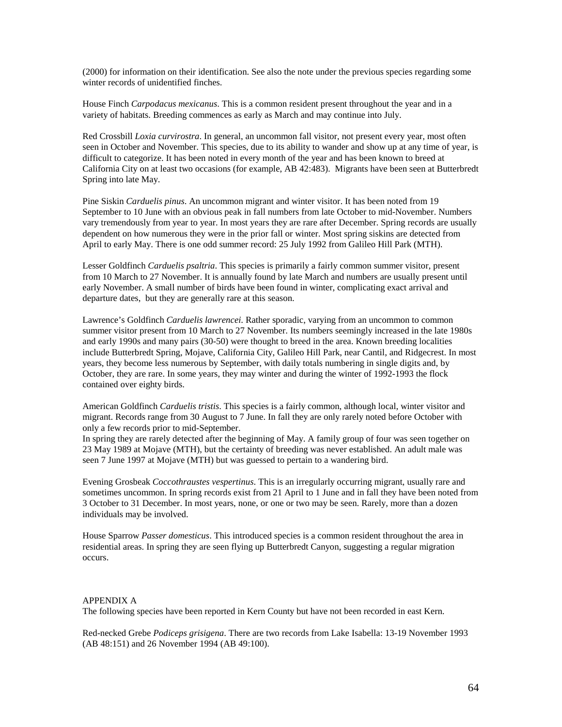(2000) for information on their identification. See also the note under the previous species regarding some winter records of unidentified finches.

House Finch *Carpodacus mexicanus*. This is a common resident present throughout the year and in a variety of habitats. Breeding commences as early as March and may continue into July.

Red Crossbill *Loxia curvirostra*. In general, an uncommon fall visitor, not present every year, most often seen in October and November. This species, due to its ability to wander and show up at any time of year, is difficult to categorize. It has been noted in every month of the year and has been known to breed at California City on at least two occasions (for example, AB 42:483). Migrants have been seen at Butterbredt Spring into late May.

Pine Siskin *Carduelis pinus*. An uncommon migrant and winter visitor. It has been noted from 19 September to 10 June with an obvious peak in fall numbers from late October to mid-November. Numbers vary tremendously from year to year. In most years they are rare after December. Spring records are usually dependent on how numerous they were in the prior fall or winter. Most spring siskins are detected from April to early May. There is one odd summer record: 25 July 1992 from Galileo Hill Park (MTH).

Lesser Goldfinch *Carduelis psaltria*. This species is primarily a fairly common summer visitor, present from 10 March to 27 November. It is annually found by late March and numbers are usually present until early November. A small number of birds have been found in winter, complicating exact arrival and departure dates, but they are generally rare at this season.

Lawrence's Goldfinch *Carduelis lawrencei*. Rather sporadic, varying from an uncommon to common summer visitor present from 10 March to 27 November. Its numbers seemingly increased in the late 1980s and early 1990s and many pairs (30-50) were thought to breed in the area. Known breeding localities include Butterbredt Spring, Mojave, California City, Galileo Hill Park, near Cantil, and Ridgecrest. In most years, they become less numerous by September, with daily totals numbering in single digits and, by October, they are rare. In some years, they may winter and during the winter of 1992-1993 the flock contained over eighty birds.

American Goldfinch *Carduelis tristis*. This species is a fairly common, although local, winter visitor and migrant. Records range from 30 August to 7 June. In fall they are only rarely noted before October with only a few records prior to mid-September.

In spring they are rarely detected after the beginning of May. A family group of four was seen together on 23 May 1989 at Mojave (MTH), but the certainty of breeding was never established. An adult male was seen 7 June 1997 at Mojave (MTH) but was guessed to pertain to a wandering bird.

Evening Grosbeak *Coccothraustes vespertinus*. This is an irregularly occurring migrant, usually rare and sometimes uncommon. In spring records exist from 21 April to 1 June and in fall they have been noted from 3 October to 31 December. In most years, none, or one or two may be seen. Rarely, more than a dozen individuals may be involved.

House Sparrow *Passer domesticus*. This introduced species is a common resident throughout the area in residential areas. In spring they are seen flying up Butterbredt Canyon, suggesting a regular migration occurs.

#### APPENDIX A

The following species have been reported in Kern County but have not been recorded in east Kern.

Red-necked Grebe *Podiceps grisigena*. There are two records from Lake Isabella: 13-19 November 1993 (AB 48:151) and 26 November 1994 (AB 49:100).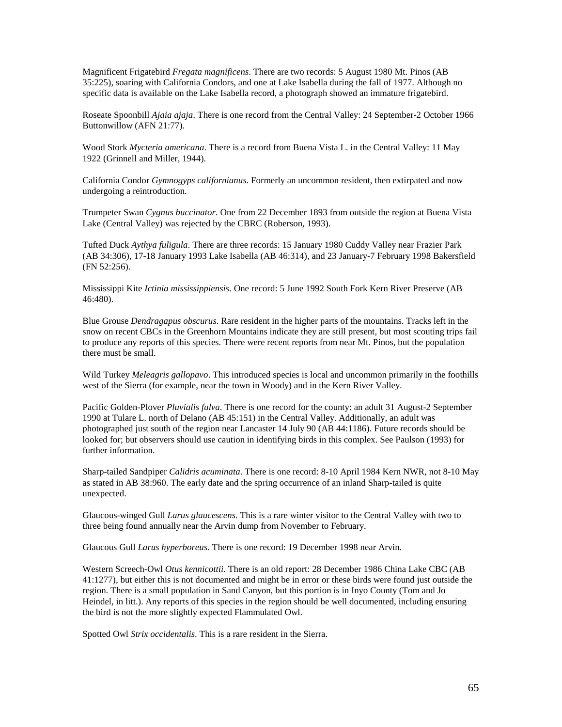Magnificent Frigatebird *Fregata magnificens*. There are two records: 5 August 1980 Mt. Pinos (AB 35:225), soaring with California Condors, and one at Lake Isabella during the fall of 1977. Although no specific data is available on the Lake Isabella record, a photograph showed an immature frigatebird.

Roseate Spoonbill *Ajaia ajaja*. There is one record from the Central Valley: 24 September-2 October 1966 Buttonwillow (AFN 21:77).

Wood Stork *Mycteria americana*. There is a record from Buena Vista L. in the Central Valley: 11 May 1922 (Grinnell and Miller, 1944).

California Condor *Gymnogyps californianus*. Formerly an uncommon resident, then extirpated and now undergoing a reintroduction.

Trumpeter Swan *Cygnus buccinator*. One from 22 December 1893 from outside the region at Buena Vista Lake (Central Valley) was rejected by the CBRC (Roberson, 1993).

Tufted Duck *Aythya fuligula*. There are three records: 15 January 1980 Cuddy Valley near Frazier Park (AB 34:306), 17-18 January 1993 Lake Isabella (AB 46:314), and 23 January-7 February 1998 Bakersfield (FN 52:256).

Mississippi Kite *Ictinia mississippiensis*. One record: 5 June 1992 South Fork Kern River Preserve (AB 46:480).

Blue Grouse *Dendragapus obscurus*. Rare resident in the higher parts of the mountains. Tracks left in the snow on recent CBCs in the Greenhorn Mountains indicate they are still present, but most scouting trips fail to produce any reports of this species. There were recent reports from near Mt. Pinos, but the population there must be small.

Wild Turkey *Meleagris gallopavo*. This introduced species is local and uncommon primarily in the foothills west of the Sierra (for example, near the town in Woody) and in the Kern River Valley.

Pacific Golden-Plover *Pluvialis fulva*. There is one record for the county: an adult 31 August-2 September 1990 at Tulare L. north of Delano (AB 45:151) in the Central Valley. Additionally, an adult was photographed just south of the region near Lancaster 14 July 90 (AB 44:1186). Future records should be looked for; but observers should use caution in identifying birds in this complex. See Paulson (1993) for further information.

Sharp-tailed Sandpiper *Calidris acuminata*. There is one record: 8-10 April 1984 Kern NWR, not 8-10 May as stated in AB 38:960. The early date and the spring occurrence of an inland Sharp-tailed is quite unexpected.

Glaucous-winged Gull *Larus glaucescens*. This is a rare winter visitor to the Central Valley with two to three being found annually near the Arvin dump from November to February.

Glaucous Gull *Larus hyperboreus*. There is one record: 19 December 1998 near Arvin.

Western Screech-Owl *Otus kennicottii*. There is an old report: 28 December 1986 China Lake CBC (AB 41:1277), but either this is not documented and might be in error or these birds were found just outside the region. There is a small population in Sand Canyon, but this portion is in Inyo County (Tom and Jo Heindel, in litt.). Any reports of this species in the region should be well documented, including ensuring the bird is not the more slightly expected Flammulated Owl.

Spotted Owl *Strix occidentalis*. This is a rare resident in the Sierra.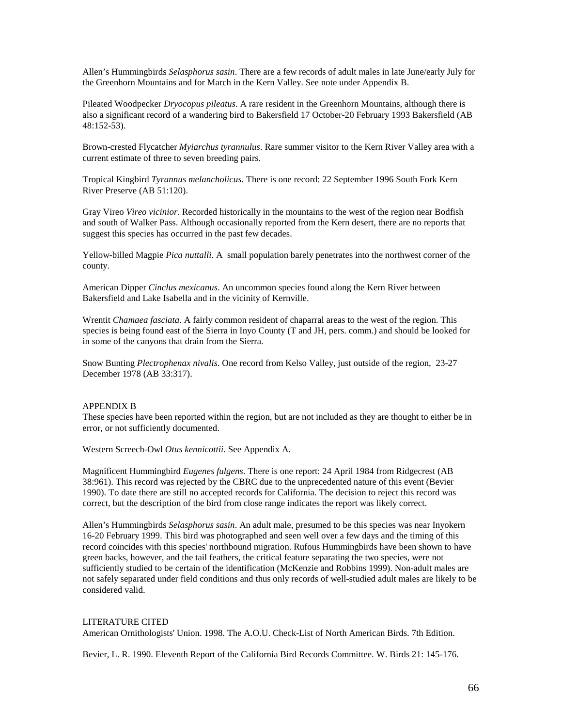Allen's Hummingbirds *Selasphorus sasin*. There are a few records of adult males in late June/early July for the Greenhorn Mountains and for March in the Kern Valley. See note under Appendix B.

Pileated Woodpecker *Dryocopus pileatus*. A rare resident in the Greenhorn Mountains, although there is also a significant record of a wandering bird to Bakersfield 17 October-20 February 1993 Bakersfield (AB 48:152-53).

Brown-crested Flycatcher *Myiarchus tyrannulus*. Rare summer visitor to the Kern River Valley area with a current estimate of three to seven breeding pairs.

Tropical Kingbird *Tyrannus melancholicus*. There is one record: 22 September 1996 South Fork Kern River Preserve (AB 51:120).

Gray Vireo *Vireo vicinior*. Recorded historically in the mountains to the west of the region near Bodfish and south of Walker Pass. Although occasionally reported from the Kern desert, there are no reports that suggest this species has occurred in the past few decades.

Yellow-billed Magpie *Pica nuttalli*. A small population barely penetrates into the northwest corner of the county.

American Dipper *Cinclus mexicanus*. An uncommon species found along the Kern River between Bakersfield and Lake Isabella and in the vicinity of Kernville.

Wrentit *Chamaea fasciata*. A fairly common resident of chaparral areas to the west of the region. This species is being found east of the Sierra in Inyo County (T and JH, pers. comm.) and should be looked for in some of the canyons that drain from the Sierra.

Snow Bunting *Plectrophenax nivalis*. One record from Kelso Valley, just outside of the region, 23-27 December 1978 (AB 33:317).

#### APPENDIX B

These species have been reported within the region, but are not included as they are thought to either be in error, or not sufficiently documented.

Western Screech-Owl *Otus kennicottii*. See Appendix A.

Magnificent Hummingbird *Eugenes fulgens*. There is one report: 24 April 1984 from Ridgecrest (AB 38:961). This record was rejected by the CBRC due to the unprecedented nature of this event (Bevier 1990). To date there are still no accepted records for California. The decision to reject this record was correct, but the description of the bird from close range indicates the report was likely correct.

Allen's Hummingbirds *Selasphorus sasin*. An adult male, presumed to be this species was near Inyokern 16-20 February 1999. This bird was photographed and seen well over a few days and the timing of this record coincides with this species' northbound migration. Rufous Hummingbirds have been shown to have green backs, however, and the tail feathers, the critical feature separating the two species, were not sufficiently studied to be certain of the identification (McKenzie and Robbins 1999). Non-adult males are not safely separated under field conditions and thus only records of well-studied adult males are likely to be considered valid.

### LITERATURE CITED

American Ornithologists' Union. 1998. The A.O.U. Check-List of North American Birds. 7th Edition.

Bevier, L. R. 1990. Eleventh Report of the California Bird Records Committee. W. Birds 21: 145-176.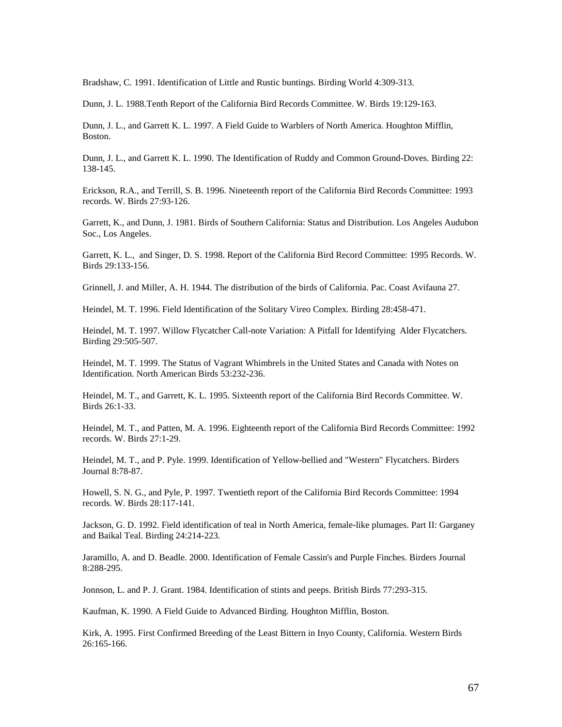Bradshaw, C. 1991. Identification of Little and Rustic buntings. Birding World 4:309-313.

Dunn, J. L. 1988.Tenth Report of the California Bird Records Committee. W. Birds 19:129-163.

Dunn, J. L., and Garrett K. L. 1997. A Field Guide to Warblers of North America. Houghton Mifflin, Boston.

Dunn, J. L., and Garrett K. L. 1990. The Identification of Ruddy and Common Ground-Doves. Birding 22: 138-145.

Erickson, R.A., and Terrill, S. B. 1996. Nineteenth report of the California Bird Records Committee: 1993 records. W. Birds 27:93-126.

Garrett, K., and Dunn, J. 1981. Birds of Southern California: Status and Distribution. Los Angeles Audubon Soc., Los Angeles.

Garrett, K. L., and Singer, D. S. 1998. Report of the California Bird Record Committee: 1995 Records. W. Birds 29:133-156.

Grinnell, J. and Miller, A. H. 1944. The distribution of the birds of California. Pac. Coast Avifauna 27.

Heindel, M. T. 1996. Field Identification of the Solitary Vireo Complex. Birding 28:458-471.

Heindel, M. T. 1997. Willow Flycatcher Call-note Variation: A Pitfall for Identifying Alder Flycatchers. Birding 29:505-507.

Heindel, M. T. 1999. The Status of Vagrant Whimbrels in the United States and Canada with Notes on Identification. North American Birds 53:232-236.

Heindel, M. T., and Garrett, K. L. 1995. Sixteenth report of the California Bird Records Committee. W. Birds 26:1-33.

Heindel, M. T., and Patten, M. A. 1996. Eighteenth report of the California Bird Records Committee: 1992 records. W. Birds 27:1-29.

Heindel, M. T., and P. Pyle. 1999. Identification of Yellow-bellied and "Western" Flycatchers. Birders Journal 8:78-87.

Howell, S. N. G., and Pyle, P. 1997. Twentieth report of the California Bird Records Committee: 1994 records. W. Birds 28:117-141.

Jackson, G. D. 1992. Field identification of teal in North America, female-like plumages. Part II: Garganey and Baikal Teal. Birding 24:214-223.

Jaramillo, A. and D. Beadle. 2000. Identification of Female Cassin's and Purple Finches. Birders Journal 8:288-295.

Jonnson, L. and P. J. Grant. 1984. Identification of stints and peeps. British Birds 77:293-315.

Kaufman, K. 1990. A Field Guide to Advanced Birding. Houghton Mifflin, Boston.

Kirk, A. 1995. First Confirmed Breeding of the Least Bittern in Inyo County, California. Western Birds 26:165-166.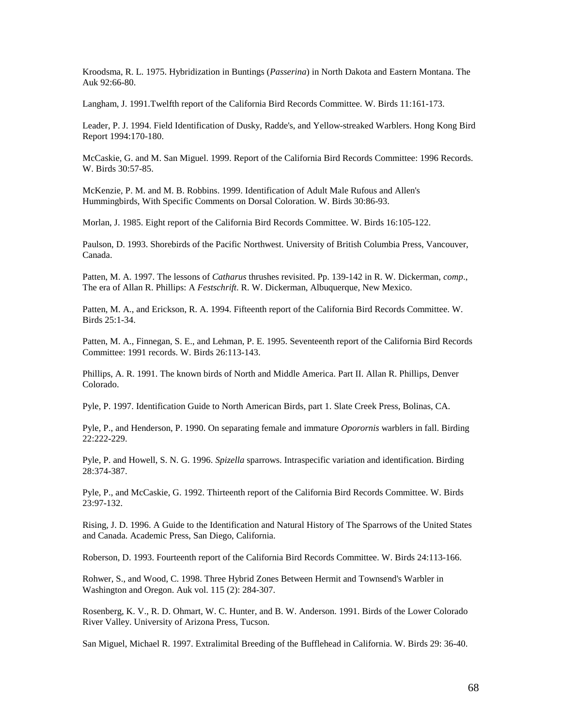Kroodsma, R. L. 1975. Hybridization in Buntings (*Passerina*) in North Dakota and Eastern Montana. The Auk 92:66-80.

Langham, J. 1991.Twelfth report of the California Bird Records Committee. W. Birds 11:161-173.

Leader, P. J. 1994. Field Identification of Dusky, Radde's, and Yellow-streaked Warblers. Hong Kong Bird Report 1994:170-180.

McCaskie, G. and M. San Miguel. 1999. Report of the California Bird Records Committee: 1996 Records. W. Birds 30:57-85.

McKenzie, P. M. and M. B. Robbins. 1999. Identification of Adult Male Rufous and Allen's Hummingbirds, With Specific Comments on Dorsal Coloration. W. Birds 30:86-93.

Morlan, J. 1985. Eight report of the California Bird Records Committee. W. Birds 16:105-122.

Paulson, D. 1993. Shorebirds of the Pacific Northwest. University of British Columbia Press, Vancouver, Canada.

Patten, M. A. 1997. The lessons of *Catharus* thrushes revisited. Pp. 139-142 in R. W. Dickerman, *comp*., The era of Allan R. Phillips: A *Festschrift*. R. W. Dickerman, Albuquerque, New Mexico.

Patten, M. A., and Erickson, R. A. 1994. Fifteenth report of the California Bird Records Committee. W. Birds 25:1-34.

Patten, M. A., Finnegan, S. E., and Lehman, P. E. 1995. Seventeenth report of the California Bird Records Committee: 1991 records. W. Birds 26:113-143.

Phillips, A. R. 1991. The known birds of North and Middle America. Part II. Allan R. Phillips, Denver Colorado.

Pyle, P. 1997. Identification Guide to North American Birds, part 1. Slate Creek Press, Bolinas, CA.

Pyle, P., and Henderson, P. 1990. On separating female and immature *Oporornis* warblers in fall. Birding 22:222-229.

Pyle, P. and Howell, S. N. G. 1996. *Spizella* sparrows. Intraspecific variation and identification. Birding 28:374-387.

Pyle, P., and McCaskie, G. 1992. Thirteenth report of the California Bird Records Committee. W. Birds 23:97-132.

Rising, J. D. 1996. A Guide to the Identification and Natural History of The Sparrows of the United States and Canada. Academic Press, San Diego, California.

Roberson, D. 1993. Fourteenth report of the California Bird Records Committee. W. Birds 24:113-166.

Rohwer, S., and Wood, C. 1998. Three Hybrid Zones Between Hermit and Townsend's Warbler in Washington and Oregon. Auk vol. 115 (2): 284-307.

Rosenberg, K. V., R. D. Ohmart, W. C. Hunter, and B. W. Anderson. 1991. Birds of the Lower Colorado River Valley. University of Arizona Press, Tucson.

San Miguel, Michael R. 1997. Extralimital Breeding of the Bufflehead in California. W. Birds 29: 36-40.